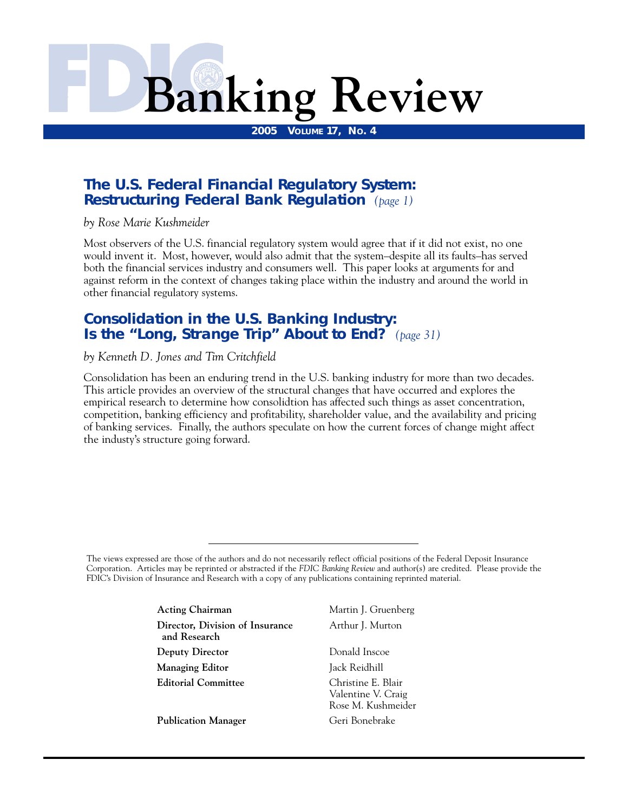

**2005 VOLUME 17, NO. 4** 

## **The U.S. Federal Financial Regulatory System: Restructuring Federal Bank Regulation** *(page 1)*

*by Rose Marie Kushmeider* 

Most observers of the U.S. financial regulatory system would agree that if it did not exist, no one would invent it. Most, however, would also admit that the system–despite all its faults–has served both the financial services industry and consumers well. This paper looks at arguments for and against reform in the context of changes taking place within the industry and around the world in other financial regulatory systems.

## **Consolidation in the U.S. Banking Industry: Is the "Long, Strange Trip" About to End?** *(page 31)*

*by Kenneth D. Jones and Tim Critchfield* 

Consolidation has been an enduring trend in the U.S. banking industry for more than two decades. This article provides an overview of the structural changes that have occurred and explores the empirical research to determine how consolidtion has affected such things as asset concentration, competition, banking efficiency and profitability, shareholder value, and the availability and pricing of banking services. Finally, the authors speculate on how the current forces of change might affect the industy's structure going forward.

**Acting Chairman Martin J. Gruenberg Director, Division of Insurance** Arthur J. Murton **and Research Deputy Director Donald Inscoe Managing Editor** Jack Reidhill **Editorial Committee** Christine E. Blair

Valentine V. Craig Rose M. Kushmeider Publication Manager **Geri Bonebrake** 

The views expressed are those of the authors and do not necessarily reflect official positions of the Federal Deposit Insurance Corporation. Articles may be reprinted or abstracted if the *FDIC Banking Review* and author(s) are credited. Please provide the FDIC's Division of Insurance and Research with a copy of any publications containing reprinted material.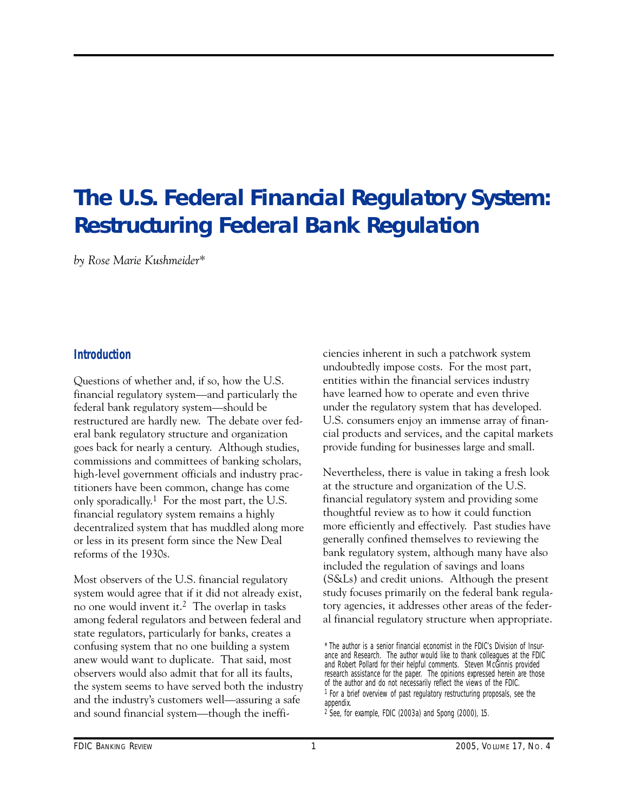# **The U.S. Federal Financial Regulatory System: Restructuring Federal Bank Regulation**

*by Rose Marie Kushmeider\** 

#### **Introduction**

Questions of whether and, if so, how the U.S. financial regulatory system—and particularly the federal bank regulatory system—should be restructured are hardly new. The debate over federal bank regulatory structure and organization goes back for nearly a century. Although studies, commissions and committees of banking scholars, high-level government officials and industry practitioners have been common, change has come only sporadically.1 For the most part, the U.S. financial regulatory system remains a highly decentralized system that has muddled along more or less in its present form since the New Deal reforms of the 1930s.

Most observers of the U.S. financial regulatory system would agree that if it did not already exist, no one would invent it.2 The overlap in tasks among federal regulators and between federal and state regulators, particularly for banks, creates a confusing system that no one building a system anew would want to duplicate. That said, most observers would also admit that for all its faults, the system seems to have served both the industry and the industry's customers well—assuring a safe and sound financial system—though the inefficiencies inherent in such a patchwork system undoubtedly impose costs. For the most part, entities within the financial services industry have learned how to operate and even thrive under the regulatory system that has developed. U.S. consumers enjoy an immense array of financial products and services, and the capital markets provide funding for businesses large and small.

Nevertheless, there is value in taking a fresh look at the structure and organization of the U.S. financial regulatory system and providing some thoughtful review as to how it could function more efficiently and effectively. Past studies have generally confined themselves to reviewing the bank regulatory system, although many have also included the regulation of savings and loans (S&Ls) and credit unions. Although the present study focuses primarily on the federal bank regulatory agencies, it addresses other areas of the federal financial regulatory structure when appropriate.

<sup>\*</sup> The author is a senior financial economist in the FDIC's Division of Insurance and Research. The author would like to thank colleagues at the FDIC and Robert Pollard for their helpful comments. Steven McGinnis provided research assistance for the paper. The opinions expressed herein are those of the author and do not necessarily reflect the views of the FDIC. 1 For a brief overview of past regulatory restructuring proposals, see the appendix.

<sup>2</sup> See, for example, FDIC (2003a) and Spong (2000), 15.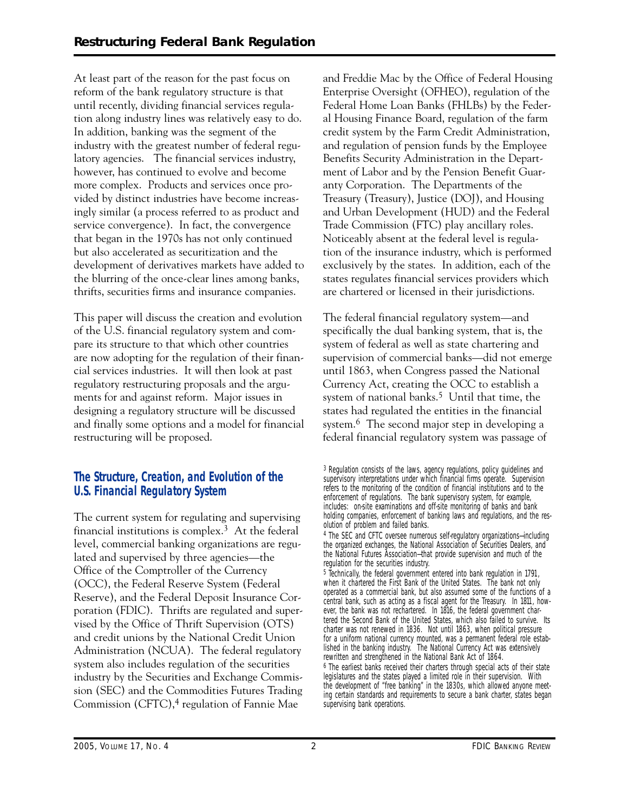latory agencies. The financial services industry, At least part of the reason for the past focus on reform of the bank regulatory structure is that until recently, dividing financial services regulation along industry lines was relatively easy to do. In addition, banking was the segment of the industry with the greatest number of federal reguhowever, has continued to evolve and become more complex. Products and services once provided by distinct industries have become increasingly similar (a process referred to as product and service convergence). In fact, the convergence that began in the 1970s has not only continued but also accelerated as securitization and the development of derivatives markets have added to the blurring of the once-clear lines among banks, thrifts, securities firms and insurance companies.

This paper will discuss the creation and evolution of the U.S. financial regulatory system and compare its structure to that which other countries are now adopting for the regulation of their financial services industries. It will then look at past regulatory restructuring proposals and the arguments for and against reform. Major issues in designing a regulatory structure will be discussed and finally some options and a model for financial restructuring will be proposed.

## **The Structure, Creation, and Evolution of the U.S. Financial Regulatory System**

The current system for regulating and supervising financial institutions is complex.3 At the federal level, commercial banking organizations are regulated and supervised by three agencies—the Office of the Comptroller of the Currency (OCC), the Federal Reserve System (Federal Reserve), and the Federal Deposit Insurance Corporation (FDIC). Thrifts are regulated and supervised by the Office of Thrift Supervision (OTS) and credit unions by the National Credit Union Administration (NCUA). The federal regulatory system also includes regulation of the securities industry by the Securities and Exchange Commission (SEC) and the Commodities Futures Trading Commission (CFTC),4 regulation of Fannie Mae

and Freddie Mac by the Office of Federal Housing Enterprise Oversight (OFHEO), regulation of the Federal Home Loan Banks (FHLBs) by the Federal Housing Finance Board, regulation of the farm credit system by the Farm Credit Administration, and regulation of pension funds by the Employee Benefits Security Administration in the Department of Labor and by the Pension Benefit Guaranty Corporation. The Departments of the Treasury (Treasury), Justice (DOJ), and Housing and Urban Development (HUD) and the Federal Trade Commission (FTC) play ancillary roles. Noticeably absent at the federal level is regulation of the insurance industry, which is performed exclusively by the states. In addition, each of the states regulates financial services providers which are chartered or licensed in their jurisdictions.

The federal financial regulatory system—and specifically the dual banking system, that is, the system of federal as well as state chartering and supervision of commercial banks—did not emerge until 1863, when Congress passed the National Currency Act, creating the OCC to establish a system of national banks.<sup>5</sup> Until that time, the states had regulated the entities in the financial system.6 The second major step in developing a federal financial regulatory system was passage of

<sup>3</sup> Regulation consists of the laws, agency regulations, policy guidelines and supervisory interpretations under which financial firms operate. Supervision refers to the monitoring of the condition of financial institutions and to the enforcement of regulations. The bank supervisory system, for example, includes: on-site examinations and off-site monitoring of banks and bank holding companies, enforcement of banking laws and regulations, and the resolution of problem and failed banks.

<sup>4</sup> The SEC and CFTC oversee numerous self-regulatory organizations—including the organized exchanges, the National Association of Securities Dealers, and the National Futures Association—that provide supervision and much of the regulation for the securities industry.

 central bank, such as acting as a fiscal agent for the Treasury. In 1811, how-5 Technically, the federal government entered into bank regulation in 1791, when it chartered the First Bank of the United States. The bank not only operated as a commercial bank, but also assumed some of the functions of a ever, the bank was not rechartered. In 1816, the federal government chartered the Second Bank of the United States, which also failed to survive. Its charter was not renewed in 1836. Not until 1863, when political pressure for a uniform national currency mounted, was a permanent federal role established in the banking industry. The National Currency Act was extensively rewritten and strengthened in the National Bank Act of 1864.

<sup>6</sup> The earliest banks received their charters through special acts of their state legislatures and the states played a limited role in their supervision. With the development of "free banking" in the 1830s, which allowed anyone meeting certain standards and requirements to secure a bank charter, states began supervising bank operations.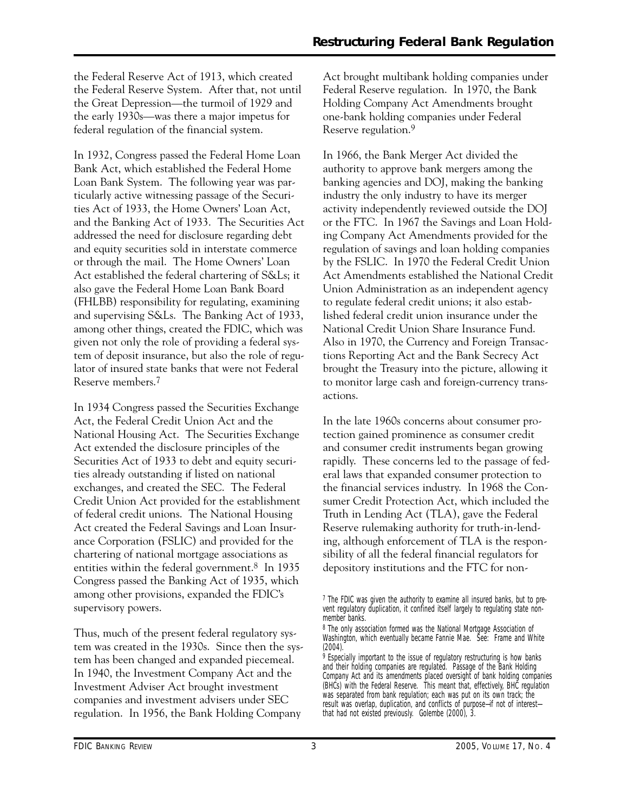the Federal Reserve Act of 1913, which created the Federal Reserve System. After that, not until the Great Depression—the turmoil of 1929 and the early 1930s—was there a major impetus for federal regulation of the financial system.

In 1932, Congress passed the Federal Home Loan Bank Act, which established the Federal Home Loan Bank System. The following year was particularly active witnessing passage of the Securities Act of 1933, the Home Owners' Loan Act, and the Banking Act of 1933. The Securities Act addressed the need for disclosure regarding debt and equity securities sold in interstate commerce or through the mail. The Home Owners' Loan Act established the federal chartering of S&Ls; it also gave the Federal Home Loan Bank Board (FHLBB) responsibility for regulating, examining and supervising S&Ls. The Banking Act of 1933, among other things, created the FDIC, which was given not only the role of providing a federal system of deposit insurance, but also the role of regulator of insured state banks that were not Federal Reserve members.7

In 1934 Congress passed the Securities Exchange Act, the Federal Credit Union Act and the National Housing Act. The Securities Exchange Act extended the disclosure principles of the Securities Act of 1933 to debt and equity securities already outstanding if listed on national exchanges, and created the SEC. The Federal Credit Union Act provided for the establishment of federal credit unions. The National Housing Act created the Federal Savings and Loan Insurance Corporation (FSLIC) and provided for the chartering of national mortgage associations as entities within the federal government.8 In 1935 Congress passed the Banking Act of 1935, which among other provisions, expanded the FDIC's supervisory powers.

Thus, much of the present federal regulatory system was created in the 1930s. Since then the system has been changed and expanded piecemeal. In 1940, the Investment Company Act and the Investment Adviser Act brought investment companies and investment advisers under SEC regulation. In 1956, the Bank Holding Company

Act brought multibank holding companies under Federal Reserve regulation. In 1970, the Bank Holding Company Act Amendments brought one-bank holding companies under Federal Reserve regulation.9

In 1966, the Bank Merger Act divided the authority to approve bank mergers among the banking agencies and DOJ, making the banking industry the only industry to have its merger activity independently reviewed outside the DOJ or the FTC. In 1967 the Savings and Loan Holding Company Act Amendments provided for the regulation of savings and loan holding companies by the FSLIC. In 1970 the Federal Credit Union Act Amendments established the National Credit Union Administration as an independent agency to regulate federal credit unions; it also established federal credit union insurance under the National Credit Union Share Insurance Fund. Also in 1970, the Currency and Foreign Transactions Reporting Act and the Bank Secrecy Act brought the Treasury into the picture, allowing it to monitor large cash and foreign-currency transactions.

In the late 1960s concerns about consumer protection gained prominence as consumer credit and consumer credit instruments began growing rapidly. These concerns led to the passage of federal laws that expanded consumer protection to the financial services industry. In 1968 the Consumer Credit Protection Act, which included the Truth in Lending Act (TLA), gave the Federal Reserve rulemaking authority for truth-in-lending, although enforcement of TLA is the responsibility of all the federal financial regulators for depository institutions and the FTC for non-

<sup>7</sup> The FDIC was given the authority to examine all insured banks, but to prevent regulatory duplication, it confined itself largely to regulating state nonmember banks.

<sup>8</sup> The only association formed was the National Mortgage Association of Washington, which eventually became Fannie Mae. See: Frame and White  $(2004)$ .

<sup>9</sup> Especially important to the issue of regulatory restructuring is how banks and their holding companies are regulated. Passage of the Bank Holding Company Act and its amendments placed oversight of bank holding companies (BHCs) with the Federal Reserve. This meant that, effectively, BHC regulation was separated from bank regulation; each was put on its own track; the result was overlap, duplication, and conflicts of purpose—if not of interest that had not existed previously. Golembe (2000), 3.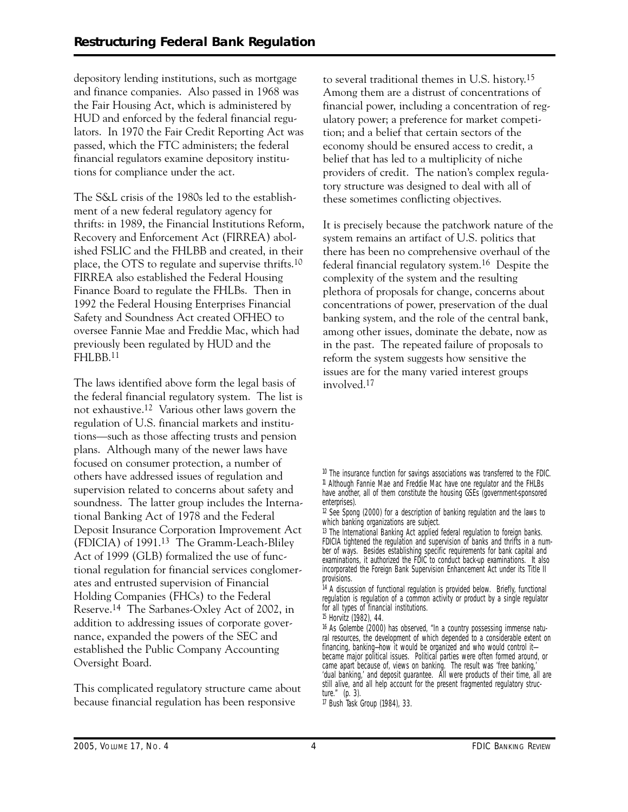depository lending institutions, such as mortgage and finance companies. Also passed in 1968 was the Fair Housing Act, which is administered by HUD and enforced by the federal financial regulators. In 1970 the Fair Credit Reporting Act was passed, which the FTC administers; the federal financial regulators examine depository institutions for compliance under the act.

The S&L crisis of the 1980s led to the establishment of a new federal regulatory agency for thrifts: in 1989, the Financial Institutions Reform, Recovery and Enforcement Act (FIRREA) abolished FSLIC and the FHLBB and created, in their place, the OTS to regulate and supervise thrifts.10 FIRREA also established the Federal Housing Finance Board to regulate the FHLBs. Then in 1992 the Federal Housing Enterprises Financial Safety and Soundness Act created OFHEO to oversee Fannie Mae and Freddie Mac, which had previously been regulated by HUD and the FHLBB.11

The laws identified above form the legal basis of the federal financial regulatory system. The list is not exhaustive.12 Various other laws govern the regulation of U.S. financial markets and institutions—such as those affecting trusts and pension plans. Although many of the newer laws have focused on consumer protection, a number of others have addressed issues of regulation and supervision related to concerns about safety and soundness. The latter group includes the International Banking Act of 1978 and the Federal Deposit Insurance Corporation Improvement Act (FDICIA) of 1991.13 The Gramm-Leach-Bliley Act of 1999 (GLB) formalized the use of functional regulation for financial services conglomerates and entrusted supervision of Financial Holding Companies (FHCs) to the Federal Reserve.14 The Sarbanes-Oxley Act of 2002, in addition to addressing issues of corporate governance, expanded the powers of the SEC and established the Public Company Accounting Oversight Board.

This complicated regulatory structure came about because financial regulation has been responsive

to several traditional themes in U.S. history.15 Among them are a distrust of concentrations of financial power, including a concentration of regulatory power; a preference for market competition; and a belief that certain sectors of the economy should be ensured access to credit, a belief that has led to a multiplicity of niche providers of credit. The nation's complex regulatory structure was designed to deal with all of these sometimes conflicting objectives.

It is precisely because the patchwork nature of the system remains an artifact of U.S. politics that there has been no comprehensive overhaul of the federal financial regulatory system.16 Despite the complexity of the system and the resulting plethora of proposals for change, concerns about concentrations of power, preservation of the dual banking system, and the role of the central bank, among other issues, dominate the debate, now as in the past. The repeated failure of proposals to reform the system suggests how sensitive the issues are for the many varied interest groups involved.17

<sup>14</sup> A discussion of functional regulation is provided below. Briefly, functional regulation is regulation of a common activity or product by a single regulator for all types of financial institutions.

15 Horvitz (1982), 44.

<sup>&</sup>lt;sup>10</sup> The insurance function for savings associations was transferred to the FDIC. 11 Although Fannie Mae and Freddie Mac have one regulator and the FHLBs have another, all of them constitute the housing GSEs (government-sponsored enterprises).

<sup>&</sup>lt;sup>12</sup> See Spong (2000) for a description of banking regulation and the laws to which banking organizations are subject.

<sup>&</sup>lt;sup>13</sup> The International Banking Act applied federal regulation to foreign banks. FDICIA tightened the regulation and supervision of banks and thrifts in a number of ways. Besides establishing specific requirements for bank capital and examinations, it authorized the FDIC to conduct back-up examinations. It also incorporated the Foreign Bank Supervision Enhancement Act under its Title II provisions.

<sup>&</sup>lt;sup>16</sup> As Golembe (2000) has observed, "In a country possessing immense natural resources, the development of which depended to a considerable extent on financing, banking—how it would be organized and who would control it became major political issues. Political parties were often formed around, or came apart because of, views on banking. The result was 'free banking,' 'dual banking,' and deposit guarantee. All were products of their time, all are still alive, and all help account for the present fragmented regulatory structure." (p. 3).

<sup>17</sup> Bush Task Group (1984), 33.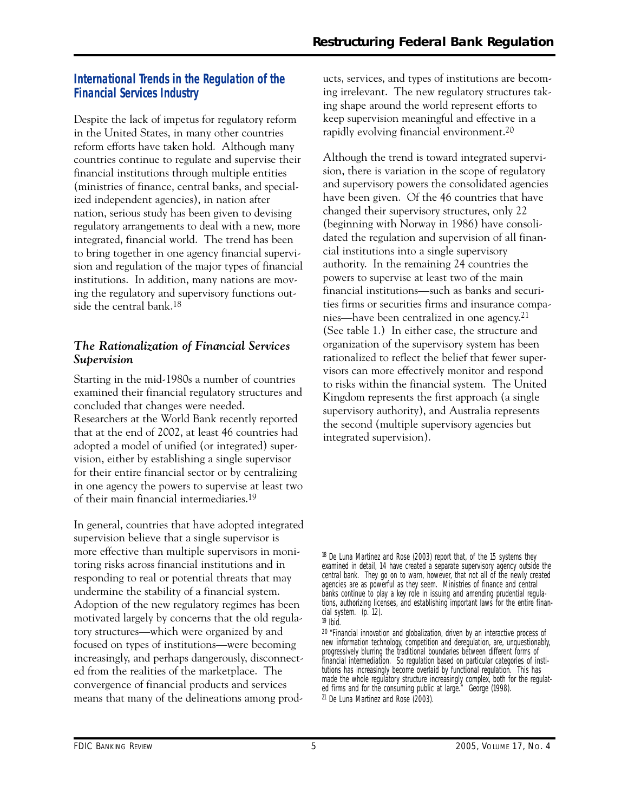## **International Trends in the Regulation of the Financial Services Industry**

Despite the lack of impetus for regulatory reform in the United States, in many other countries reform efforts have taken hold. Although many countries continue to regulate and supervise their financial institutions through multiple entities (ministries of finance, central banks, and specialized independent agencies), in nation after nation, serious study has been given to devising regulatory arrangements to deal with a new, more integrated, financial world. The trend has been to bring together in one agency financial supervision and regulation of the major types of financial institutions. In addition, many nations are moving the regulatory and supervisory functions outside the central bank.18

#### *The Rationalization of Financial Services Supervision*

Starting in the mid-1980s a number of countries examined their financial regulatory structures and concluded that changes were needed. Researchers at the World Bank recently reported that at the end of 2002, at least 46 countries had adopted a model of unified (or integrated) supervision, either by establishing a single supervisor for their entire financial sector or by centralizing in one agency the powers to supervise at least two of their main financial intermediaries.19

In general, countries that have adopted integrated supervision believe that a single supervisor is more effective than multiple supervisors in monitoring risks across financial institutions and in responding to real or potential threats that may undermine the stability of a financial system. Adoption of the new regulatory regimes has been motivated largely by concerns that the old regulatory structures—which were organized by and focused on types of institutions—were becoming increasingly, and perhaps dangerously, disconnected from the realities of the marketplace. The convergence of financial products and services means that many of the delineations among products, services, and types of institutions are becoming irrelevant. The new regulatory structures taking shape around the world represent efforts to keep supervision meaningful and effective in a rapidly evolving financial environment.20

Although the trend is toward integrated supervision, there is variation in the scope of regulatory and supervisory powers the consolidated agencies have been given. Of the 46 countries that have changed their supervisory structures, only 22 (beginning with Norway in 1986) have consolidated the regulation and supervision of all financial institutions into a single supervisory authority. In the remaining 24 countries the powers to supervise at least two of the main financial institutions—such as banks and securities firms or securities firms and insurance companies—have been centralized in one agency.21 (See table 1.) In either case, the structure and organization of the supervisory system has been rationalized to reflect the belief that fewer supervisors can more effectively monitor and respond to risks within the financial system. The United Kingdom represents the first approach (a single supervisory authority), and Australia represents the second (multiple supervisory agencies but integrated supervision).

 banks continue to play a key role in issuing and amending prudential regula-18 De Luna Martinez and Rose (2003) report that, of the 15 systems they examined in detail, 14 have created a separate supervisory agency outside the central bank. They go on to warn, however, that not all of the newly created agencies are as powerful as they seem. Ministries of finance and central tions, authorizing licenses, and establishing important laws for the entire financial system. (p. 12).  $19$  Ibid.

<sup>20 &</sup>quot;Financial innovation and globalization, driven by an interactive process of new information technology, competition and deregulation, are, unquestionably, progressively blurring the traditional boundaries between different forms of financial intermediation. So regulation based on particular categories of institutions has increasingly become overlaid by functional regulation. This has made the whole regulatory structure increasingly complex, both for the regulated firms and for the consuming public at large." George (1998). 21 De Luna Martinez and Rose (2003).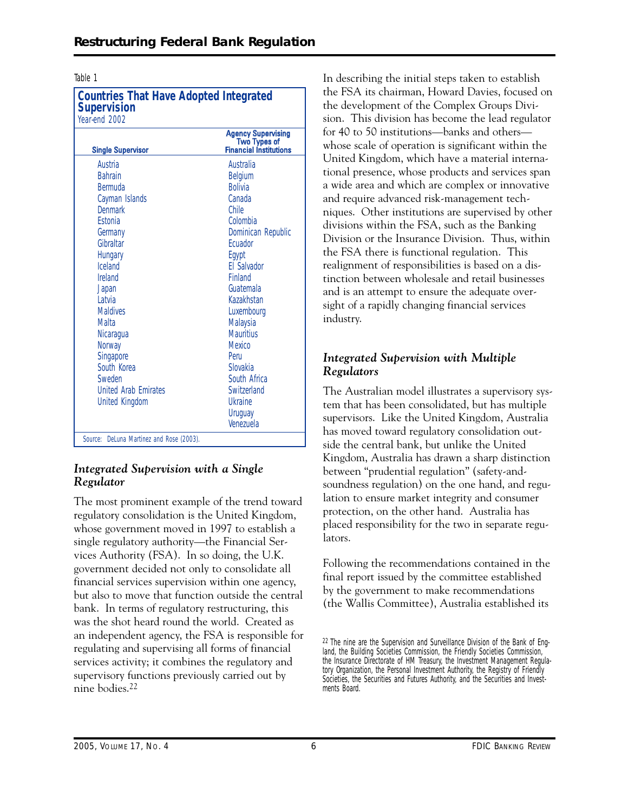Table 1

| <b>Single Supervisor</b>    | <b>Agency Supervising</b><br>Two Types of<br><b>Financial Institutions</b> |
|-----------------------------|----------------------------------------------------------------------------|
| Austria                     | Australia                                                                  |
| <b>Bahrain</b>              | Belgium                                                                    |
| <b>Bermuda</b>              | <b>Bolivia</b>                                                             |
| Cayman Islands              | Canada                                                                     |
| <b>Denmark</b>              | Chile                                                                      |
| Estonia                     | Colombia                                                                   |
| Germany                     | Dominican Republic                                                         |
| Gibraltar                   | <b>Fcuador</b>                                                             |
| Hungary                     | Egypt                                                                      |
| Iceland                     | <b>El Salvador</b>                                                         |
| Ireland                     | Finland                                                                    |
| Japan                       | Guatemala                                                                  |
| Latvia                      | Kazakhstan                                                                 |
| <b>Maldives</b>             | Luxembourg                                                                 |
| Malta                       | Malaysia                                                                   |
| Nicaragua                   | <b>Mauritius</b>                                                           |
| Norway                      | <b>Mexico</b>                                                              |
| Singapore                   | Peru                                                                       |
| South Korea                 | Slovakia                                                                   |
| Sweden                      | South Africa                                                               |
| <b>United Arab Emirates</b> | Switzerland                                                                |
| <b>United Kingdom</b>       | Ukraine                                                                    |
|                             | Uruguay                                                                    |
|                             | Venezuela                                                                  |

#### *Integrated Supervision with a Single Regulator*

The most prominent example of the trend toward regulatory consolidation is the United Kingdom, whose government moved in 1997 to establish a single regulatory authority—the Financial Services Authority (FSA). In so doing, the U.K. government decided not only to consolidate all financial services supervision within one agency, but also to move that function outside the central bank. In terms of regulatory restructuring, this was the shot heard round the world. Created as an independent agency, the FSA is responsible for regulating and supervising all forms of financial services activity; it combines the regulatory and supervisory functions previously carried out by nine bodies.22

In describing the initial steps taken to establish the FSA its chairman, Howard Davies, focused on the development of the Complex Groups Division. This division has become the lead regulator for 40 to 50 institutions—banks and others whose scale of operation is significant within the United Kingdom, which have a material international presence, whose products and services span a wide area and which are complex or innovative and require advanced risk-management techniques. Other institutions are supervised by other divisions within the FSA, such as the Banking Division or the Insurance Division. Thus, within the FSA there is functional regulation. This realignment of responsibilities is based on a distinction between wholesale and retail businesses and is an attempt to ensure the adequate oversight of a rapidly changing financial services industry.

## *Integrated Supervision with Multiple Regulators*

The Australian model illustrates a supervisory system that has been consolidated, but has multiple supervisors. Like the United Kingdom, Australia has moved toward regulatory consolidation outside the central bank, but unlike the United Kingdom, Australia has drawn a sharp distinction between "prudential regulation" (safety-andsoundness regulation) on the one hand, and regulation to ensure market integrity and consumer protection, on the other hand. Australia has placed responsibility for the two in separate regulators.

Following the recommendations contained in the final report issued by the committee established by the government to make recommendations (the Wallis Committee), Australia established its

<sup>22</sup> The nine are the Supervision and Surveillance Division of the Bank of England, the Building Societies Commission, the Friendly Societies Commission, the Insurance Directorate of HM Treasury, the Investment Management Regulatory Organization, the Personal Investment Authority, the Registry of Friendly Societies, the Securities and Futures Authority, and the Securities and Investments Board.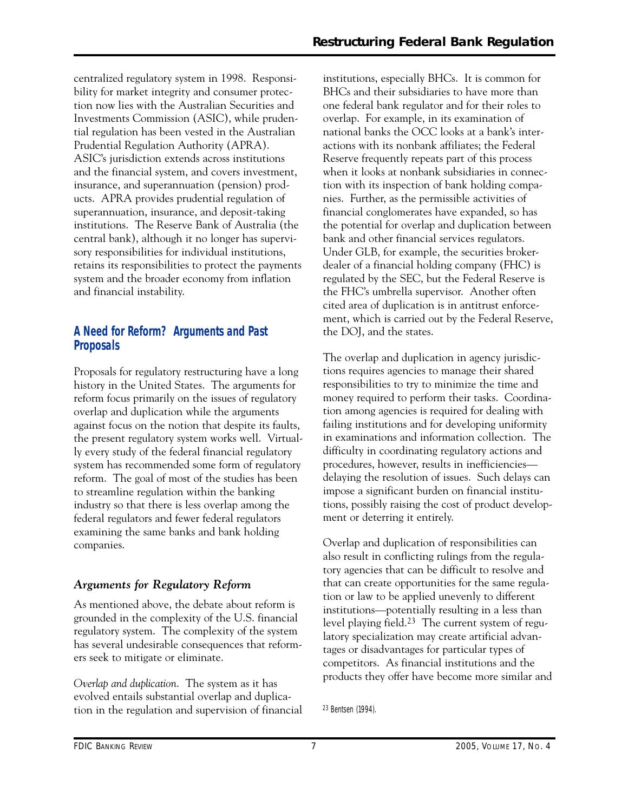centralized regulatory system in 1998. Responsibility for market integrity and consumer protection now lies with the Australian Securities and Investments Commission (ASIC), while prudential regulation has been vested in the Australian Prudential Regulation Authority (APRA). ASIC's jurisdiction extends across institutions and the financial system, and covers investment, insurance, and superannuation (pension) products. APRA provides prudential regulation of superannuation, insurance, and deposit-taking institutions. The Reserve Bank of Australia (the central bank), although it no longer has supervisory responsibilities for individual institutions, retains its responsibilities to protect the payments system and the broader economy from inflation and financial instability.

## **A Need for Reform? Arguments and Past Proposals**

Proposals for regulatory restructuring have a long history in the United States. The arguments for reform focus primarily on the issues of regulatory overlap and duplication while the arguments against focus on the notion that despite its faults, the present regulatory system works well. Virtually every study of the federal financial regulatory system has recommended some form of regulatory reform. The goal of most of the studies has been to streamline regulation within the banking industry so that there is less overlap among the federal regulators and fewer federal regulators examining the same banks and bank holding companies.

## *Arguments for Regulatory Reform*

As mentioned above, the debate about reform is grounded in the complexity of the U.S. financial regulatory system. The complexity of the system has several undesirable consequences that reformers seek to mitigate or eliminate.

*Overlap and duplication*. The system as it has evolved entails substantial overlap and duplication in the regulation and supervision of financial institutions, especially BHCs. It is common for BHCs and their subsidiaries to have more than one federal bank regulator and for their roles to overlap. For example, in its examination of national banks the OCC looks at a bank's interactions with its nonbank affiliates; the Federal Reserve frequently repeats part of this process when it looks at nonbank subsidiaries in connection with its inspection of bank holding companies. Further, as the permissible activities of financial conglomerates have expanded, so has the potential for overlap and duplication between bank and other financial services regulators. Under GLB, for example, the securities brokerdealer of a financial holding company (FHC) is regulated by the SEC, but the Federal Reserve is the FHC's umbrella supervisor. Another often cited area of duplication is in antitrust enforcement, which is carried out by the Federal Reserve, the DOJ, and the states.

The overlap and duplication in agency jurisdictions requires agencies to manage their shared responsibilities to try to minimize the time and money required to perform their tasks. Coordination among agencies is required for dealing with failing institutions and for developing uniformity in examinations and information collection. The difficulty in coordinating regulatory actions and procedures, however, results in inefficiencies delaying the resolution of issues. Such delays can impose a significant burden on financial institutions, possibly raising the cost of product development or deterring it entirely.

Overlap and duplication of responsibilities can also result in conflicting rulings from the regulatory agencies that can be difficult to resolve and that can create opportunities for the same regulation or law to be applied unevenly to different institutions—potentially resulting in a less than level playing field.23 The current system of regulatory specialization may create artificial advantages or disadvantages for particular types of competitors. As financial institutions and the products they offer have become more similar and

23 Bentsen (1994).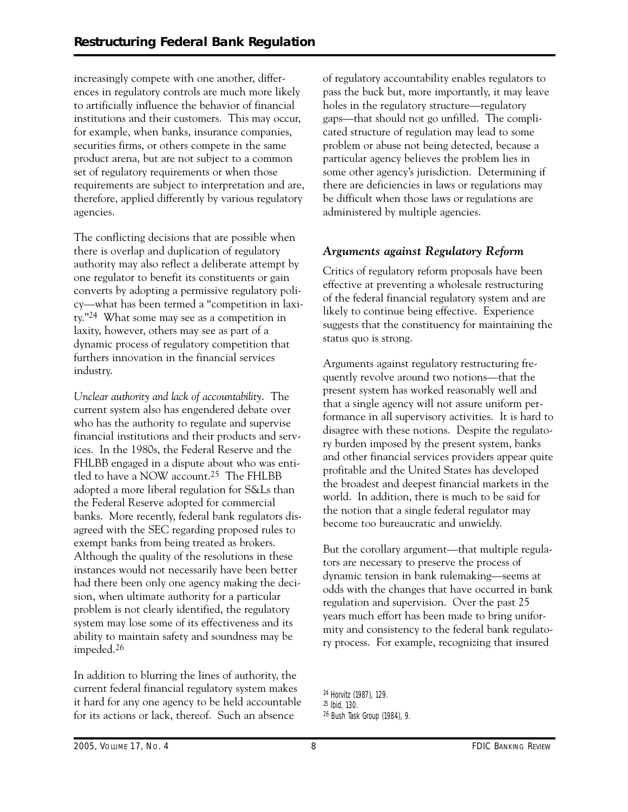increasingly compete with one another, differences in regulatory controls are much more likely to artificially influence the behavior of financial institutions and their customers. This may occur, for example, when banks, insurance companies, securities firms, or others compete in the same product arena, but are not subject to a common set of regulatory requirements or when those requirements are subject to interpretation and are, therefore, applied differently by various regulatory agencies.

The conflicting decisions that are possible when there is overlap and duplication of regulatory authority may also reflect a deliberate attempt by one regulator to benefit its constituents or gain converts by adopting a permissive regulatory policy—what has been termed a "competition in laxity."24 What some may see as a competition in laxity, however, others may see as part of a dynamic process of regulatory competition that furthers innovation in the financial services industry.

*Unclear authority and lack of accountability*. The current system also has engendered debate over who has the authority to regulate and supervise financial institutions and their products and services. In the 1980s, the Federal Reserve and the FHLBB engaged in a dispute about who was entitled to have a NOW account.25 The FHLBB adopted a more liberal regulation for S&Ls than the Federal Reserve adopted for commercial banks. More recently, federal bank regulators disagreed with the SEC regarding proposed rules to exempt banks from being treated as brokers. Although the quality of the resolutions in these instances would not necessarily have been better had there been only one agency making the decision, when ultimate authority for a particular problem is not clearly identified, the regulatory system may lose some of its effectiveness and its ability to maintain safety and soundness may be impeded.26

In addition to blurring the lines of authority, the current federal financial regulatory system makes it hard for any one agency to be held accountable for its actions or lack, thereof. Such an absence

of regulatory accountability enables regulators to pass the buck but, more importantly, it may leave holes in the regulatory structure—regulatory gaps—that should not go unfilled. The complicated structure of regulation may lead to some problem or abuse not being detected, because a particular agency believes the problem lies in some other agency's jurisdiction. Determining if there are deficiencies in laws or regulations may be difficult when those laws or regulations are administered by multiple agencies.

## *Arguments against Regulatory Reform*

Critics of regulatory reform proposals have been effective at preventing a wholesale restructuring of the federal financial regulatory system and are likely to continue being effective. Experience suggests that the constituency for maintaining the status quo is strong.

Arguments against regulatory restructuring frequently revolve around two notions—that the present system has worked reasonably well and that a single agency will not assure uniform performance in all supervisory activities. It is hard to disagree with these notions. Despite the regulatory burden imposed by the present system, banks and other financial services providers appear quite profitable and the United States has developed the broadest and deepest financial markets in the world. In addition, there is much to be said for the notion that a single federal regulator may become too bureaucratic and unwieldy.

But the corollary argument—that multiple regulators are necessary to preserve the process of dynamic tension in bank rulemaking—seems at odds with the changes that have occurred in bank regulation and supervision. Over the past 25 years much effort has been made to bring uniformity and consistency to the federal bank regulatory process. For example, recognizing that insured

<sup>24</sup> Horvitz (1987), 129. 25 Ibid, 130. 26 Bush Task Group (1984), 9.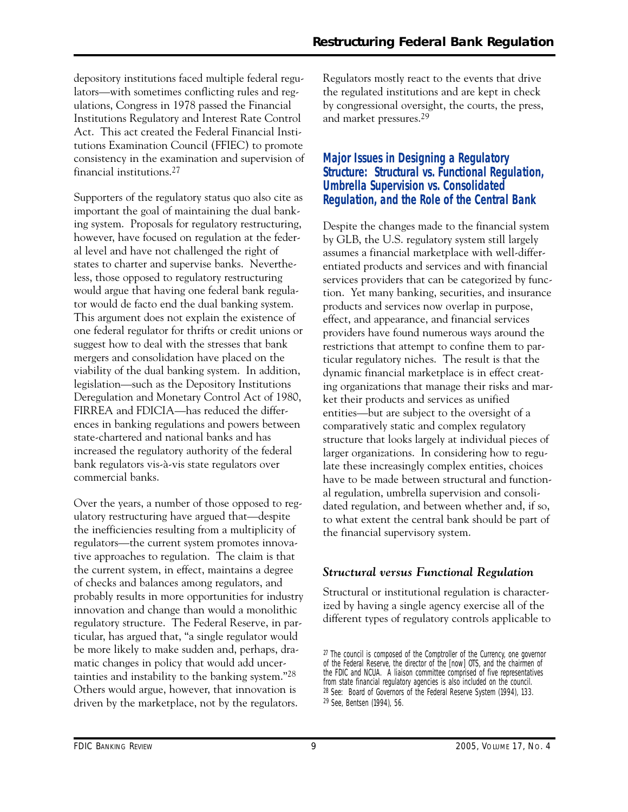depository institutions faced multiple federal regulators—with sometimes conflicting rules and regulations, Congress in 1978 passed the Financial Institutions Regulatory and Interest Rate Control Act. This act created the Federal Financial Institutions Examination Council (FFIEC) to promote consistency in the examination and supervision of financial institutions.27

Supporters of the regulatory status quo also cite as important the goal of maintaining the dual banking system. Proposals for regulatory restructuring, however, have focused on regulation at the federal level and have not challenged the right of states to charter and supervise banks. Nevertheless, those opposed to regulatory restructuring would argue that having one federal bank regulator would de facto end the dual banking system. This argument does not explain the existence of one federal regulator for thrifts or credit unions or suggest how to deal with the stresses that bank mergers and consolidation have placed on the viability of the dual banking system. In addition, legislation—such as the Depository Institutions Deregulation and Monetary Control Act of 1980, FIRREA and FDICIA—has reduced the differences in banking regulations and powers between state-chartered and national banks and has increased the regulatory authority of the federal bank regulators vis-à-vis state regulators over commercial banks.

Over the years, a number of those opposed to regulatory restructuring have argued that—despite the inefficiencies resulting from a multiplicity of regulators—the current system promotes innovative approaches to regulation. The claim is that the current system, in effect, maintains a degree of checks and balances among regulators, and probably results in more opportunities for industry innovation and change than would a monolithic regulatory structure. The Federal Reserve, in particular, has argued that, "a single regulator would be more likely to make sudden and, perhaps, dramatic changes in policy that would add uncertainties and instability to the banking system."28 Others would argue, however, that innovation is driven by the marketplace, not by the regulators.

Regulators mostly react to the events that drive the regulated institutions and are kept in check by congressional oversight, the courts, the press, and market pressures.29

#### **Major Issues in Designing a Regulatory Structure: Structural vs. Functional Regulation, Umbrella Supervision vs. Consolidated Regulation, and the Role of the Central Bank**

Despite the changes made to the financial system by GLB, the U.S. regulatory system still largely assumes a financial marketplace with well-differentiated products and services and with financial services providers that can be categorized by function. Yet many banking, securities, and insurance products and services now overlap in purpose, effect, and appearance, and financial services providers have found numerous ways around the restrictions that attempt to confine them to particular regulatory niches. The result is that the dynamic financial marketplace is in effect creating organizations that manage their risks and market their products and services as unified entities—but are subject to the oversight of a comparatively static and complex regulatory structure that looks largely at individual pieces of larger organizations. In considering how to regulate these increasingly complex entities, choices have to be made between structural and functional regulation, umbrella supervision and consolidated regulation, and between whether and, if so, to what extent the central bank should be part of the financial supervisory system.

## *Structural versus Functional Regulation*

Structural or institutional regulation is characterized by having a single agency exercise all of the different types of regulatory controls applicable to

 $27$  The council is composed of the Comptroller of the Currency, one governor of the Federal Reserve, the director of the [now] OTS, and the chairmen of the FDIC and NCUA. A liaison committee comprised of five representatives from state financial regulatory agencies is also included on the council. 28 See: Board of Governors of the Federal Reserve System (1994), 133. 29 See, Bentsen (1994), 56.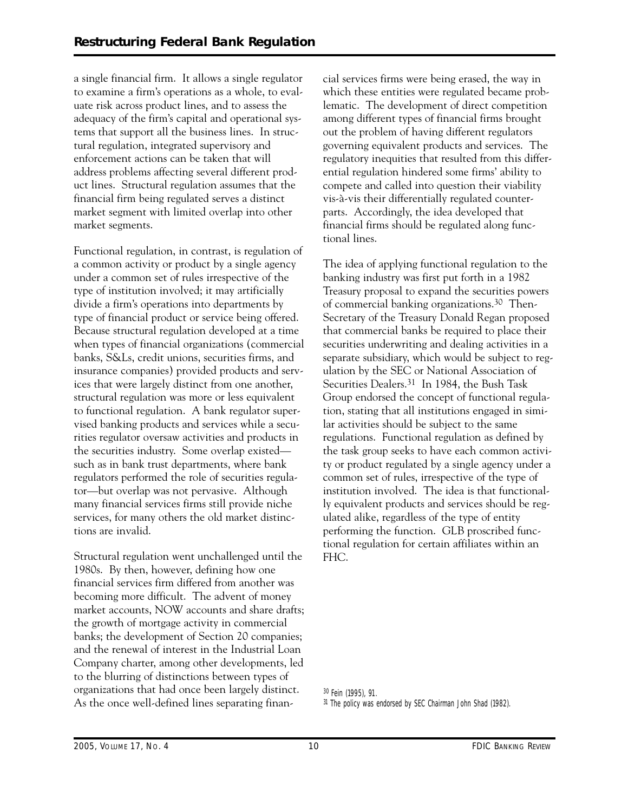a single financial firm. It allows a single regulator to examine a firm's operations as a whole, to evaluate risk across product lines, and to assess the adequacy of the firm's capital and operational systems that support all the business lines. In structural regulation, integrated supervisory and enforcement actions can be taken that will address problems affecting several different product lines. Structural regulation assumes that the financial firm being regulated serves a distinct market segment with limited overlap into other market segments.

Functional regulation, in contrast, is regulation of a common activity or product by a single agency under a common set of rules irrespective of the type of institution involved; it may artificially divide a firm's operations into departments by type of financial product or service being offered. Because structural regulation developed at a time when types of financial organizations (commercial banks, S&Ls, credit unions, securities firms, and insurance companies) provided products and services that were largely distinct from one another, structural regulation was more or less equivalent to functional regulation. A bank regulator supervised banking products and services while a securities regulator oversaw activities and products in the securities industry. Some overlap existed such as in bank trust departments, where bank regulators performed the role of securities regulator—but overlap was not pervasive. Although many financial services firms still provide niche services, for many others the old market distinctions are invalid.

Structural regulation went unchallenged until the 1980s. By then, however, defining how one financial services firm differed from another was becoming more difficult. The advent of money market accounts, NOW accounts and share drafts; the growth of mortgage activity in commercial banks; the development of Section 20 companies; and the renewal of interest in the Industrial Loan Company charter, among other developments, led to the blurring of distinctions between types of organizations that had once been largely distinct. As the once well-defined lines separating financial services firms were being erased, the way in which these entities were regulated became problematic. The development of direct competition among different types of financial firms brought out the problem of having different regulators governing equivalent products and services. The regulatory inequities that resulted from this differential regulation hindered some firms' ability to compete and called into question their viability vis-à-vis their differentially regulated counterparts. Accordingly, the idea developed that financial firms should be regulated along functional lines.

The idea of applying functional regulation to the banking industry was first put forth in a 1982 Treasury proposal to expand the securities powers of commercial banking organizations.30 Then-Secretary of the Treasury Donald Regan proposed that commercial banks be required to place their securities underwriting and dealing activities in a separate subsidiary, which would be subject to regulation by the SEC or National Association of Securities Dealers.31 In 1984, the Bush Task Group endorsed the concept of functional regulation, stating that all institutions engaged in similar activities should be subject to the same regulations. Functional regulation as defined by the task group seeks to have each common activity or product regulated by a single agency under a common set of rules, irrespective of the type of institution involved. The idea is that functionally equivalent products and services should be regulated alike, regardless of the type of entity performing the function. GLB proscribed functional regulation for certain affiliates within an FHC.

30 Fein (1995), 91.

<sup>31</sup> The policy was endorsed by SEC Chairman John Shad (1982).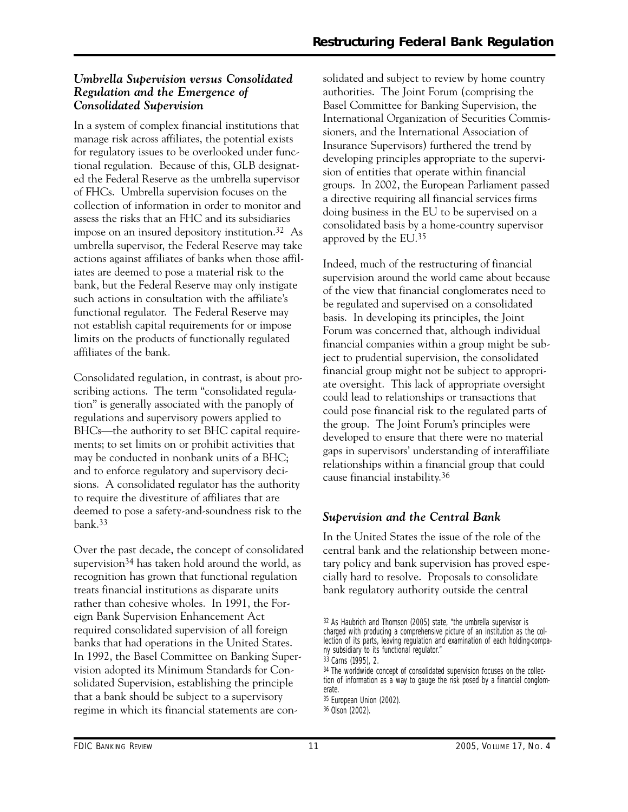#### *Umbrella Supervision versus Consolidated Regulation and the Emergence of Consolidated Supervision*

In a system of complex financial institutions that manage risk across affiliates, the potential exists for regulatory issues to be overlooked under functional regulation. Because of this, GLB designated the Federal Reserve as the umbrella supervisor of FHCs. Umbrella supervision focuses on the collection of information in order to monitor and assess the risks that an FHC and its subsidiaries impose on an insured depository institution.32 As umbrella supervisor, the Federal Reserve may take actions against affiliates of banks when those affiliates are deemed to pose a material risk to the bank, but the Federal Reserve may only instigate such actions in consultation with the affiliate's functional regulator. The Federal Reserve may not establish capital requirements for or impose limits on the products of functionally regulated affiliates of the bank.

Consolidated regulation, in contrast, is about proscribing actions. The term "consolidated regulation" is generally associated with the panoply of regulations and supervisory powers applied to BHCs—the authority to set BHC capital requirements; to set limits on or prohibit activities that may be conducted in nonbank units of a BHC; and to enforce regulatory and supervisory decisions. A consolidated regulator has the authority to require the divestiture of affiliates that are deemed to pose a safety-and-soundness risk to the bank.33

Over the past decade, the concept of consolidated supervision<sup>34</sup> has taken hold around the world, as recognition has grown that functional regulation treats financial institutions as disparate units rather than cohesive wholes. In 1991, the Foreign Bank Supervision Enhancement Act required consolidated supervision of all foreign banks that had operations in the United States. In 1992, the Basel Committee on Banking Supervision adopted its Minimum Standards for Consolidated Supervision, establishing the principle that a bank should be subject to a supervisory regime in which its financial statements are consolidated and subject to review by home country authorities. The Joint Forum (comprising the Basel Committee for Banking Supervision, the International Organization of Securities Commissioners, and the International Association of Insurance Supervisors) furthered the trend by developing principles appropriate to the supervision of entities that operate within financial groups. In 2002, the European Parliament passed a directive requiring all financial services firms doing business in the EU to be supervised on a consolidated basis by a home-country supervisor approved by the EU.35

Indeed, much of the restructuring of financial supervision around the world came about because of the view that financial conglomerates need to be regulated and supervised on a consolidated basis. In developing its principles, the Joint Forum was concerned that, although individual financial companies within a group might be subject to prudential supervision, the consolidated financial group might not be subject to appropriate oversight. This lack of appropriate oversight could lead to relationships or transactions that could pose financial risk to the regulated parts of the group. The Joint Forum's principles were developed to ensure that there were no material gaps in supervisors' understanding of interaffiliate relationships within a financial group that could cause financial instability.36

## *Supervision and the Central Bank*

In the United States the issue of the role of the central bank and the relationship between monetary policy and bank supervision has proved especially hard to resolve. Proposals to consolidate bank regulatory authority outside the central

33 Carns (1995), 2.

<sup>32</sup> As Haubrich and Thomson (2005) state, "the umbrella supervisor is charged with producing a comprehensive picture of an institution as the collection of its parts, leaving regulation and examination of each holding-company subsidiary to its functional regulator."

 tion of information as a way to gauge the risk posed by a financial conglom-<sup>34</sup> The worldwide concept of consolidated supervision focuses on the collecerate.

<sup>35</sup> European Union (2002).

<sup>36</sup> Olson (2002).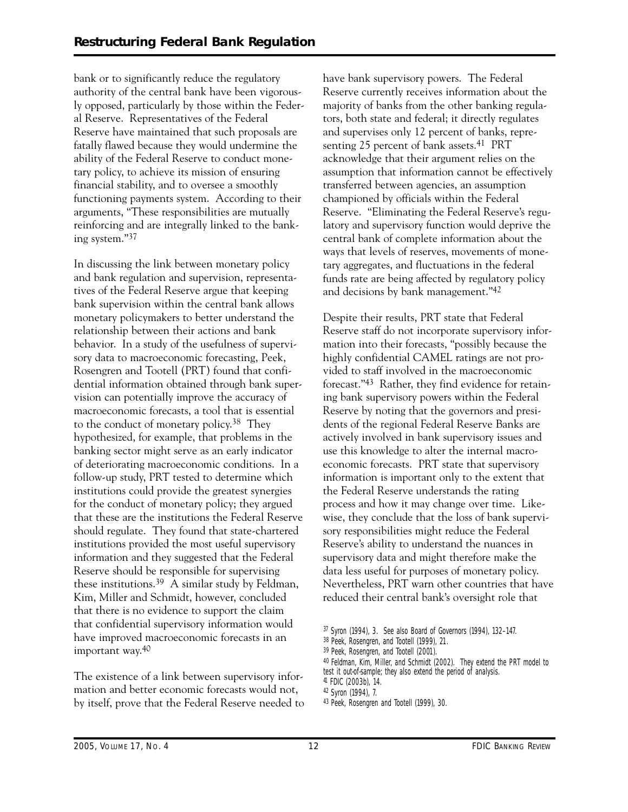bank or to significantly reduce the regulatory authority of the central bank have been vigorously opposed, particularly by those within the Federal Reserve. Representatives of the Federal Reserve have maintained that such proposals are fatally flawed because they would undermine the ability of the Federal Reserve to conduct monetary policy, to achieve its mission of ensuring financial stability, and to oversee a smoothly functioning payments system. According to their arguments, "These responsibilities are mutually reinforcing and are integrally linked to the banking system."37

In discussing the link between monetary policy and bank regulation and supervision, representatives of the Federal Reserve argue that keeping bank supervision within the central bank allows monetary policymakers to better understand the relationship between their actions and bank behavior. In a study of the usefulness of supervisory data to macroeconomic forecasting, Peek, Rosengren and Tootell (PRT) found that confidential information obtained through bank supervision can potentially improve the accuracy of macroeconomic forecasts, a tool that is essential to the conduct of monetary policy.38 They hypothesized, for example, that problems in the banking sector might serve as an early indicator of deteriorating macroeconomic conditions. In a follow-up study, PRT tested to determine which institutions could provide the greatest synergies for the conduct of monetary policy; they argued that these are the institutions the Federal Reserve should regulate. They found that state-chartered institutions provided the most useful supervisory information and they suggested that the Federal Reserve should be responsible for supervising these institutions.39 A similar study by Feldman, Kim, Miller and Schmidt, however, concluded that there is no evidence to support the claim that confidential supervisory information would have improved macroeconomic forecasts in an important way.40

The existence of a link between supervisory information and better economic forecasts would not, by itself, prove that the Federal Reserve needed to have bank supervisory powers. The Federal Reserve currently receives information about the majority of banks from the other banking regulators, both state and federal; it directly regulates and supervises only 12 percent of banks, representing 25 percent of bank assets.<sup>41</sup> PRT acknowledge that their argument relies on the assumption that information cannot be effectively transferred between agencies, an assumption championed by officials within the Federal Reserve. "Eliminating the Federal Reserve's regulatory and supervisory function would deprive the central bank of complete information about the ways that levels of reserves, movements of monetary aggregates, and fluctuations in the federal funds rate are being affected by regulatory policy and decisions by bank management."42

Despite their results, PRT state that Federal Reserve staff do not incorporate supervisory information into their forecasts, "possibly because the highly confidential CAMEL ratings are not provided to staff involved in the macroeconomic forecast."43 Rather, they find evidence for retaining bank supervisory powers within the Federal Reserve by noting that the governors and presidents of the regional Federal Reserve Banks are actively involved in bank supervisory issues and use this knowledge to alter the internal macroeconomic forecasts. PRT state that supervisory information is important only to the extent that the Federal Reserve understands the rating process and how it may change over time. Likewise, they conclude that the loss of bank supervisory responsibilities might reduce the Federal Reserve's ability to understand the nuances in supervisory data and might therefore make the data less useful for purposes of monetary policy. Nevertheless, PRT warn other countries that have reduced their central bank's oversight role that

- 38 Peek, Rosengren, and Tootell (1999), 21.
- 39 Peek, Rosengren, and Tootell (2001).
- 40 Feldman, Kim, Miller, and Schmidt (2002). They extend the PRT model to
- test it out-of-sample; they also extend the period of analysis.

<sup>37</sup> Syron (1994), 3. See also Board of Governors (1994), 132–147.

<sup>41</sup> FDIC (2003b), 14.

 42 Syron (1994), 7.

<sup>43</sup> Peek, Rosengren and Tootell (1999), 30.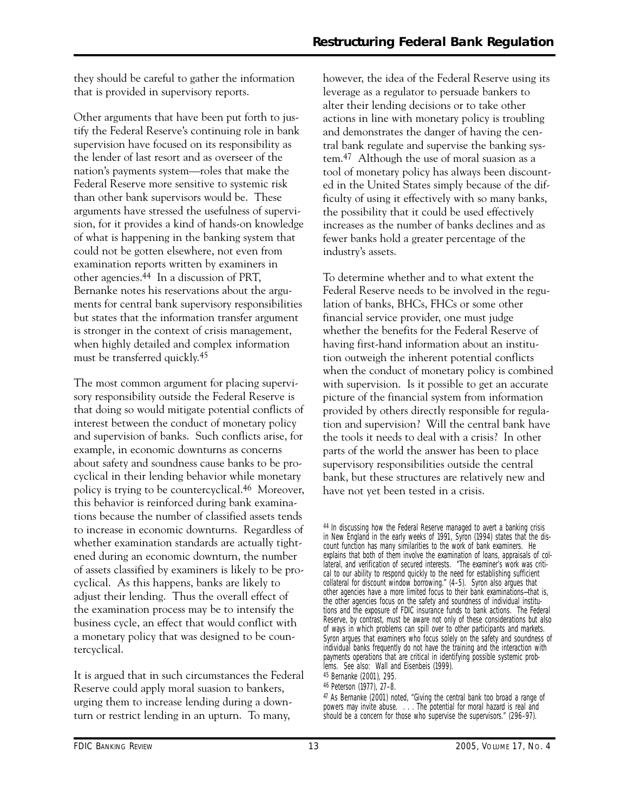they should be careful to gather the information that is provided in supervisory reports.

Other arguments that have been put forth to justify the Federal Reserve's continuing role in bank supervision have focused on its responsibility as the lender of last resort and as overseer of the nation's payments system—roles that make the Federal Reserve more sensitive to systemic risk than other bank supervisors would be. These arguments have stressed the usefulness of supervision, for it provides a kind of hands-on knowledge of what is happening in the banking system that could not be gotten elsewhere, not even from examination reports written by examiners in other agencies.44 In a discussion of PRT, Bernanke notes his reservations about the arguments for central bank supervisory responsibilities but states that the information transfer argument is stronger in the context of crisis management, when highly detailed and complex information must be transferred quickly.45

The most common argument for placing supervisory responsibility outside the Federal Reserve is that doing so would mitigate potential conflicts of interest between the conduct of monetary policy and supervision of banks. Such conflicts arise, for example, in economic downturns as concerns about safety and soundness cause banks to be procyclical in their lending behavior while monetary policy is trying to be countercyclical.46 Moreover, this behavior is reinforced during bank examinations because the number of classified assets tends to increase in economic downturns. Regardless of whether examination standards are actually tightened during an economic downturn, the number of assets classified by examiners is likely to be procyclical. As this happens, banks are likely to adjust their lending. Thus the overall effect of the examination process may be to intensify the business cycle, an effect that would conflict with a monetary policy that was designed to be countercyclical.

It is argued that in such circumstances the Federal Reserve could apply moral suasion to bankers, urging them to increase lending during a downturn or restrict lending in an upturn. To many,

however, the idea of the Federal Reserve using its leverage as a regulator to persuade bankers to alter their lending decisions or to take other actions in line with monetary policy is troubling and demonstrates the danger of having the central bank regulate and supervise the banking system.47 Although the use of moral suasion as a tool of monetary policy has always been discounted in the United States simply because of the difficulty of using it effectively with so many banks, the possibility that it could be used effectively increases as the number of banks declines and as fewer banks hold a greater percentage of the industry's assets.

To determine whether and to what extent the Federal Reserve needs to be involved in the regulation of banks, BHCs, FHCs or some other financial service provider, one must judge whether the benefits for the Federal Reserve of having first-hand information about an institution outweigh the inherent potential conflicts when the conduct of monetary policy is combined with supervision. Is it possible to get an accurate picture of the financial system from information provided by others directly responsible for regulation and supervision? Will the central bank have the tools it needs to deal with a crisis? In other parts of the world the answer has been to place supervisory responsibilities outside the central bank, but these structures are relatively new and have not yet been tested in a crisis.

<sup>44</sup> In discussing how the Federal Reserve managed to avert a banking crisis in New England in the early weeks of 1991, Syron (1994) states that the discount function has many similarities to the work of bank examiners. He explains that both of them involve the examination of loans, appraisals of collateral, and verification of secured interests. "The examiner's work was critical to our ability to respond quickly to the need for establishing sufficient collateral for discount window borrowing." (4–5). Syron also argues that other agencies have a more limited focus to their bank examinations—that is, the other agencies focus on the safety and soundness of individual institutions and the exposure of FDIC insurance funds to bank actions. The Federal Reserve, by contrast, must be aware not only of these considerations but also of ways in which problems can spill over to other participants and markets. Syron argues that examiners who focus solely on the safety and soundness of individual banks frequently do not have the training and the interaction with payments operations that are critical in identifying possible systemic problems. See also: Wall and Eisenbeis (1999).

<sup>45</sup> Bernanke (2001), 295. 46 Peterson (1977), 27–8.

<sup>47</sup> As Bernanke (2001) noted, "Giving the central bank too broad a range of powers may invite abuse. . . . The potential for moral hazard is real and should be a concern for those who supervise the supervisors." (296–97).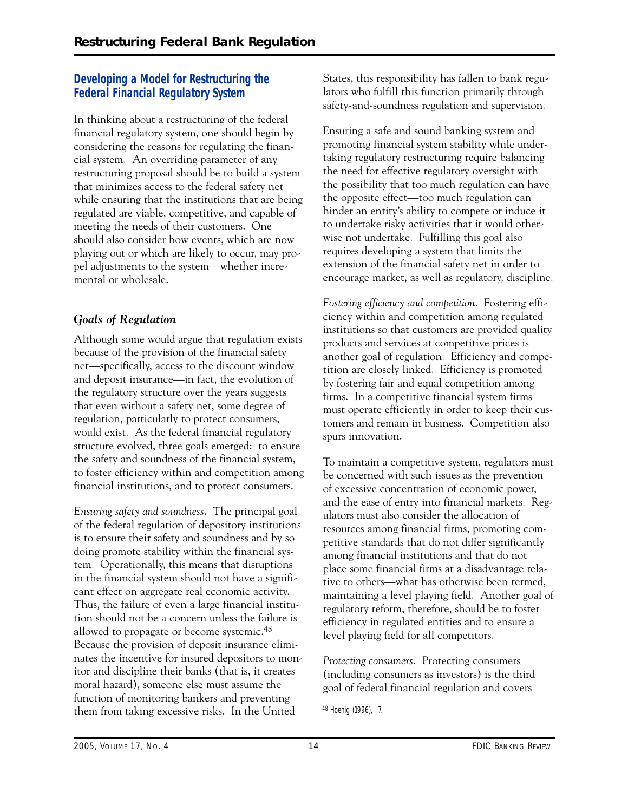## **Developing a Model for Restructuring the Federal Financial Regulatory System**

In thinking about a restructuring of the federal financial regulatory system, one should begin by considering the reasons for regulating the financial system. An overriding parameter of any restructuring proposal should be to build a system that minimizes access to the federal safety net while ensuring that the institutions that are being regulated are viable, competitive, and capable of meeting the needs of their customers. One should also consider how events, which are now playing out or which are likely to occur, may propel adjustments to the system—whether incremental or wholesale.

## *Goals of Regulation*

Although some would argue that regulation exists because of the provision of the financial safety net—specifically, access to the discount window and deposit insurance—in fact, the evolution of the regulatory structure over the years suggests that even without a safety net, some degree of regulation, particularly to protect consumers, would exist. As the federal financial regulatory structure evolved, three goals emerged: to ensure the safety and soundness of the financial system, to foster efficiency within and competition among financial institutions, and to protect consumers.

*Ensuring safety and soundness*. The principal goal of the federal regulation of depository institutions is to ensure their safety and soundness and by so doing promote stability within the financial system. Operationally, this means that disruptions in the financial system should not have a significant effect on aggregate real economic activity. Thus, the failure of even a large financial institution should not be a concern unless the failure is allowed to propagate or become systemic.48 Because the provision of deposit insurance eliminates the incentive for insured depositors to monitor and discipline their banks (that is, it creates moral hazard), someone else must assume the function of monitoring bankers and preventing them from taking excessive risks. In the United

States, this responsibility has fallen to bank regulators who fulfill this function primarily through safety-and-soundness regulation and supervision.

Ensuring a safe and sound banking system and promoting financial system stability while undertaking regulatory restructuring require balancing the need for effective regulatory oversight with the possibility that too much regulation can have the opposite effect—too much regulation can hinder an entity's ability to compete or induce it to undertake risky activities that it would otherwise not undertake. Fulfilling this goal also requires developing a system that limits the extension of the financial safety net in order to encourage market, as well as regulatory, discipline.

*Fostering efficiency and competition*. Fostering efficiency within and competition among regulated institutions so that customers are provided quality products and services at competitive prices is another goal of regulation. Efficiency and competition are closely linked. Efficiency is promoted by fostering fair and equal competition among firms. In a competitive financial system firms must operate efficiently in order to keep their customers and remain in business. Competition also spurs innovation.

To maintain a competitive system, regulators must be concerned with such issues as the prevention of excessive concentration of economic power, and the ease of entry into financial markets. Regulators must also consider the allocation of resources among financial firms, promoting competitive standards that do not differ significantly among financial institutions and that do not place some financial firms at a disadvantage relative to others—what has otherwise been termed, maintaining a level playing field. Another goal of regulatory reform, therefore, should be to foster efficiency in regulated entities and to ensure a level playing field for all competitors.

*Protecting consumers*. Protecting consumers (including consumers as investors) is the third goal of federal financial regulation and covers

48 Hoenig (1996), 7.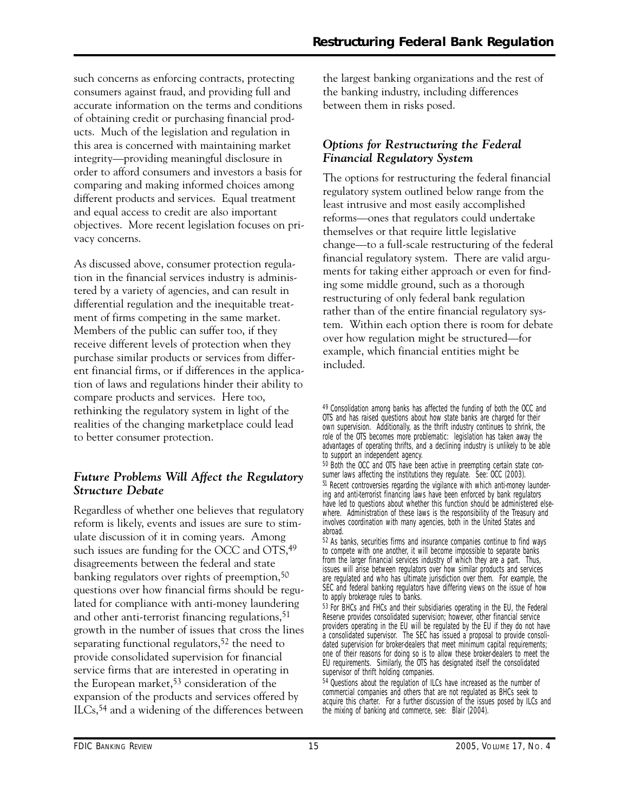such concerns as enforcing contracts, protecting consumers against fraud, and providing full and accurate information on the terms and conditions of obtaining credit or purchasing financial products. Much of the legislation and regulation in this area is concerned with maintaining market integrity—providing meaningful disclosure in order to afford consumers and investors a basis for comparing and making informed choices among different products and services. Equal treatment and equal access to credit are also important objectives. More recent legislation focuses on privacy concerns.

As discussed above, consumer protection regulation in the financial services industry is administered by a variety of agencies, and can result in differential regulation and the inequitable treatment of firms competing in the same market. Members of the public can suffer too, if they receive different levels of protection when they purchase similar products or services from different financial firms, or if differences in the application of laws and regulations hinder their ability to compare products and services. Here too, rethinking the regulatory system in light of the realities of the changing marketplace could lead to better consumer protection.

#### *Future Problems Will Affect the Regulatory Structure Debate*

Regardless of whether one believes that regulatory reform is likely, events and issues are sure to stimulate discussion of it in coming years. Among such issues are funding for the OCC and OTS,  $49$ disagreements between the federal and state banking regulators over rights of preemption,<sup>50</sup> questions over how financial firms should be regulated for compliance with anti-money laundering and other anti-terrorist financing regulations,<sup>51</sup> growth in the number of issues that cross the lines separating functional regulators,<sup>52</sup> the need to provide consolidated supervision for financial service firms that are interested in operating in the European market,<sup>53</sup> consideration of the expansion of the products and services offered by ILCs,54 and a widening of the differences between

the largest banking organizations and the rest of the banking industry, including differences between them in risks posed.

### *Options for Restructuring the Federal Financial Regulatory System*

The options for restructuring the federal financial regulatory system outlined below range from the least intrusive and most easily accomplished reforms—ones that regulators could undertake themselves or that require little legislative change—to a full-scale restructuring of the federal financial regulatory system. There are valid arguments for taking either approach or even for finding some middle ground, such as a thorough restructuring of only federal bank regulation rather than of the entire financial regulatory system. Within each option there is room for debate over how regulation might be structured—for example, which financial entities might be included.

<sup>49</sup> Consolidation among banks has affected the funding of both the OCC and OTS and has raised questions about how state banks are charged for their own supervision. Additionally, as the thrift industry continues to shrink, the role of the OTS becomes more problematic: legislation has taken away the advantages of operating thrifts, and a declining industry is unlikely to be able to support an independent agency.

<sup>50</sup> Both the OCC and OTS have been active in preempting certain state consumer laws affecting the institutions they regulate. See: OCC (2003). 51 Recent controversies regarding the vigilance with which anti-money laundering and anti-terrorist financing laws have been enforced by bank regulators have led to questions about whether this function should be administered elsewhere. Administration of these laws is the responsibility of the Treasury and involves coordination with many agencies, both in the United States and abroad.

<sup>52</sup> As banks, securities firms and insurance companies continue to find ways to compete with one another, it will become impossible to separate banks from the larger financial services industry of which they are a part. Thus, issues will arise between regulators over how similar products and services are regulated and who has ultimate jurisdiction over them. For example, the SEC and federal banking regulators have differing views on the issue of how to apply brokerage rules to banks.

<sup>53</sup> For BHCs and FHCs and their subsidiaries operating in the EU, the Federal Reserve provides consolidated supervision; however, other financial service providers operating in the EU will be regulated by the EU if they do not have a consolidated supervisor. The SEC has issued a proposal to provide consolidated supervision for broker-dealers that meet minimum capital requirements; one of their reasons for doing so is to allow these broker-dealers to meet the EU requirements. Similarly, the OTS has designated itself the consolidated supervisor of thrift holding companies.

 acquire this charter. For a further discussion of the issues posed by ILCs and 54 Questions about the regulation of ILCs have increased as the number of commercial companies and others that are not regulated as BHCs seek to the mixing of banking and commerce, see: Blair (2004).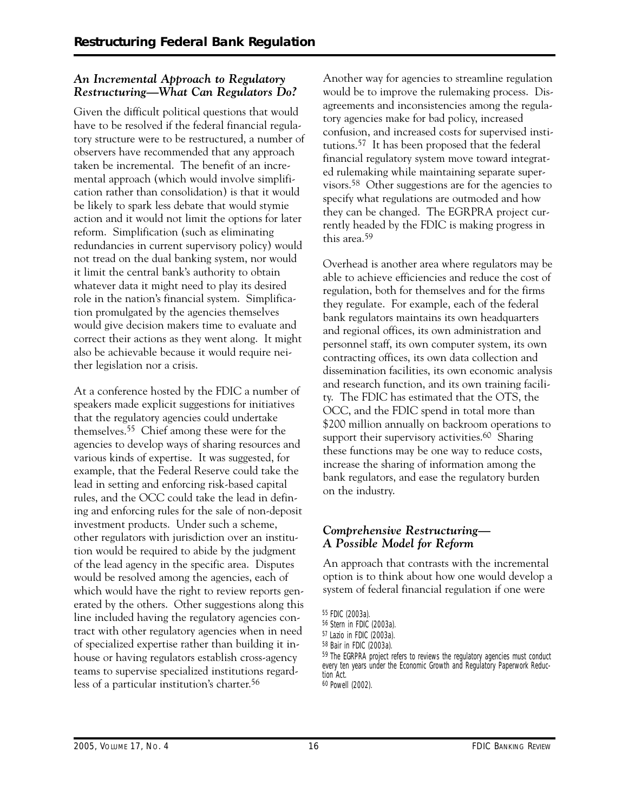#### *An Incremental Approach to Regulatory Restructuring—What Can Regulators Do?*

Given the difficult political questions that would have to be resolved if the federal financial regulatory structure were to be restructured, a number of observers have recommended that any approach taken be incremental. The benefit of an incremental approach (which would involve simplification rather than consolidation) is that it would be likely to spark less debate that would stymie action and it would not limit the options for later reform. Simplification (such as eliminating redundancies in current supervisory policy) would not tread on the dual banking system, nor would it limit the central bank's authority to obtain whatever data it might need to play its desired role in the nation's financial system. Simplification promulgated by the agencies themselves would give decision makers time to evaluate and correct their actions as they went along. It might also be achievable because it would require neither legislation nor a crisis.

At a conference hosted by the FDIC a number of speakers made explicit suggestions for initiatives that the regulatory agencies could undertake themselves.55 Chief among these were for the agencies to develop ways of sharing resources and various kinds of expertise. It was suggested, for example, that the Federal Reserve could take the lead in setting and enforcing risk-based capital rules, and the OCC could take the lead in defining and enforcing rules for the sale of non-deposit investment products. Under such a scheme, other regulators with jurisdiction over an institution would be required to abide by the judgment of the lead agency in the specific area. Disputes would be resolved among the agencies, each of which would have the right to review reports generated by the others. Other suggestions along this line included having the regulatory agencies contract with other regulatory agencies when in need of specialized expertise rather than building it inhouse or having regulators establish cross-agency teams to supervise specialized institutions regardless of a particular institution's charter.56

Another way for agencies to streamline regulation would be to improve the rulemaking process. Disagreements and inconsistencies among the regulatory agencies make for bad policy, increased confusion, and increased costs for supervised institutions.57 It has been proposed that the federal financial regulatory system move toward integrated rulemaking while maintaining separate supervisors.58 Other suggestions are for the agencies to specify what regulations are outmoded and how they can be changed. The EGRPRA project currently headed by the FDIC is making progress in this area.59

Overhead is another area where regulators may be able to achieve efficiencies and reduce the cost of regulation, both for themselves and for the firms they regulate. For example, each of the federal bank regulators maintains its own headquarters and regional offices, its own administration and personnel staff, its own computer system, its own contracting offices, its own data collection and dissemination facilities, its own economic analysis and research function, and its own training facility. The FDIC has estimated that the OTS, the OCC, and the FDIC spend in total more than \$200 million annually on backroom operations to support their supervisory activities.<sup>60</sup> Sharing these functions may be one way to reduce costs, increase the sharing of information among the bank regulators, and ease the regulatory burden on the industry.

#### *Comprehensive Restructuring— A Possible Model for Reform*

An approach that contrasts with the incremental option is to think about how one would develop a system of federal financial regulation if one were

<sup>55</sup> FDIC (2003a).

<sup>56</sup> Stern in FDIC (2003a).

<sup>57</sup> Lazio in FDIC (2003a).

<sup>58</sup> Bair in FDIC (2003a).

<sup>&</sup>lt;sup>59</sup> The EGRPRA project refers to reviews the regulatory agencies must conduct every ten years under the Economic Growth and Regulatory Paperwork Reduction Act.

<sup>60</sup> Powell (2002).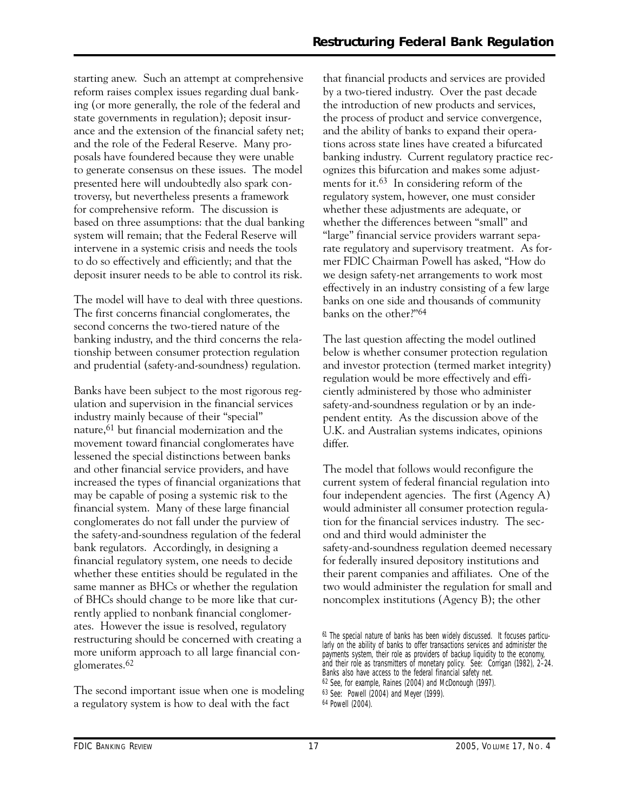starting anew. Such an attempt at comprehensive reform raises complex issues regarding dual banking (or more generally, the role of the federal and state governments in regulation); deposit insurance and the extension of the financial safety net; and the role of the Federal Reserve. Many proposals have foundered because they were unable to generate consensus on these issues. The model presented here will undoubtedly also spark controversy, but nevertheless presents a framework for comprehensive reform. The discussion is based on three assumptions: that the dual banking system will remain; that the Federal Reserve will intervene in a systemic crisis and needs the tools to do so effectively and efficiently; and that the deposit insurer needs to be able to control its risk.

The model will have to deal with three questions. The first concerns financial conglomerates, the second concerns the two-tiered nature of the banking industry, and the third concerns the relationship between consumer protection regulation and prudential (safety-and-soundness) regulation.

Banks have been subject to the most rigorous regulation and supervision in the financial services industry mainly because of their "special" nature,61 but financial modernization and the movement toward financial conglomerates have lessened the special distinctions between banks and other financial service providers, and have increased the types of financial organizations that may be capable of posing a systemic risk to the financial system. Many of these large financial conglomerates do not fall under the purview of the safety-and-soundness regulation of the federal bank regulators. Accordingly, in designing a financial regulatory system, one needs to decide whether these entities should be regulated in the same manner as BHCs or whether the regulation of BHCs should change to be more like that currently applied to nonbank financial conglomerates. However the issue is resolved, regulatory restructuring should be concerned with creating a more uniform approach to all large financial conglomerates.62

The second important issue when one is modeling a regulatory system is how to deal with the fact

that financial products and services are provided by a two-tiered industry. Over the past decade the introduction of new products and services, the process of product and service convergence, and the ability of banks to expand their operations across state lines have created a bifurcated banking industry. Current regulatory practice recognizes this bifurcation and makes some adjustments for it.63 In considering reform of the regulatory system, however, one must consider whether these adjustments are adequate, or whether the differences between "small" and "large" financial service providers warrant separate regulatory and supervisory treatment. As former FDIC Chairman Powell has asked, "How do we design safety-net arrangements to work most effectively in an industry consisting of a few large banks on one side and thousands of community banks on the other?"64

The last question affecting the model outlined below is whether consumer protection regulation and investor protection (termed market integrity) regulation would be more effectively and efficiently administered by those who administer safety-and-soundness regulation or by an independent entity. As the discussion above of the U.K. and Australian systems indicates, opinions differ.

The model that follows would reconfigure the current system of federal financial regulation into four independent agencies. The first (Agency A) would administer all consumer protection regulation for the financial services industry. The second and third would administer the safety-and-soundness regulation deemed necessary for federally insured depository institutions and their parent companies and affiliates. One of the two would administer the regulation for small and noncomplex institutions (Agency B); the other

62 See, for example, Raines (2004) and McDonough (1997). 63 See: Powell (2004) and Meyer (1999).

<sup>61</sup> The special nature of banks has been widely discussed. It focuses particularly on the ability of banks to offer transactions services and administer the payments system, their role as providers of backup liquidity to the economy, and their role as transmitters of monetary policy. See: Corrigan (1982), 2-24. Banks also have access to the federal financial safety net.

<sup>64</sup> Powell (2004).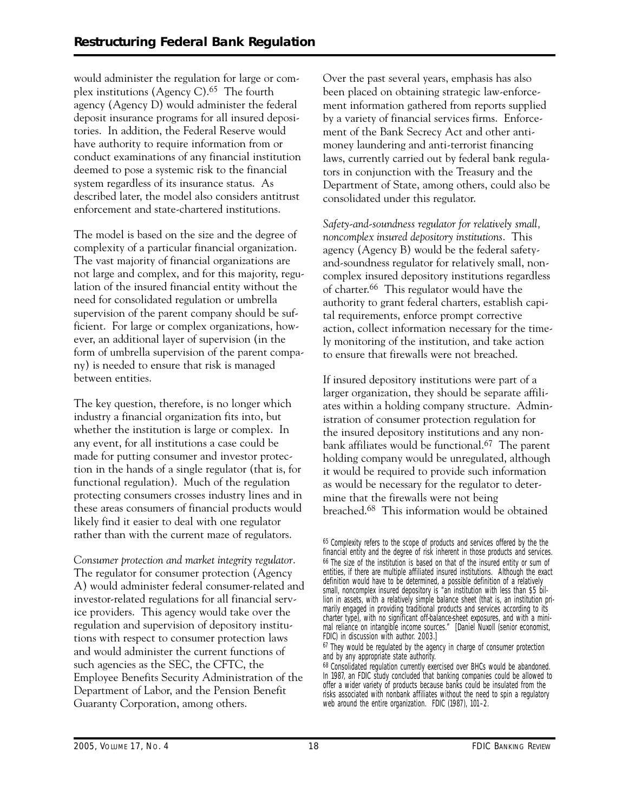would administer the regulation for large or complex institutions (Agency C).65 The fourth agency (Agency D) would administer the federal deposit insurance programs for all insured depositories. In addition, the Federal Reserve would have authority to require information from or conduct examinations of any financial institution deemed to pose a systemic risk to the financial system regardless of its insurance status. As described later, the model also considers antitrust enforcement and state-chartered institutions.

The model is based on the size and the degree of complexity of a particular financial organization. The vast majority of financial organizations are not large and complex, and for this majority, regulation of the insured financial entity without the need for consolidated regulation or umbrella supervision of the parent company should be sufficient. For large or complex organizations, however, an additional layer of supervision (in the form of umbrella supervision of the parent company) is needed to ensure that risk is managed between entities.

The key question, therefore, is no longer which industry a financial organization fits into, but whether the institution is large or complex. In any event, for all institutions a case could be made for putting consumer and investor protection in the hands of a single regulator (that is, for functional regulation). Much of the regulation protecting consumers crosses industry lines and in these areas consumers of financial products would likely find it easier to deal with one regulator rather than with the current maze of regulators.

*Consumer protection and market integrity regulator*. The regulator for consumer protection (Agency A) would administer federal consumer-related and investor-related regulations for all financial service providers. This agency would take over the regulation and supervision of depository institutions with respect to consumer protection laws and would administer the current functions of such agencies as the SEC, the CFTC, the Employee Benefits Security Administration of the Department of Labor, and the Pension Benefit Guaranty Corporation, among others.

Over the past several years, emphasis has also been placed on obtaining strategic law-enforcement information gathered from reports supplied by a variety of financial services firms. Enforcement of the Bank Secrecy Act and other antimoney laundering and anti-terrorist financing laws, currently carried out by federal bank regulators in conjunction with the Treasury and the Department of State, among others, could also be consolidated under this regulator.

*Safety-and-soundness regulator for relatively small, noncomplex insured depository institutions*. This agency (Agency B) would be the federal safetyand-soundness regulator for relatively small, noncomplex insured depository institutions regardless of charter.66 This regulator would have the authority to grant federal charters, establish capital requirements, enforce prompt corrective action, collect information necessary for the timely monitoring of the institution, and take action to ensure that firewalls were not breached.

If insured depository institutions were part of a larger organization, they should be separate affiliates within a holding company structure. Administration of consumer protection regulation for the insured depository institutions and any nonbank affiliates would be functional.67 The parent holding company would be unregulated, although it would be required to provide such information as would be necessary for the regulator to determine that the firewalls were not being breached.68 This information would be obtained

65 Complexity refers to the scope of products and services offered by the the financial entity and the degree of risk inherent in those products and services. 66 The size of the institution is based on that of the insured entity or sum of entities, if there are multiple affiliated insured institutions. Although the exact definition would have to be determined, a possible definition of a relatively small, noncomplex insured depository is "an institution with less than \$5 billion in assets, with a relatively simple balance sheet (that is, an institution primarily engaged in providing traditional products and services according to its charter type), with no significant off-balance-sheet exposures, and with a minimal reliance on intangible income sources." [Daniel Nuxoll (senior economist, FDIC) in discussion with author. 2003.]

67 They would be regulated by the agency in charge of consumer protection and by any appropriate state authority.

68 Consolidated regulation currently exercised over BHCs would be abandoned. In 1987, an FDIC study concluded that banking companies could be allowed to offer a wider variety of products because banks could be insulated from the risks associated with nonbank affiliates without the need to spin a regulatory web around the entire organization. FDIC (1987), 101–2.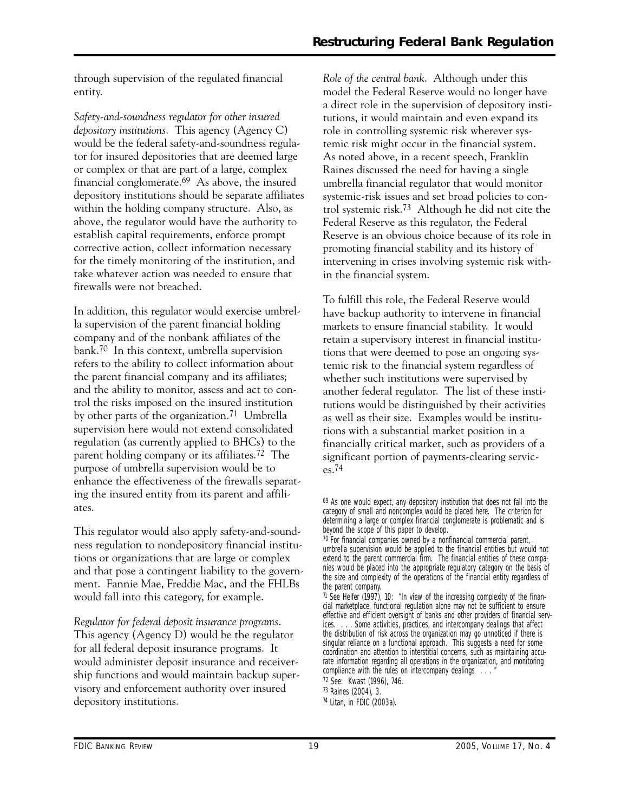through supervision of the regulated financial entity.

*Safety-and-soundness regulator for other insured depository institutions*. This agency (Agency C) would be the federal safety-and-soundness regulator for insured depositories that are deemed large or complex or that are part of a large, complex financial conglomerate.69 As above, the insured depository institutions should be separate affiliates within the holding company structure. Also, as above, the regulator would have the authority to establish capital requirements, enforce prompt corrective action, collect information necessary for the timely monitoring of the institution, and take whatever action was needed to ensure that firewalls were not breached.

In addition, this regulator would exercise umbrella supervision of the parent financial holding company and of the nonbank affiliates of the bank.70 In this context, umbrella supervision refers to the ability to collect information about the parent financial company and its affiliates; and the ability to monitor, assess and act to control the risks imposed on the insured institution by other parts of the organization.71 Umbrella supervision here would not extend consolidated regulation (as currently applied to BHCs) to the parent holding company or its affiliates.72 The purpose of umbrella supervision would be to enhance the effectiveness of the firewalls separating the insured entity from its parent and affiliates.

This regulator would also apply safety-and-soundness regulation to nondepository financial institutions or organizations that are large or complex and that pose a contingent liability to the government. Fannie Mae, Freddie Mac, and the FHLBs would fall into this category, for example.

*Regulator for federal deposit insurance programs*. This agency (Agency D) would be the regulator for all federal deposit insurance programs. It would administer deposit insurance and receivership functions and would maintain backup supervisory and enforcement authority over insured depository institutions.

*Role of the central bank*. Although under this model the Federal Reserve would no longer have a direct role in the supervision of depository institutions, it would maintain and even expand its role in controlling systemic risk wherever systemic risk might occur in the financial system. As noted above, in a recent speech, Franklin Raines discussed the need for having a single umbrella financial regulator that would monitor systemic-risk issues and set broad policies to control systemic risk.73 Although he did not cite the Federal Reserve as this regulator, the Federal Reserve is an obvious choice because of its role in promoting financial stability and its history of intervening in crises involving systemic risk within the financial system.

To fulfill this role, the Federal Reserve would have backup authority to intervene in financial markets to ensure financial stability. It would retain a supervisory interest in financial institutions that were deemed to pose an ongoing systemic risk to the financial system regardless of whether such institutions were supervised by another federal regulator. The list of these institutions would be distinguished by their activities as well as their size. Examples would be institutions with a substantial market position in a financially critical market, such as providers of a significant portion of payments-clearing services.74

<sup>69</sup> As one would expect, any depository institution that does not fall into the category of small and noncomplex would be placed here. The criterion for determining a large or complex financial conglomerate is problematic and is beyond the scope of this paper to develop.

<sup>&</sup>lt;sup>70</sup> For financial companies owned by a nonfinancial commercial parent, umbrella supervision would be applied to the financial entities but would not extend to the parent commercial firm. The financial entities of these companies would be placed into the appropriate regulatory category on the basis of the size and complexity of the operations of the financial entity regardless of the parent company.

<sup>71</sup> See Helfer (1997), 10: "In view of the increasing complexity of the financial marketplace, functional regulation alone may not be sufficient to ensure effective and efficient oversight of banks and other providers of financial serv-<br>lices Some activities practices and intercompany dealings that affect Some activities, practices, and intercompany dealings that affect the distribution of risk across the organization may go unnoticed if there is singular reliance on a functional approach. This suggests a need for some coordination and attention to interstitial concerns, such as maintaining accurate information regarding all operations in the organization, and monitoring compliance with the rules on intercompany dealings  $\ldots$ 

<sup>72</sup> See: Kwast (1996), 746.

<sup>73</sup> Raines (2004), 3.

<sup>74</sup> Litan, in FDIC (2003a).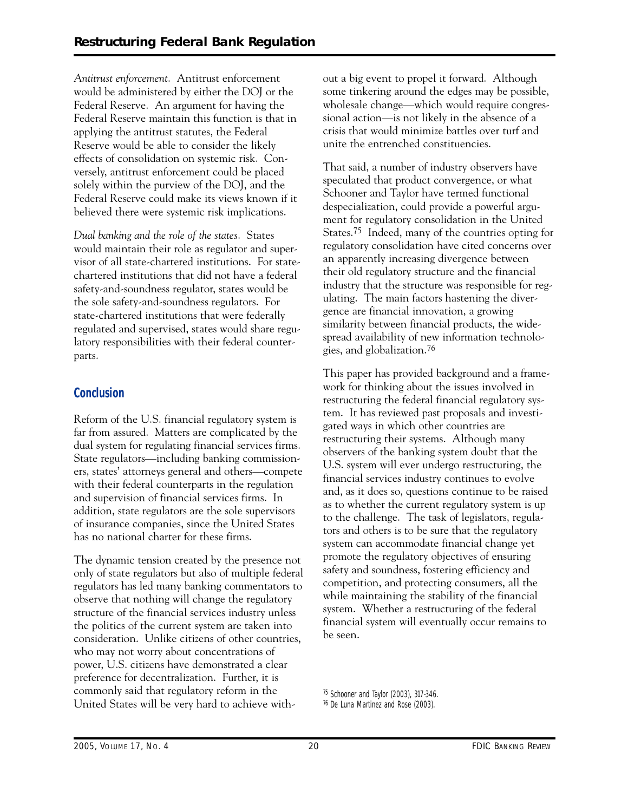*Antitrust enforcement*. Antitrust enforcement would be administered by either the DOJ or the Federal Reserve. An argument for having the Federal Reserve maintain this function is that in applying the antitrust statutes, the Federal Reserve would be able to consider the likely effects of consolidation on systemic risk. Conversely, antitrust enforcement could be placed solely within the purview of the DOJ, and the Federal Reserve could make its views known if it believed there were systemic risk implications.

*Dual banking and the role of the states*. States would maintain their role as regulator and supervisor of all state-chartered institutions. For statechartered institutions that did not have a federal safety-and-soundness regulator, states would be the sole safety-and-soundness regulators. For state-chartered institutions that were federally regulated and supervised, states would share regulatory responsibilities with their federal counterparts.

## **Conclusion**

Reform of the U.S. financial regulatory system is far from assured. Matters are complicated by the dual system for regulating financial services firms. State regulators—including banking commissioners, states' attorneys general and others—compete with their federal counterparts in the regulation and supervision of financial services firms. In addition, state regulators are the sole supervisors of insurance companies, since the United States has no national charter for these firms.

The dynamic tension created by the presence not only of state regulators but also of multiple federal regulators has led many banking commentators to observe that nothing will change the regulatory structure of the financial services industry unless the politics of the current system are taken into consideration. Unlike citizens of other countries, who may not worry about concentrations of power, U.S. citizens have demonstrated a clear preference for decentralization. Further, it is commonly said that regulatory reform in the United States will be very hard to achieve without a big event to propel it forward. Although some tinkering around the edges may be possible, wholesale change—which would require congressional action—is not likely in the absence of a crisis that would minimize battles over turf and unite the entrenched constituencies.

That said, a number of industry observers have speculated that product convergence, or what Schooner and Taylor have termed functional despecialization, could provide a powerful argument for regulatory consolidation in the United States.75 Indeed, many of the countries opting for regulatory consolidation have cited concerns over an apparently increasing divergence between their old regulatory structure and the financial industry that the structure was responsible for regulating. The main factors hastening the divergence are financial innovation, a growing similarity between financial products, the widespread availability of new information technologies, and globalization.76

This paper has provided background and a framework for thinking about the issues involved in restructuring the federal financial regulatory system. It has reviewed past proposals and investigated ways in which other countries are restructuring their systems. Although many observers of the banking system doubt that the U.S. system will ever undergo restructuring, the financial services industry continues to evolve and, as it does so, questions continue to be raised as to whether the current regulatory system is up to the challenge. The task of legislators, regulators and others is to be sure that the regulatory system can accommodate financial change yet promote the regulatory objectives of ensuring safety and soundness, fostering efficiency and competition, and protecting consumers, all the while maintaining the stability of the financial system. Whether a restructuring of the federal financial system will eventually occur remains to be seen.

<sup>75</sup> Schooner and Taylor (2003), 317-346.

<sup>76</sup> De Luna Martinez and Rose (2003).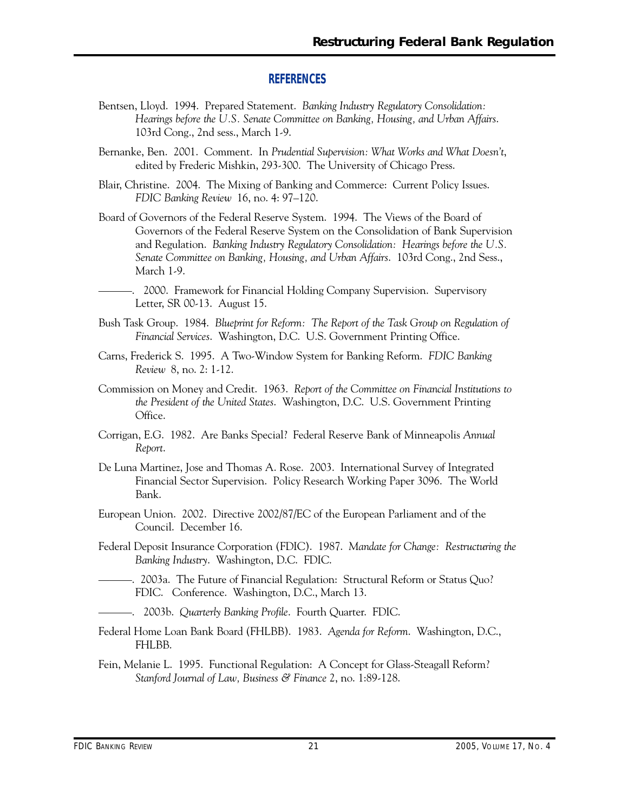#### **REFERENCES**

- Bentsen, Lloyd. 1994. Prepared Statement. *Banking Industry Regulatory Consolidation: Hearings before the U.S. Senate Committee on Banking, Housing, and Urban Affairs*. 103rd Cong., 2nd sess., March 1-9.
- Bernanke, Ben. 2001. Comment. In *Prudential Supervision: What Works and What Doesn't*, edited by Frederic Mishkin, 293-300. The University of Chicago Press.
- Blair, Christine. 2004. The Mixing of Banking and Commerce: Current Policy Issues. *FDIC Banking Review* 16, no. 4: 97–120.
- Board of Governors of the Federal Reserve System. 1994. The Views of the Board of Governors of the Federal Reserve System on the Consolidation of Bank Supervision and Regulation. *Banking Industry Regulatory Consolidation: Hearings before the U.S. Senate Committee on Banking, Housing, and Urban Affairs*. 103rd Cong., 2nd Sess., March 1-9.
- ———. 2000. Framework for Financial Holding Company Supervision. Supervisory Letter, SR 00-13. August 15.
- Bush Task Group. 1984. *Blueprint for Reform: The Report of the Task Group on Regulation of Financial Services*. Washington, D.C. U.S. Government Printing Office.
- Carns, Frederick S. 1995. A Two-Window System for Banking Reform. *FDIC Banking Review* 8, no. 2: 1-12.
- Commission on Money and Credit. 1963. *Report of the Committee on Financial Institutions to the President of the United States*. Washington, D.C. U.S. Government Printing Office.
- Corrigan, E.G. 1982. Are Banks Special? Federal Reserve Bank of Minneapolis *Annual Report*.
- De Luna Martinez, Jose and Thomas A. Rose. 2003. International Survey of Integrated Financial Sector Supervision. Policy Research Working Paper 3096. The World Bank.
- European Union. 2002. Directive 2002/87/EC of the European Parliament and of the Council. December 16.
- Federal Deposit Insurance Corporation (FDIC). 1987. *Mandate for Change: Restructuring the Banking Industry*. Washington, D.C. FDIC.
- ———. 2003a. The Future of Financial Regulation: Structural Reform or Status Quo? FDIC. Conference. Washington, D.C., March 13.
- ———. 2003b. *Quarterly Banking Profile*. Fourth Quarter. FDIC.
- Federal Home Loan Bank Board (FHLBB). 1983. *Agenda for Reform*. Washington, D.C., FHLBB.
- Fein, Melanie L. 1995. Functional Regulation: A Concept for Glass-Steagall Reform? *Stanford Journal of Law, Business & Finance* 2, no. 1:89-128.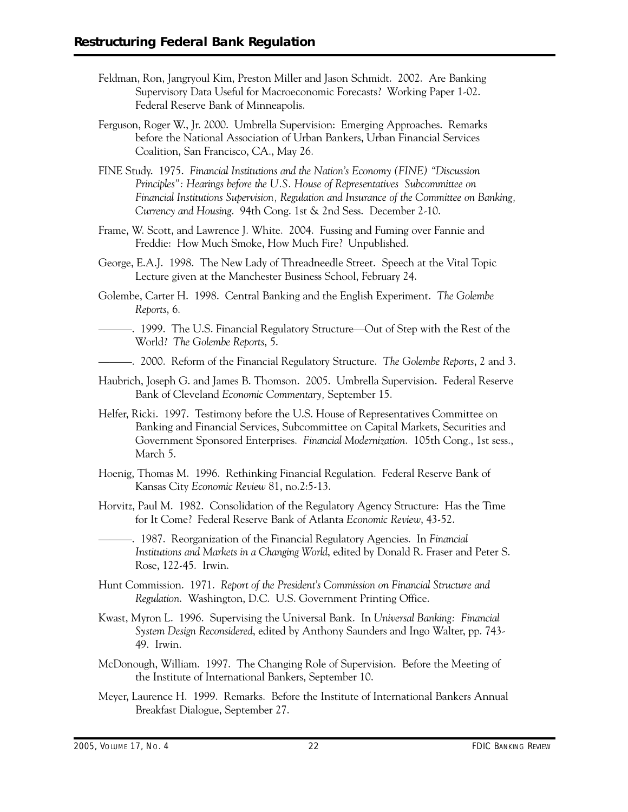- Feldman, Ron, Jangryoul Kim, Preston Miller and Jason Schmidt. 2002. Are Banking Supervisory Data Useful for Macroeconomic Forecasts? Working Paper 1-02. Federal Reserve Bank of Minneapolis.
- Ferguson, Roger W., Jr. 2000. Umbrella Supervision: Emerging Approaches. Remarks before the National Association of Urban Bankers, Urban Financial Services Coalition, San Francisco, CA., May 26.
- FINE Study. 1975. *Financial Institutions and the Nation's Economy (FINE) "Discussion Principles": Hearings before the U.S. House of Representatives Subcommittee on Financial Institutions Supervision, Regulation and Insurance of the Committee on Banking, Currency and Housing*. 94th Cong. 1st & 2nd Sess. December 2-10.
- Frame, W. Scott, and Lawrence J. White. 2004. Fussing and Fuming over Fannie and Freddie: How Much Smoke, How Much Fire? Unpublished.
- George, E.A.J. 1998. The New Lady of Threadneedle Street. Speech at the Vital Topic Lecture given at the Manchester Business School, February 24.
- Golembe, Carter H. 1998. Central Banking and the English Experiment. *The Golembe Reports*, 6.
- ———. 1999. The U.S. Financial Regulatory Structure—Out of Step with the Rest of the World? *The Golembe Reports*, 5.
- ———. 2000. Reform of the Financial Regulatory Structure. *The Golembe Reports*, 2 and 3.
- Haubrich, Joseph G. and James B. Thomson. 2005. Umbrella Supervision. Federal Reserve Bank of Cleveland *Economic Commentary,* September 15.
- Helfer, Ricki. 1997. Testimony before the U.S. House of Representatives Committee on Banking and Financial Services, Subcommittee on Capital Markets, Securities and Government Sponsored Enterprises. *Financial Modernization*. 105th Cong., 1st sess., March 5.
- Hoenig, Thomas M. 1996. Rethinking Financial Regulation. Federal Reserve Bank of Kansas City *Economic Review* 81, no.2:5-13.
- Horvitz, Paul M. 1982. Consolidation of the Regulatory Agency Structure: Has the Time for It Come? Federal Reserve Bank of Atlanta *Economic Review*, 43-52.
- ———. 1987. Reorganization of the Financial Regulatory Agencies. In *Financial Institutions and Markets in a Changing World*, edited by Donald R. Fraser and Peter S. Rose, 122-45. Irwin.
- Hunt Commission. 1971. *Report of the President's Commission on Financial Structure and Regulation*. Washington, D.C. U.S. Government Printing Office.
- Kwast, Myron L. 1996. Supervising the Universal Bank. In *Universal Banking: Financial System Design Reconsidered*, edited by Anthony Saunders and Ingo Walter, pp. 743 49. Irwin.
- McDonough, William. 1997. The Changing Role of Supervision. Before the Meeting of the Institute of International Bankers, September 10.
- Meyer, Laurence H. 1999. Remarks. Before the Institute of International Bankers Annual Breakfast Dialogue, September 27.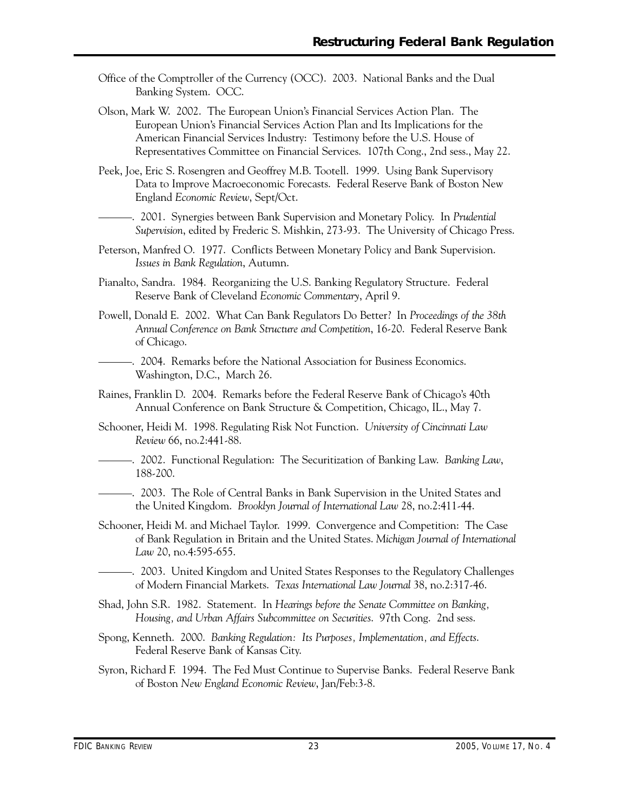- Office of the Comptroller of the Currency (OCC). 2003. National Banks and the Dual Banking System. OCC.
- Olson, Mark W. 2002. The European Union's Financial Services Action Plan. The European Union's Financial Services Action Plan and Its Implications for the American Financial Services Industry: Testimony before the U.S. House of Representatives Committee on Financial Services. 107th Cong., 2nd sess., May 22.
- Peek, Joe, Eric S. Rosengren and Geoffrey M.B. Tootell. 1999. Using Bank Supervisory Data to Improve Macroeconomic Forecasts. Federal Reserve Bank of Boston New England *Economic Review*, Sept/Oct.
- ———. 2001. Synergies between Bank Supervision and Monetary Policy. In *Prudential Supervision*, edited by Frederic S. Mishkin, 273-93. The University of Chicago Press.
- Peterson, Manfred O. 1977. Conflicts Between Monetary Policy and Bank Supervision. *Issues in Bank Regulation*, Autumn.
- Pianalto, Sandra. 1984. Reorganizing the U.S. Banking Regulatory Structure. Federal Reserve Bank of Cleveland *Economic Commentary*, April 9.
- Powell, Donald E. 2002. What Can Bank Regulators Do Better? In *Proceedings of the 38th Annual Conference on Bank Structure and Competition*, 16-20. Federal Reserve Bank of Chicago.
- ———. 2004. Remarks before the National Association for Business Economics. Washington, D.C., March 26.
- Raines, Franklin D. 2004. Remarks before the Federal Reserve Bank of Chicago's 40th Annual Conference on Bank Structure & Competition, Chicago, IL., May 7.
- Schooner, Heidi M. 1998. Regulating Risk Not Function. *University of Cincinnati Law Review* 66, no.2:441-88.
- ———. 2002. Functional Regulation: The Securitization of Banking Law. *Banking Law*, 188-200.
- ———. 2003. The Role of Central Banks in Bank Supervision in the United States and the United Kingdom. *Brooklyn Journal of International Law* 28, no.2:411-44.
- Schooner, Heidi M. and Michael Taylor. 1999. Convergence and Competition: The Case of Bank Regulation in Britain and the United States. *Michigan Journal of International Law* 20, no.4:595-655.
- ———. 2003. United Kingdom and United States Responses to the Regulatory Challenges of Modern Financial Markets. *Texas International Law Journal* 38, no.2:317-46.
- Shad, John S.R. 1982. Statement. In *Hearings before the Senate Committee on Banking, Housing, and Urban Affairs Subcommittee on Securities*. 97th Cong. 2nd sess.
- Spong, Kenneth. 2000. *Banking Regulation: Its Purposes, Implementation, and Effects*. Federal Reserve Bank of Kansas City.
- Syron, Richard F. 1994. The Fed Must Continue to Supervise Banks. Federal Reserve Bank of Boston *New England Economic Review*, Jan/Feb:3-8.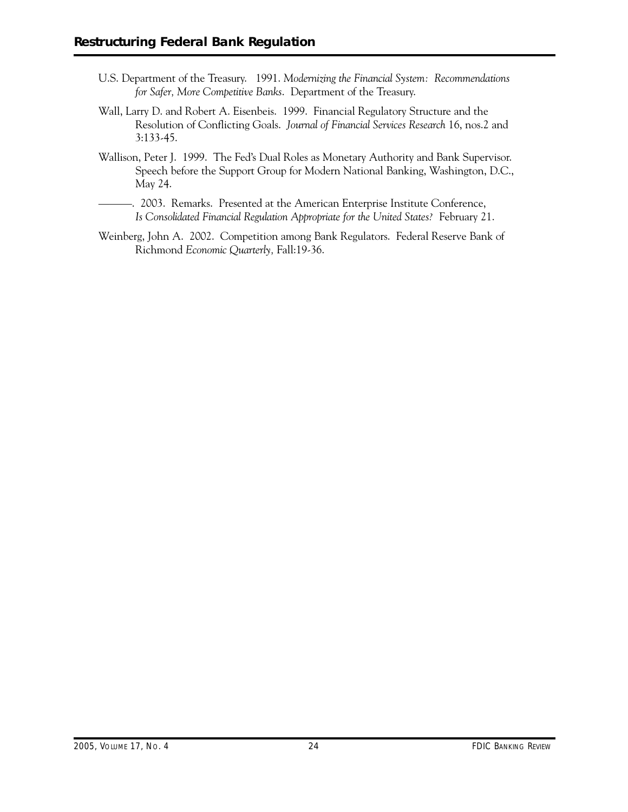- U.S. Department of the Treasury. 1991. *Modernizing the Financial System: Recommendations for Safer, More Competitive Banks*. Department of the Treasury.
- Wall, Larry D. and Robert A. Eisenbeis. 1999. Financial Regulatory Structure and the Resolution of Conflicting Goals. *Journal of Financial Services Research* 16, nos.2 and 3:133-45.
- Wallison, Peter J. 1999. The Fed's Dual Roles as Monetary Authority and Bank Supervisor. Speech before the Support Group for Modern National Banking, Washington, D.C., May 24.
- ———. 2003. Remarks. Presented at the American Enterprise Institute Conference, *Is Consolidated Financial Regulation Appropriate for the United States?* February 21.
- Weinberg, John A. 2002. Competition among Bank Regulators. Federal Reserve Bank of Richmond *Economic Quarterly,* Fall:19-36.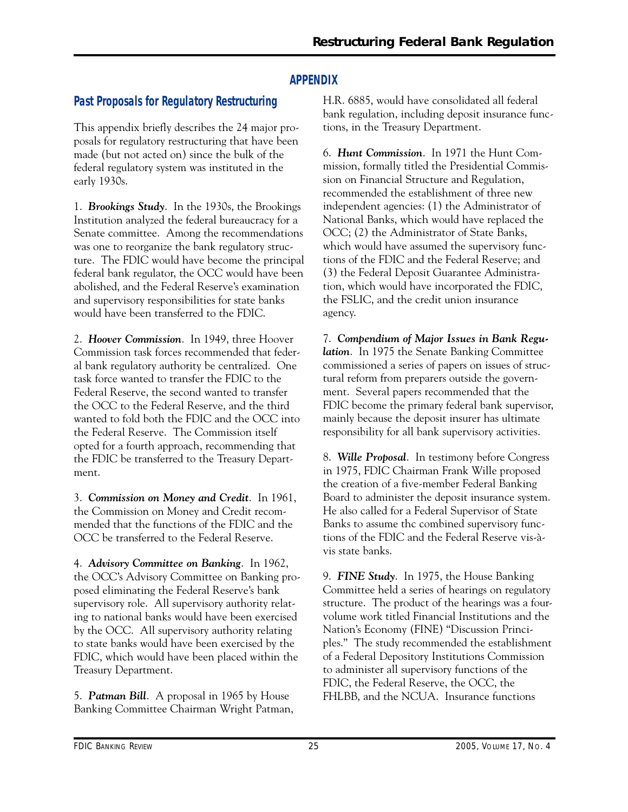## **APPENDIX**

## **Past Proposals for Regulatory Restructuring**

This appendix briefly describes the 24 major proposals for regulatory restructuring that have been made (but not acted on) since the bulk of the federal regulatory system was instituted in the early 1930s.

1. *Brookings Study*. In the 1930s, the Brookings Institution analyzed the federal bureaucracy for a Senate committee. Among the recommendations was one to reorganize the bank regulatory structure. The FDIC would have become the principal federal bank regulator, the OCC would have been abolished, and the Federal Reserve's examination and supervisory responsibilities for state banks would have been transferred to the FDIC.

2. *Hoover Commission*. In 1949, three Hoover Commission task forces recommended that federal bank regulatory authority be centralized. One task force wanted to transfer the FDIC to the Federal Reserve, the second wanted to transfer the OCC to the Federal Reserve, and the third wanted to fold both the FDIC and the OCC into the Federal Reserve. The Commission itself opted for a fourth approach, recommending that the FDIC be transferred to the Treasury Department.

3. *Commission on Money and Credit*. In 1961, the Commission on Money and Credit recommended that the functions of the FDIC and the OCC be transferred to the Federal Reserve.

4. *Advisory Committee on Banking*. In 1962, the OCC's Advisory Committee on Banking proposed eliminating the Federal Reserve's bank supervisory role. All supervisory authority relating to national banks would have been exercised by the OCC. All supervisory authority relating to state banks would have been exercised by the FDIC, which would have been placed within the Treasury Department.

5. *Patman Bill*. A proposal in 1965 by House Banking Committee Chairman Wright Patman, H.R. 6885, would have consolidated all federal bank regulation, including deposit insurance functions, in the Treasury Department.

6. *Hunt Commission*. In 1971 the Hunt Commission, formally titled the Presidential Commission on Financial Structure and Regulation, recommended the establishment of three new independent agencies: (1) the Administrator of National Banks, which would have replaced the OCC; (2) the Administrator of State Banks, which would have assumed the supervisory functions of the FDIC and the Federal Reserve; and (3) the Federal Deposit Guarantee Administration, which would have incorporated the FDIC, the FSLIC, and the credit union insurance agency.

7. *Compendium of Major Issues in Bank Regulation*. In 1975 the Senate Banking Committee commissioned a series of papers on issues of structural reform from preparers outside the government. Several papers recommended that the FDIC become the primary federal bank supervisor, mainly because the deposit insurer has ultimate responsibility for all bank supervisory activities.

8. *Wille Proposal*. In testimony before Congress in 1975, FDIC Chairman Frank Wille proposed the creation of a five-member Federal Banking Board to administer the deposit insurance system. He also called for a Federal Supervisor of State Banks to assume thc combined supervisory functions of the FDIC and the Federal Reserve vis-àvis state banks.

9. *FINE Study*. In 1975, the House Banking Committee held a series of hearings on regulatory structure. The product of the hearings was a fourvolume work titled Financial Institutions and the Nation's Economy (FINE) "Discussion Principles." The study recommended the establishment of a Federal Depository Institutions Commission to administer all supervisory functions of the FDIC, the Federal Reserve, the OCC, the FHLBB, and the NCUA. Insurance functions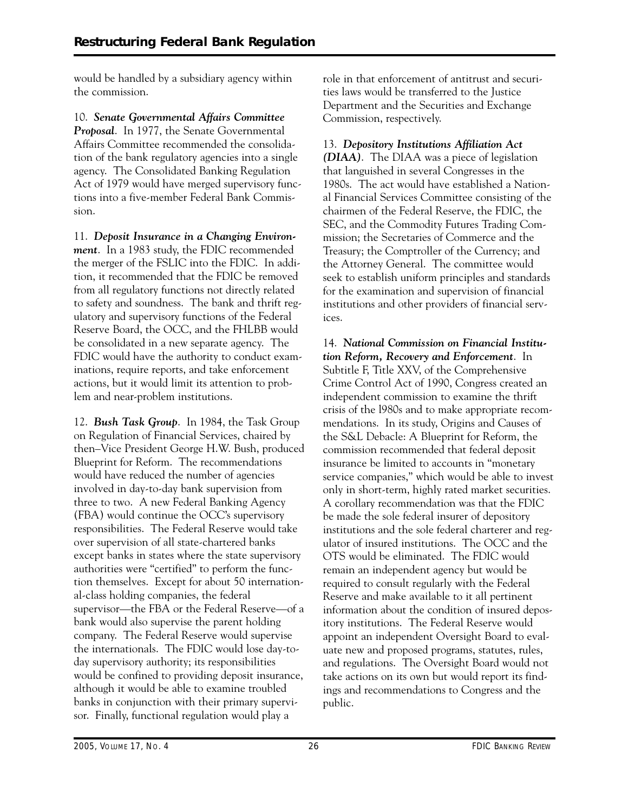would be handled by a subsidiary agency within the commission.

10. *Senate Governmental Affairs Committee Proposal*. In 1977, the Senate Governmental Affairs Committee recommended the consolidation of the bank regulatory agencies into a single agency. The Consolidated Banking Regulation Act of 1979 would have merged supervisory functions into a five-member Federal Bank Commission.

11. *Deposit Insurance in a Changing Environment*. In a 1983 study, the FDIC recommended the merger of the FSLIC into the FDIC. In addition, it recommended that the FDIC be removed from all regulatory functions not directly related to safety and soundness. The bank and thrift regulatory and supervisory functions of the Federal Reserve Board, the OCC, and the FHLBB would be consolidated in a new separate agency. The FDIC would have the authority to conduct examinations, require reports, and take enforcement actions, but it would limit its attention to problem and near-problem institutions.

12. *Bush Task Group*. In 1984, the Task Group on Regulation of Financial Services, chaired by then–Vice President George H.W. Bush, produced Blueprint for Reform. The recommendations would have reduced the number of agencies involved in day-to-day bank supervision from three to two. A new Federal Banking Agency (FBA) would continue the OCC's supervisory responsibilities. The Federal Reserve would take over supervision of all state-chartered banks except banks in states where the state supervisory authorities were "certified" to perform the function themselves. Except for about 50 international-class holding companies, the federal supervisor—the FBA or the Federal Reserve—of a bank would also supervise the parent holding company. The Federal Reserve would supervise the internationals. The FDIC would lose day-today supervisory authority; its responsibilities would be confined to providing deposit insurance, although it would be able to examine troubled banks in conjunction with their primary supervisor. Finally, functional regulation would play a

role in that enforcement of antitrust and securities laws would be transferred to the Justice Department and the Securities and Exchange Commission, respectively.

#### 13. *Depository Institutions Affiliation Act*

*(DIAA)*. The DIAA was a piece of legislation that languished in several Congresses in the 1980s. The act would have established a National Financial Services Committee consisting of the chairmen of the Federal Reserve, the FDIC, the SEC, and the Commodity Futures Trading Commission; the Secretaries of Commerce and the Treasury; the Comptroller of the Currency; and the Attorney General. The committee would seek to establish uniform principles and standards for the examination and supervision of financial institutions and other providers of financial services.

14. *National Commission on Financial Institution Reform, Recovery and Enforcement*. In Subtitle F, Title XXV, of the Comprehensive Crime Control Act of 1990, Congress created an independent commission to examine the thrift crisis of the l980s and to make appropriate recommendations. In its study, Origins and Causes of the S&L Debacle: A Blueprint for Reform, the commission recommended that federal deposit insurance be limited to accounts in "monetary service companies," which would be able to invest only in short-term, highly rated market securities. A corollary recommendation was that the FDIC be made the sole federal insurer of depository institutions and the sole federal charterer and regulator of insured institutions. The OCC and the OTS would be eliminated. The FDIC would remain an independent agency but would be required to consult regularly with the Federal Reserve and make available to it all pertinent information about the condition of insured depository institutions. The Federal Reserve would appoint an independent Oversight Board to evaluate new and proposed programs, statutes, rules, and regulations. The Oversight Board would not take actions on its own but would report its findings and recommendations to Congress and the public.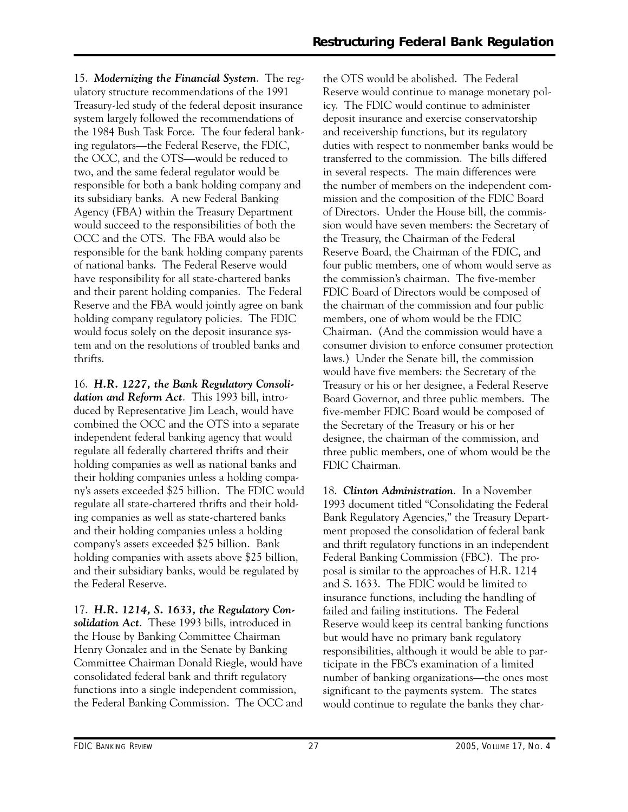15. *Modernizing the Financial System*. The regulatory structure recommendations of the 1991 Treasury-led study of the federal deposit insurance system largely followed the recommendations of the 1984 Bush Task Force. The four federal banking regulators—the Federal Reserve, the FDIC, the OCC, and the OTS—would be reduced to two, and the same federal regulator would be responsible for both a bank holding company and its subsidiary banks. A new Federal Banking Agency (FBA) within the Treasury Department would succeed to the responsibilities of both the OCC and the OTS. The FBA would also be responsible for the bank holding company parents of national banks. The Federal Reserve would have responsibility for all state-chartered banks and their parent holding companies. The Federal Reserve and the FBA would jointly agree on bank holding company regulatory policies. The FDIC would focus solely on the deposit insurance system and on the resolutions of troubled banks and thrifts.

16. *H.R. 1227, the Bank Regulatory Consolidation and Reform Act*. This 1993 bill, introduced by Representative Jim Leach, would have combined the OCC and the OTS into a separate independent federal banking agency that would regulate all federally chartered thrifts and their holding companies as well as national banks and their holding companies unless a holding company's assets exceeded \$25 billion. The FDIC would regulate all state-chartered thrifts and their holding companies as well as state-chartered banks and their holding companies unless a holding company's assets exceeded \$25 billion. Bank holding companies with assets above \$25 billion, and their subsidiary banks, would be regulated by the Federal Reserve.

17. *H.R. 1214, S. 1633, the Regulatory Consolidation Act*. These 1993 bills, introduced in the House by Banking Committee Chairman Henry Gonzalez and in the Senate by Banking Committee Chairman Donald Riegle, would have consolidated federal bank and thrift regulatory functions into a single independent commission, the Federal Banking Commission. The OCC and the OTS would be abolished. The Federal Reserve would continue to manage monetary policy. The FDIC would continue to administer deposit insurance and exercise conservatorship and receivership functions, but its regulatory duties with respect to nonmember banks would be transferred to the commission. The bills differed in several respects. The main differences were the number of members on the independent commission and the composition of the FDIC Board of Directors. Under the House bill, the commission would have seven members: the Secretary of the Treasury, the Chairman of the Federal Reserve Board, the Chairman of the FDIC, and four public members, one of whom would serve as the commission's chairman. The five-member FDIC Board of Directors would be composed of the chairman of the commission and four public members, one of whom would be the FDIC Chairman. (And the commission would have a consumer division to enforce consumer protection laws.) Under the Senate bill, the commission would have five members: the Secretary of the Treasury or his or her designee, a Federal Reserve Board Governor, and three public members. The five-member FDIC Board would be composed of the Secretary of the Treasury or his or her designee, the chairman of the commission, and three public members, one of whom would be the FDIC Chairman.

18. *Clinton Administration*. In a November 1993 document titled "Consolidating the Federal Bank Regulatory Agencies," the Treasury Department proposed the consolidation of federal bank and thrift regulatory functions in an independent Federal Banking Commission (FBC). The proposal is similar to the approaches of H.R. 1214 and S. 1633. The FDIC would be limited to insurance functions, including the handling of failed and failing institutions. The Federal Reserve would keep its central banking functions but would have no primary bank regulatory responsibilities, although it would be able to participate in the FBC's examination of a limited number of banking organizations—the ones most significant to the payments system. The states would continue to regulate the banks they char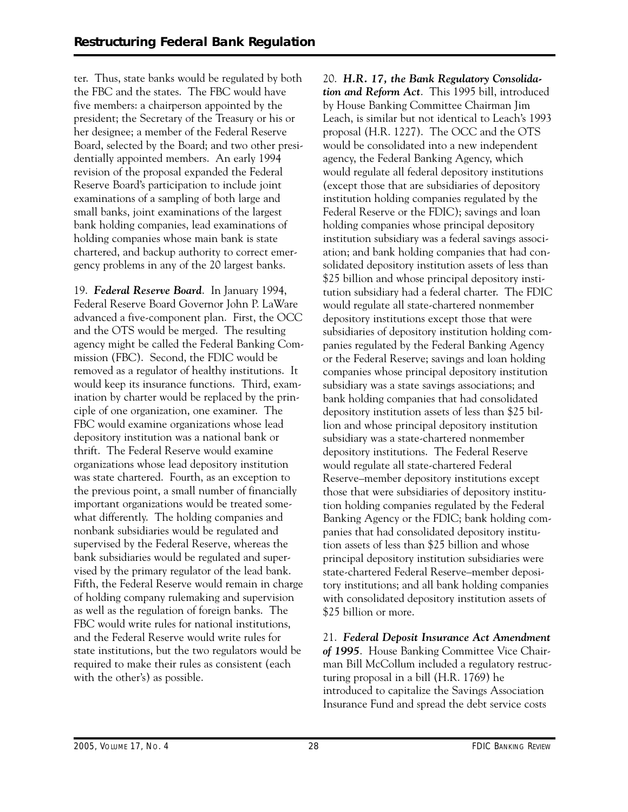ter. Thus, state banks would be regulated by both the FBC and the states. The FBC would have five members: a chairperson appointed by the president; the Secretary of the Treasury or his or her designee; a member of the Federal Reserve Board, selected by the Board; and two other presidentially appointed members. An early 1994 revision of the proposal expanded the Federal Reserve Board's participation to include joint examinations of a sampling of both large and small banks, joint examinations of the largest bank holding companies, lead examinations of holding companies whose main bank is state chartered, and backup authority to correct emergency problems in any of the 20 largest banks.

19. *Federal Reserve Board*. In January 1994, Federal Reserve Board Governor John P. LaWare advanced a five-component plan. First, the OCC and the OTS would be merged. The resulting agency might be called the Federal Banking Commission (FBC). Second, the FDIC would be removed as a regulator of healthy institutions. It would keep its insurance functions. Third, examination by charter would be replaced by the principle of one organization, one examiner. The FBC would examine organizations whose lead depository institution was a national bank or thrift. The Federal Reserve would examine organizations whose lead depository institution was state chartered. Fourth, as an exception to the previous point, a small number of financially important organizations would be treated somewhat differently. The holding companies and nonbank subsidiaries would be regulated and supervised by the Federal Reserve, whereas the bank subsidiaries would be regulated and supervised by the primary regulator of the lead bank. Fifth, the Federal Reserve would remain in charge of holding company rulemaking and supervision as well as the regulation of foreign banks. The FBC would write rules for national institutions, and the Federal Reserve would write rules for state institutions, but the two regulators would be required to make their rules as consistent (each with the other's) as possible.

20. *H.R. 17, the Bank Regulatory Consolidation and Reform Act*. This 1995 bill, introduced by House Banking Committee Chairman Jim Leach, is similar but not identical to Leach's 1993 proposal (H.R. 1227). The OCC and the OTS would be consolidated into a new independent agency, the Federal Banking Agency, which would regulate all federal depository institutions (except those that are subsidiaries of depository institution holding companies regulated by the Federal Reserve or the FDIC); savings and loan holding companies whose principal depository institution subsidiary was a federal savings association; and bank holding companies that had consolidated depository institution assets of less than \$25 billion and whose principal depository institution subsidiary had a federal charter. The FDIC would regulate all state-chartered nonmember depository institutions except those that were subsidiaries of depository institution holding companies regulated by the Federal Banking Agency or the Federal Reserve; savings and loan holding companies whose principal depository institution subsidiary was a state savings associations; and bank holding companies that had consolidated depository institution assets of less than \$25 billion and whose principal depository institution subsidiary was a state-chartered nonmember depository institutions. The Federal Reserve would regulate all state-chartered Federal Reserve–member depository institutions except those that were subsidiaries of depository institution holding companies regulated by the Federal Banking Agency or the FDIC; bank holding companies that had consolidated depository institution assets of less than \$25 billion and whose principal depository institution subsidiaries were state-chartered Federal Reserve–member depository institutions; and all bank holding companies with consolidated depository institution assets of \$25 billion or more.

21. *Federal Deposit Insurance Act Amendment of 1995*. House Banking Committee Vice Chairman Bill McCollum included a regulatory restructuring proposal in a bill (H.R. 1769) he introduced to capitalize the Savings Association Insurance Fund and spread the debt service costs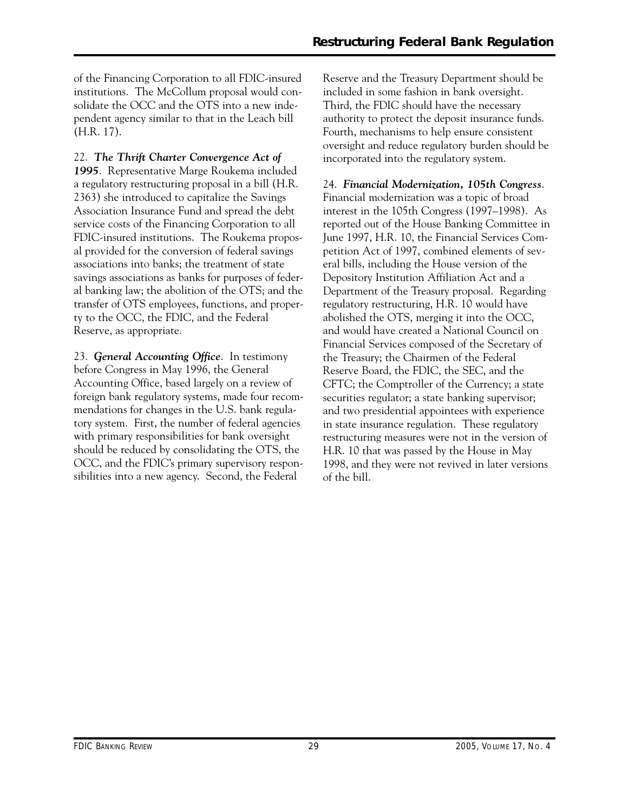of the Financing Corporation to all FDIC-insured institutions. The McCollum proposal would consolidate the OCC and the OTS into a new independent agency similar to that in the Leach bill (H.R. 17).

22. *The Thrift Charter Convergence Act of 1995*. Representative Marge Roukema included a regulatory restructuring proposal in a bill (H.R. 2363) she introduced to capitalize the Savings Association Insurance Fund and spread the debt service costs of the Financing Corporation to all FDIC-insured institutions. The Roukema proposal provided for the conversion of federal savings associations into banks; the treatment of state savings associations as banks for purposes of federal banking law; the abolition of the OTS; and the transfer of OTS employees, functions, and property to the OCC, the FDIC, and the Federal Reserve, as appropriate.

23. *General Accounting Office*. In testimony before Congress in May 1996, the General Accounting Office, based largely on a review of foreign bank regulatory systems, made four recommendations for changes in the U.S. bank regulatory system. First, the number of federal agencies with primary responsibilities for bank oversight should be reduced by consolidating the OTS, the OCC, and the FDIC's primary supervisory responsibilities into a new agency. Second, the Federal

Reserve and the Treasury Department should be included in some fashion in bank oversight. Third, the FDIC should have the necessary authority to protect the deposit insurance funds. Fourth, mechanisms to help ensure consistent oversight and reduce regulatory burden should be incorporated into the regulatory system.

24. *Financial Modernization, 105th Congress*. Financial modernization was a topic of broad interest in the 105th Congress (1997–1998). As reported out of the House Banking Committee in June 1997, H.R. 10, the Financial Services Competition Act of 1997, combined elements of several bills, including the House version of the Depository Institution Affiliation Act and a Department of the Treasury proposal. Regarding regulatory restructuring, H.R. 10 would have abolished the OTS, merging it into the OCC, and would have created a National Council on Financial Services composed of the Secretary of the Treasury; the Chairmen of the Federal Reserve Board, the FDIC, the SEC, and the CFTC; the Comptroller of the Currency; a state securities regulator; a state banking supervisor; and two presidential appointees with experience in state insurance regulation. These regulatory restructuring measures were not in the version of H.R. 10 that was passed by the House in May 1998, and they were not revived in later versions of the bill.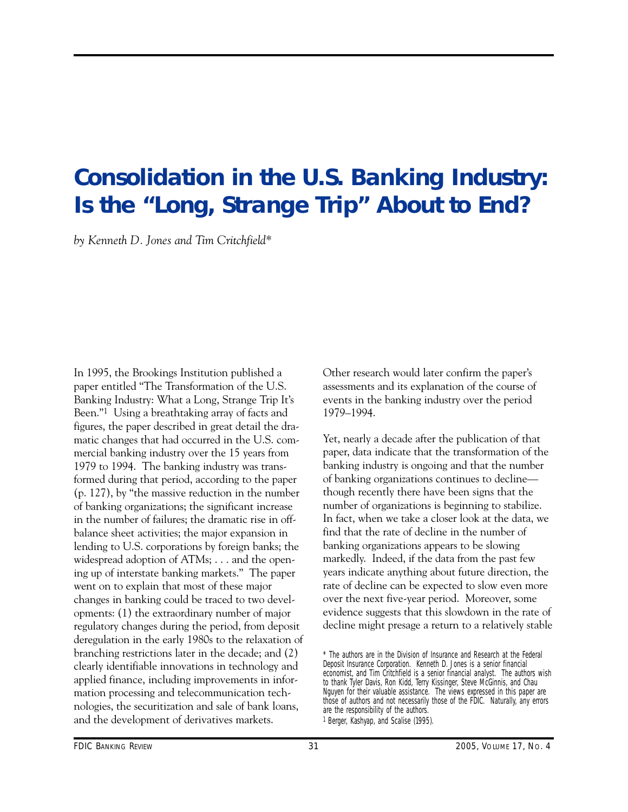# **Consolidation in the U.S. Banking Industry: Is the "Long, Strange Trip" About to End?**

*by Kenneth D. Jones and Tim Critchfield\** 

In 1995, the Brookings Institution published a paper entitled "The Transformation of the U.S. Banking Industry: What a Long, Strange Trip It's Been."1 Using a breathtaking array of facts and figures, the paper described in great detail the dramatic changes that had occurred in the U.S. commercial banking industry over the 15 years from 1979 to 1994. The banking industry was transformed during that period, according to the paper (p. 127), by "the massive reduction in the number of banking organizations; the significant increase in the number of failures; the dramatic rise in offbalance sheet activities; the major expansion in lending to U.S. corporations by foreign banks; the widespread adoption of ATMs; . . . and the opening up of interstate banking markets." The paper went on to explain that most of these major changes in banking could be traced to two developments: (1) the extraordinary number of major regulatory changes during the period, from deposit deregulation in the early 1980s to the relaxation of branching restrictions later in the decade; and (2) clearly identifiable innovations in technology and applied finance, including improvements in information processing and telecommunication technologies, the securitization and sale of bank loans, and the development of derivatives markets.

Other research would later confirm the paper's assessments and its explanation of the course of events in the banking industry over the period 1979–1994.

Yet, nearly a decade after the publication of that paper, data indicate that the transformation of the banking industry is ongoing and that the number of banking organizations continues to decline though recently there have been signs that the number of organizations is beginning to stabilize. In fact, when we take a closer look at the data, we find that the rate of decline in the number of banking organizations appears to be slowing markedly. Indeed, if the data from the past few years indicate anything about future direction, the rate of decline can be expected to slow even more over the next five-year period. Moreover, some evidence suggests that this slowdown in the rate of decline might presage a return to a relatively stable

<sup>\*</sup> The authors are in the Division of Insurance and Research at the Federal Deposit Insurance Corporation. Kenneth D. Jones is a senior financial economist, and Tim Critchfield is a senior financial analyst. The authors wish to thank Tyler Davis, Ron Kidd, Terry Kissinger, Steve McGinnis, and Chau Nguyen for their valuable assistance. The views expressed in this paper are those of authors and not necessarily those of the FDIC. Naturally, any errors are the responsibility of the authors. 1 Berger, Kashyap, and Scalise (1995).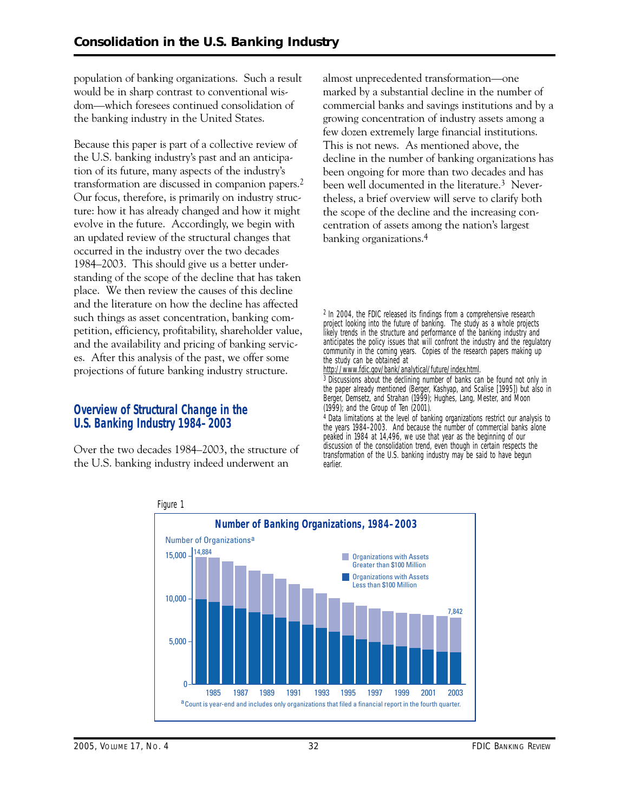population of banking organizations. Such a result would be in sharp contrast to conventional wisdom—which foresees continued consolidation of the banking industry in the United States.

Because this paper is part of a collective review of the U.S. banking industry's past and an anticipation of its future, many aspects of the industry's transformation are discussed in companion papers.2 Our focus, therefore, is primarily on industry structure: how it has already changed and how it might evolve in the future. Accordingly, we begin with an updated review of the structural changes that occurred in the industry over the two decades 1984–2003. This should give us a better understanding of the scope of the decline that has taken place. We then review the causes of this decline and the literature on how the decline has affected such things as asset concentration, banking competition, efficiency, profitability, shareholder value, and the availability and pricing of banking services. After this analysis of the past, we offer some projections of future banking industry structure.

#### **Overview of Structural Change in the U.S. Banking Industry 1984–2003**

Over the two decades 1984–2003, the structure of the U.S. banking industry indeed underwent an

almost unprecedented transformation—one marked by a substantial decline in the number of commercial banks and savings institutions and by a growing concentration of industry assets among a few dozen extremely large financial institutions. This is not news. As mentioned above, the decline in the number of banking organizations has been ongoing for more than two decades and has been well documented in the literature.3 Nevertheless, a brief overview will serve to clarify both the scope of the decline and the increasing concentration of assets among the nation's largest banking organizations.4

2 In 2004, the FDIC released its findings from a comprehensive research project looking into the future of banking. The study as a whole projects likely trends in the structure and performance of the banking industry and anticipates the policy issues that will confront the industry and the regulatory community in the coming years. Copies of the research papers making up the study can be obtained at http://www.fdic.gov/bank/analytical/future/index.html

<sup>3</sup> Discussions about the declining number of banks can be found not only in the paper already mentioned (Berger, Kashyap, and Scalise [1995]) but also in Berger, Demsetz, and Strahan (1999); Hughes, Lang, Mester, and Moon (1999); and the Group of Ten (2001).

4 Data limitations at the level of banking organizations restrict our analysis to the years 1984–2003. And because the number of commercial banks alone peaked in 1984 at 14,496, we use that year as the beginning of our discussion of the consolidation trend, even though in certain respects the transformation of the U.S. banking industry may be said to have begun earlier.

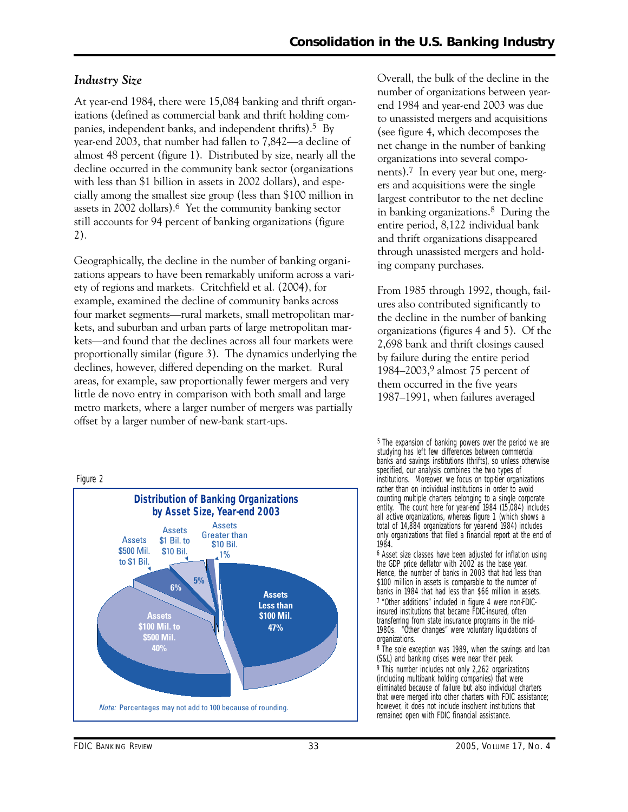#### *Industry Size*

At year-end 1984, there were 15,084 banking and thrift organizations (defined as commercial bank and thrift holding companies, independent banks, and independent thrifts).5 By year-end 2003, that number had fallen to 7,842—a decline of almost 48 percent (figure 1). Distributed by size, nearly all the decline occurred in the community bank sector (organizations with less than \$1 billion in assets in 2002 dollars), and especially among the smallest size group (less than \$100 million in assets in 2002 dollars).6 Yet the community banking sector still accounts for 94 percent of banking organizations (figure 2).

Geographically, the decline in the number of banking organizations appears to have been remarkably uniform across a variety of regions and markets. Critchfield et al. (2004), for example, examined the decline of community banks across four market segments—rural markets, small metropolitan markets, and suburban and urban parts of large metropolitan markets—and found that the declines across all four markets were proportionally similar (figure 3). The dynamics underlying the declines, however, differed depending on the market. Rural areas, for example, saw proportionally fewer mergers and very little de novo entry in comparison with both small and large metro markets, where a larger number of mergers was partially offset by a larger number of new-bank start-ups.





Overall, the bulk of the decline in the number of organizations between yearend 1984 and year-end 2003 was due to unassisted mergers and acquisitions (see figure 4, which decomposes the net change in the number of banking organizations into several components).7 In every year but one, mergers and acquisitions were the single largest contributor to the net decline in banking organizations.8 During the entire period, 8,122 individual bank and thrift organizations disappeared through unassisted mergers and holding company purchases.

From 1985 through 1992, though, failures also contributed significantly to the decline in the number of banking organizations (figures 4 and 5). Of the 2,698 bank and thrift closings caused by failure during the entire period 1984–2003,9 almost 75 percent of them occurred in the five years 1987–1991, when failures averaged

5 The expansion of banking powers over the period we are studying has left few differences between commercial banks and savings institutions (thrifts), so unless otherwise specified, our analysis combines the two types of institutions. Moreover, we focus on top-tier organizations rather than on individual institutions in order to avoid counting multiple charters belonging to a single corporate entity. The count here for year-end 1984 (15,084) includes all active organizations, whereas figure 1 (which shows a total of 14,884 organizations for year-end 1984) includes only organizations that filed a financial report at the end of 1984.

6 Asset size classes have been adjusted for inflation using the GDP price deflator with 2002 as the base year. Hence, the number of banks in 2003 that had less than \$100 million in assets is comparable to the number of banks in 1984 that had less than \$66 million in assets. 7 "Other additions" included in figure 4 were non-FDICinsured institutions that became FDIC-insured, often transferring from state insurance programs in the mid-1980s. "Other changes" were voluntary liquidations of organizations.

<sup>8</sup> The sole exception was 1989, when the savings and loan (S&L) and banking crises were near their peak. 9 This number includes not only 2,262 organizations (including multibank holding companies) that were eliminated because of failure but also individual charters that were merged into other charters with FDIC assistance; however, it does not include insolvent institutions that remained open with FDIC financial assistance.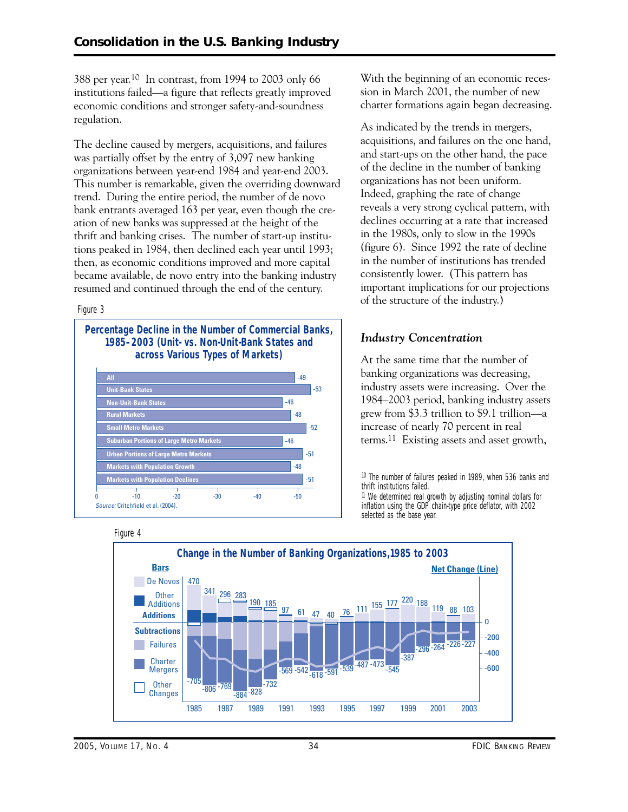388 per year.10 In contrast, from 1994 to 2003 only 66 institutions failed—a figure that reflects greatly improved economic conditions and stronger safety-and-soundness regulation.

The decline caused by mergers, acquisitions, and failures was partially offset by the entry of 3,097 new banking organizations between year-end 1984 and year-end 2003. This number is remarkable, given the overriding downward trend. During the entire period, the number of de novo bank entrants averaged 163 per year, even though the creation of new banks was suppressed at the height of the thrift and banking crises. The number of start-up institutions peaked in 1984, then declined each year until 1993; then, as economic conditions improved and more capital became available, de novo entry into the banking industry resumed and continued through the end of the century.

Figure 3



With the beginning of an economic recession in March 2001, the number of new charter formations again began decreasing.

As indicated by the trends in mergers, acquisitions, and failures on the one hand, and start-ups on the other hand, the pace of the decline in the number of banking organizations has not been uniform. Indeed, graphing the rate of change reveals a very strong cyclical pattern, with declines occurring at a rate that increased in the 1980s, only to slow in the 1990s (figure 6). Since 1992 the rate of decline in the number of institutions has trended consistently lower. (This pattern has important implications for our projections of the structure of the industry.)

## *Industry Concentration*

At the same time that the number of banking organizations was decreasing, industry assets were increasing. Over the 1984–2003 period, banking industry assets grew from \$3.3 trillion to \$9.1 trillion—a increase of nearly 70 percent in real terms.11 Existing assets and asset growth,

10 The number of failures peaked in 1989, when 536 banks and thrift institutions failed.

11 We determined real growth by adjusting nominal dollars for inflation using the GDP chain-type price deflator, with 2002 selected as the base year.



Figure 4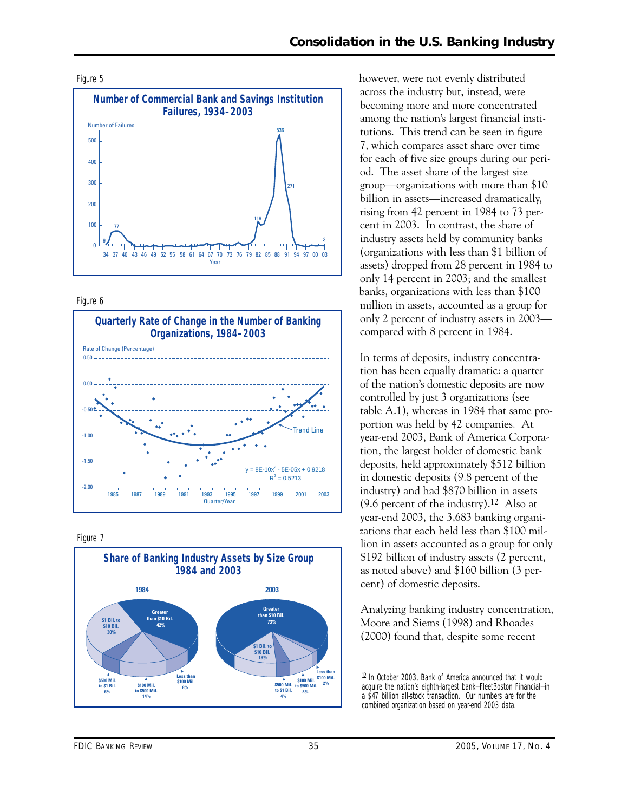









Figure 5 however, were not evenly distributed across the industry but, instead, were becoming more and more concentrated among the nation's largest financial institutions. This trend can be seen in figure 7, which compares asset share over time for each of five size groups during our period. The asset share of the largest size group—organizations with more than \$10 billion in assets—increased dramatically, rising from 42 percent in 1984 to 73 percent in 2003. In contrast, the share of industry assets held by community banks (organizations with less than \$1 billion of assets) dropped from 28 percent in 1984 to only 14 percent in 2003; and the smallest banks, organizations with less than \$100 million in assets, accounted as a group for only 2 percent of industry assets in 2003 compared with 8 percent in 1984.

> In terms of deposits, industry concentration has been equally dramatic: a quarter of the nation's domestic deposits are now controlled by just 3 organizations (see table A.1), whereas in 1984 that same proportion was held by 42 companies. At year-end 2003, Bank of America Corporation, the largest holder of domestic bank deposits, held approximately \$512 billion in domestic deposits (9.8 percent of the industry) and had \$870 billion in assets  $(9.6$  percent of the industry).<sup>12</sup> Also at year-end 2003, the 3,683 banking organizations that each held less than \$100 million in assets accounted as a group for only \$192 billion of industry assets (2 percent, as noted above) and \$160 billion (3 percent) of domestic deposits.

> Analyzing banking industry concentration, Moore and Siems (1998) and Rhoades (2000) found that, despite some recent

12 In October 2003, Bank of America announced that it would acquire the nation's eighth-largest bank—FleetBoston Financial—in a \$47 billion all-stock transaction. Our numbers are for the combined organization based on year-end 2003 data.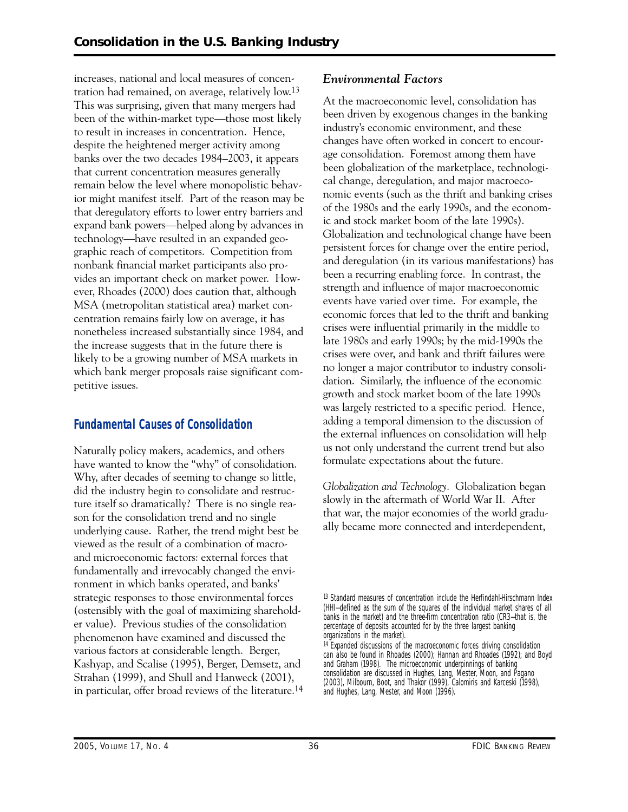increases, national and local measures of concentration had remained, on average, relatively low.13 This was surprising, given that many mergers had been of the within-market type—those most likely to result in increases in concentration. Hence, despite the heightened merger activity among banks over the two decades 1984–2003, it appears that current concentration measures generally remain below the level where monopolistic behavior might manifest itself. Part of the reason may be that deregulatory efforts to lower entry barriers and expand bank powers—helped along by advances in technology—have resulted in an expanded geographic reach of competitors. Competition from nonbank financial market participants also provides an important check on market power. However, Rhoades (2000) does caution that, although MSA (metropolitan statistical area) market concentration remains fairly low on average, it has nonetheless increased substantially since 1984, and the increase suggests that in the future there is likely to be a growing number of MSA markets in which bank merger proposals raise significant competitive issues.

## **Fundamental Causes of Consolidation**

Naturally policy makers, academics, and others have wanted to know the "why" of consolidation. Why, after decades of seeming to change so little, did the industry begin to consolidate and restructure itself so dramatically? There is no single reason for the consolidation trend and no single underlying cause. Rather, the trend might best be viewed as the result of a combination of macroand microeconomic factors: external forces that fundamentally and irrevocably changed the environment in which banks operated, and banks' strategic responses to those environmental forces (ostensibly with the goal of maximizing shareholder value). Previous studies of the consolidation phenomenon have examined and discussed the various factors at considerable length. Berger, Kashyap, and Scalise (1995), Berger, Demsetz, and Strahan (1999), and Shull and Hanweck (2001), in particular, offer broad reviews of the literature.14

## *Environmental Factors*

At the macroeconomic level, consolidation has been driven by exogenous changes in the banking industry's economic environment, and these changes have often worked in concert to encourage consolidation. Foremost among them have been globalization of the marketplace, technological change, deregulation, and major macroeconomic events (such as the thrift and banking crises of the 1980s and the early 1990s, and the economic and stock market boom of the late 1990s). Globalization and technological change have been persistent forces for change over the entire period, and deregulation (in its various manifestations) has been a recurring enabling force. In contrast, the strength and influence of major macroeconomic events have varied over time. For example, the economic forces that led to the thrift and banking crises were influential primarily in the middle to late 1980s and early 1990s; by the mid-1990s the crises were over, and bank and thrift failures were no longer a major contributor to industry consolidation. Similarly, the influence of the economic growth and stock market boom of the late 1990s was largely restricted to a specific period. Hence, adding a temporal dimension to the discussion of the external influences on consolidation will help us not only understand the current trend but also formulate expectations about the future.

*Globalization and Technology*. Globalization began slowly in the aftermath of World War II. After that war, the major economies of the world gradually became more connected and interdependent,

<sup>14</sup> Expanded discussions of the macroeconomic forces driving consolidation can also be found in Rhoades (2000); Hannan and Rhoades (1992); and Boyd and Graham (1998). The microeconomic underpinnings of banking consolidation are discussed in Hughes, Lang, Mester, Moon, and Pagano (2003), Milbourn, Boot, and Thakor (1999), Calomiris and Karceski (1998), and Hughes, Lang, Mester, and Moon (1996).

<sup>13</sup> Standard measures of concentration include the Herfindahl-Hirschmann Index (HHI—defined as the sum of the squares of the individual market shares of all banks in the market) and the three-firm concentration ratio (CR3—that is, the percentage of deposits accounted for by the three largest banking organizations in the market).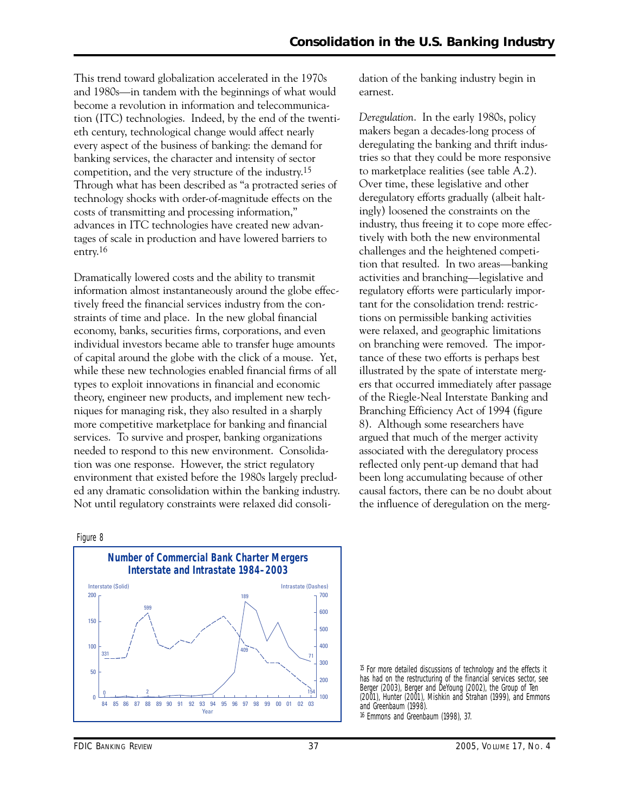This trend toward globalization accelerated in the 1970s and 1980s—in tandem with the beginnings of what would become a revolution in information and telecommunication (ITC) technologies. Indeed, by the end of the twentieth century, technological change would affect nearly every aspect of the business of banking: the demand for banking services, the character and intensity of sector competition, and the very structure of the industry.15 Through what has been described as "a protracted series of technology shocks with order-of-magnitude effects on the costs of transmitting and processing information," advances in ITC technologies have created new advantages of scale in production and have lowered barriers to entry.16

Dramatically lowered costs and the ability to transmit information almost instantaneously around the globe effectively freed the financial services industry from the constraints of time and place. In the new global financial economy, banks, securities firms, corporations, and even individual investors became able to transfer huge amounts of capital around the globe with the click of a mouse. Yet, while these new technologies enabled financial firms of all types to exploit innovations in financial and economic theory, engineer new products, and implement new techniques for managing risk, they also resulted in a sharply more competitive marketplace for banking and financial services. To survive and prosper, banking organizations needed to respond to this new environment. Consolidation was one response. However, the strict regulatory environment that existed before the 1980s largely precluded any dramatic consolidation within the banking industry. Not until regulatory constraints were relaxed did consolidation of the banking industry begin in earnest.

*Deregulation*. In the early 1980s, policy makers began a decades-long process of deregulating the banking and thrift industries so that they could be more responsive to marketplace realities (see table A.2). Over time, these legislative and other deregulatory efforts gradually (albeit haltingly) loosened the constraints on the industry, thus freeing it to cope more effectively with both the new environmental challenges and the heightened competition that resulted. In two areas—banking activities and branching—legislative and regulatory efforts were particularly important for the consolidation trend: restrictions on permissible banking activities were relaxed, and geographic limitations on branching were removed. The importance of these two efforts is perhaps best illustrated by the spate of interstate mergers that occurred immediately after passage of the Riegle-Neal Interstate Banking and Branching Efficiency Act of 1994 (figure 8). Although some researchers have argued that much of the merger activity associated with the deregulatory process reflected only pent-up demand that had been long accumulating because of other causal factors, there can be no doubt about the influence of deregulation on the merg-

Figure 8



<sup>15</sup> For more detailed discussions of technology and the effects it has had on the restructuring of the financial services sector, see Berger (2003), Berger and DeYoung (2002), the Group of Ten (2001), Hunter (2001), Mishkin and Strahan (1999), and Emmons and Greenbaum (1998).

16 Emmons and Greenbaum (1998), 37.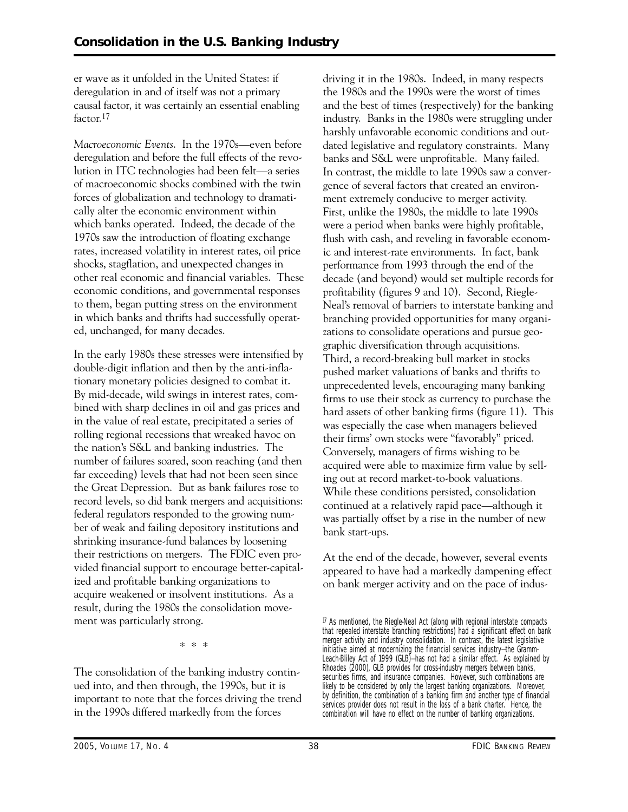er wave as it unfolded in the United States: if deregulation in and of itself was not a primary causal factor, it was certainly an essential enabling factor.17

*Macroeconomic Events*. In the 1970s—even before deregulation and before the full effects of the revolution in ITC technologies had been felt—a series of macroeconomic shocks combined with the twin forces of globalization and technology to dramatically alter the economic environment within which banks operated. Indeed, the decade of the 1970s saw the introduction of floating exchange rates, increased volatility in interest rates, oil price shocks, stagflation, and unexpected changes in other real economic and financial variables. These economic conditions, and governmental responses to them, began putting stress on the environment in which banks and thrifts had successfully operated, unchanged, for many decades.

In the early 1980s these stresses were intensified by double-digit inflation and then by the anti-inflationary monetary policies designed to combat it. By mid-decade, wild swings in interest rates, combined with sharp declines in oil and gas prices and in the value of real estate, precipitated a series of rolling regional recessions that wreaked havoc on the nation's S&L and banking industries. The number of failures soared, soon reaching (and then far exceeding) levels that had not been seen since the Great Depression. But as bank failures rose to record levels, so did bank mergers and acquisitions: federal regulators responded to the growing number of weak and failing depository institutions and shrinking insurance-fund balances by loosening their restrictions on mergers. The FDIC even provided financial support to encourage better-capitalized and profitable banking organizations to acquire weakened or insolvent institutions. As a result, during the 1980s the consolidation movement was particularly strong.

\* \* \*

The consolidation of the banking industry continued into, and then through, the 1990s, but it is important to note that the forces driving the trend in the 1990s differed markedly from the forces

driving it in the 1980s. Indeed, in many respects the 1980s and the 1990s were the worst of times and the best of times (respectively) for the banking industry. Banks in the 1980s were struggling under harshly unfavorable economic conditions and outdated legislative and regulatory constraints. Many banks and S&L were unprofitable. Many failed. In contrast, the middle to late 1990s saw a convergence of several factors that created an environment extremely conducive to merger activity. First, unlike the 1980s, the middle to late 1990s were a period when banks were highly profitable, flush with cash, and reveling in favorable economic and interest-rate environments. In fact, bank performance from 1993 through the end of the decade (and beyond) would set multiple records for profitability (figures 9 and 10). Second, Riegle-Neal's removal of barriers to interstate banking and branching provided opportunities for many organizations to consolidate operations and pursue geographic diversification through acquisitions. Third, a record-breaking bull market in stocks pushed market valuations of banks and thrifts to unprecedented levels, encouraging many banking firms to use their stock as currency to purchase the hard assets of other banking firms (figure 11). This was especially the case when managers believed their firms' own stocks were "favorably" priced. Conversely, managers of firms wishing to be acquired were able to maximize firm value by selling out at record market-to-book valuations. While these conditions persisted, consolidation continued at a relatively rapid pace—although it was partially offset by a rise in the number of new bank start-ups.

At the end of the decade, however, several events appeared to have had a markedly dampening effect on bank merger activity and on the pace of indus-

 $17$  As mentioned, the Riegle-Neal Act (along with regional interstate compacts that repealed interstate branching restrictions) had a significant effect on bank merger activity and industry consolidation. In contrast, the latest legislative initiative aimed at modernizing the financial services industry—the Gramm-Leach-Bliley Act of 1999 (GLB)—has not had a similar effect. As explained by Rhoades (2000), GLB provides for cross-industry mergers between banks, securities firms, and insurance companies. However, such combinations are likely to be considered by only the largest banking organizations. Moreover, by definition, the combination of a banking firm and another type of financial services provider does not result in the loss of a bank charter. Hence, the combination will have no effect on the number of banking organizations.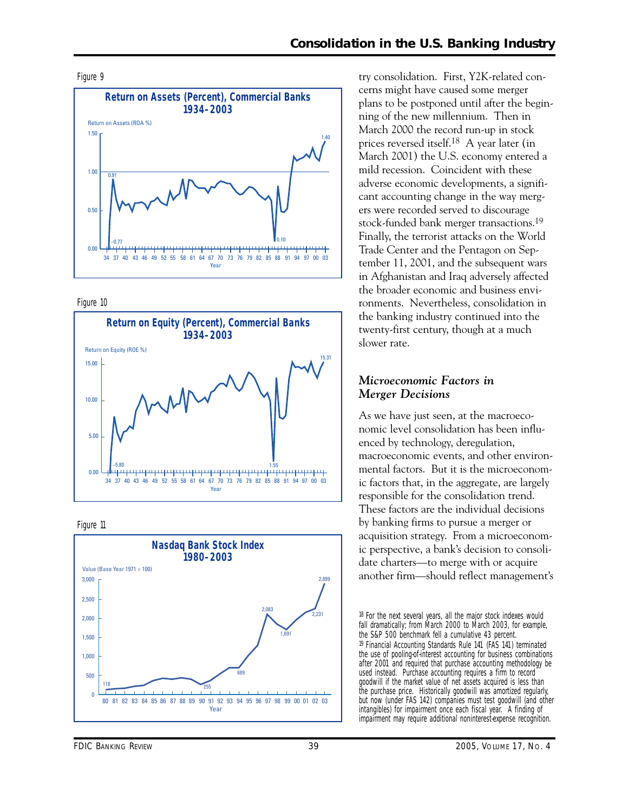







Figure 9 try consolidation. First, Y2K-related concerns might have caused some merger plans to be postponed until after the beginning of the new millennium. Then in March 2000 the record run-up in stock prices reversed itself.18 A year later (in March 2001) the U.S. economy entered a mild recession. Coincident with these adverse economic developments, a significant accounting change in the way mergers were recorded served to discourage stock-funded bank merger transactions.19 Finally, the terrorist attacks on the World Trade Center and the Pentagon on September 11, 2001, and the subsequent wars in Afghanistan and Iraq adversely affected the broader economic and business environments. Nevertheless, consolidation in the banking industry continued into the twenty-first century, though at a much slower rate.

#### *Microeconomic Factors in Merger Decisions*

As we have just seen, at the macroeconomic level consolidation has been influenced by technology, deregulation, macroeconomic events, and other environmental factors. But it is the microeconomic factors that, in the aggregate, are largely responsible for the consolidation trend. These factors are the individual decisions Figure 11 **by banking firms to pursue a merger or**  $\frac{1}{2}$ acquisition strategy. From a microeconomic perspective, a bank's decision to consolidate charters—to merge with or acquire another firm—should reflect management's

> <sup>18</sup> For the next several years, all the major stock indexes would fall dramatically; from March 2000 to March 2003, for example, the S&P 500 benchmark fell a cumulative 43 percent. 19 Financial Accounting Standards Rule 141 (FAS 141) terminated the use of pooling-of-interest accounting for business combinations after 2001 and required that purchase accounting methodology be used instead. Purchase accounting requires a firm to record goodwill if the market value of net assets acquired is less than the purchase price. Historically goodwill was amortized regularly, but now (under FAS 142) companies must test goodwill (and other intangibles) for impairment once each fiscal year. A finding of impairment may require additional noninterest-expense recognition.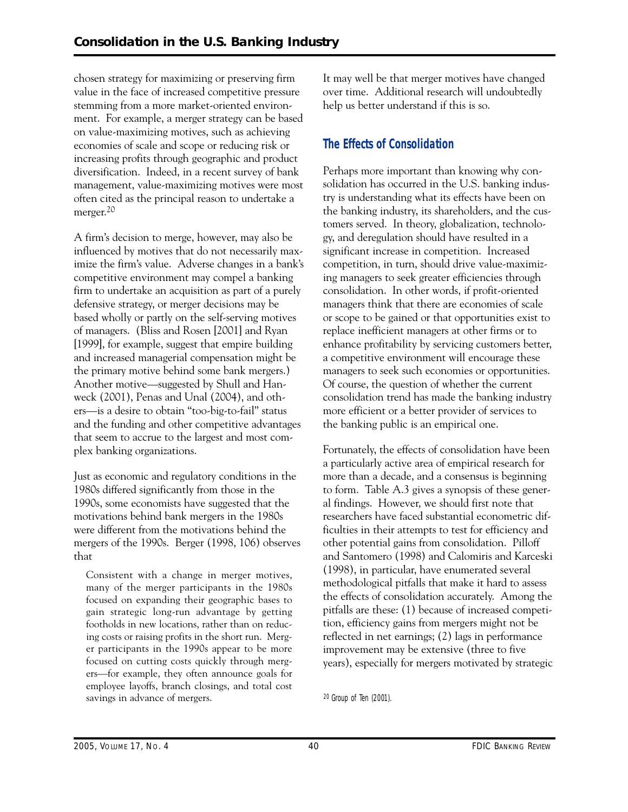chosen strategy for maximizing or preserving firm value in the face of increased competitive pressure stemming from a more market-oriented environment. For example, a merger strategy can be based on value-maximizing motives, such as achieving economies of scale and scope or reducing risk or increasing profits through geographic and product diversification. Indeed, in a recent survey of bank management, value-maximizing motives were most often cited as the principal reason to undertake a merger.<sup>20</sup>

A firm's decision to merge, however, may also be influenced by motives that do not necessarily maximize the firm's value. Adverse changes in a bank's competitive environment may compel a banking firm to undertake an acquisition as part of a purely defensive strategy, or merger decisions may be based wholly or partly on the self-serving motives of managers. (Bliss and Rosen [2001] and Ryan [1999], for example, suggest that empire building and increased managerial compensation might be the primary motive behind some bank mergers.) Another motive—suggested by Shull and Hanweck (2001), Penas and Unal (2004), and others—is a desire to obtain "too-big-to-fail" status and the funding and other competitive advantages that seem to accrue to the largest and most complex banking organizations.

Just as economic and regulatory conditions in the 1980s differed significantly from those in the 1990s, some economists have suggested that the motivations behind bank mergers in the 1980s were different from the motivations behind the mergers of the 1990s. Berger (1998, 106) observes that

Consistent with a change in merger motives, many of the merger participants in the 1980s focused on expanding their geographic bases to gain strategic long-run advantage by getting footholds in new locations, rather than on reducing costs or raising profits in the short run. Merger participants in the 1990s appear to be more focused on cutting costs quickly through mergers—for example, they often announce goals for employee layoffs, branch closings, and total cost savings in advance of mergers.

It may well be that merger motives have changed over time. Additional research will undoubtedly help us better understand if this is so.

## **The Effects of Consolidation**

Perhaps more important than knowing why consolidation has occurred in the U.S. banking industry is understanding what its effects have been on the banking industry, its shareholders, and the customers served. In theory, globalization, technology, and deregulation should have resulted in a significant increase in competition. Increased competition, in turn, should drive value-maximizing managers to seek greater efficiencies through consolidation. In other words, if profit-oriented managers think that there are economies of scale or scope to be gained or that opportunities exist to replace inefficient managers at other firms or to enhance profitability by servicing customers better, a competitive environment will encourage these managers to seek such economies or opportunities. Of course, the question of whether the current consolidation trend has made the banking industry more efficient or a better provider of services to the banking public is an empirical one.

Fortunately, the effects of consolidation have been a particularly active area of empirical research for more than a decade, and a consensus is beginning to form. Table A.3 gives a synopsis of these general findings. However, we should first note that researchers have faced substantial econometric difficulties in their attempts to test for efficiency and other potential gains from consolidation. Pilloff and Santomero (1998) and Calomiris and Karceski (1998), in particular, have enumerated several methodological pitfalls that make it hard to assess the effects of consolidation accurately. Among the pitfalls are these: (1) because of increased competition, efficiency gains from mergers might not be reflected in net earnings; (2) lags in performance improvement may be extensive (three to five years), especially for mergers motivated by strategic

20 Group of Ten (2001).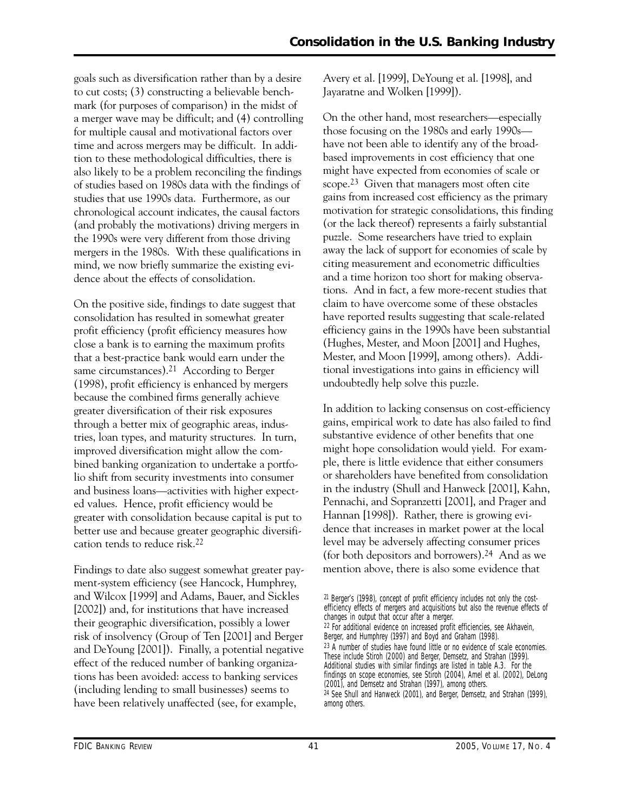goals such as diversification rather than by a desire to cut costs; (3) constructing a believable benchmark (for purposes of comparison) in the midst of a merger wave may be difficult; and (4) controlling for multiple causal and motivational factors over time and across mergers may be difficult. In addition to these methodological difficulties, there is also likely to be a problem reconciling the findings of studies based on 1980s data with the findings of studies that use 1990s data. Furthermore, as our chronological account indicates, the causal factors (and probably the motivations) driving mergers in the 1990s were very different from those driving mergers in the 1980s. With these qualifications in mind, we now briefly summarize the existing evidence about the effects of consolidation.

On the positive side, findings to date suggest that consolidation has resulted in somewhat greater profit efficiency (profit efficiency measures how close a bank is to earning the maximum profits that a best-practice bank would earn under the same circumstances).21 According to Berger (1998), profit efficiency is enhanced by mergers because the combined firms generally achieve greater diversification of their risk exposures through a better mix of geographic areas, industries, loan types, and maturity structures. In turn, improved diversification might allow the combined banking organization to undertake a portfolio shift from security investments into consumer and business loans—activities with higher expected values. Hence, profit efficiency would be greater with consolidation because capital is put to better use and because greater geographic diversification tends to reduce risk.22

Findings to date also suggest somewhat greater payment-system efficiency (see Hancock, Humphrey, and Wilcox [1999] and Adams, Bauer, and Sickles [2002]) and, for institutions that have increased their geographic diversification, possibly a lower risk of insolvency (Group of Ten [2001] and Berger and DeYoung [2001]). Finally, a potential negative effect of the reduced number of banking organizations has been avoided: access to banking services (including lending to small businesses) seems to have been relatively unaffected (see, for example,

Avery et al. [1999], DeYoung et al. [1998], and Jayaratne and Wolken [1999]).

On the other hand, most researchers—especially those focusing on the 1980s and early 1990s have not been able to identify any of the broadbased improvements in cost efficiency that one might have expected from economies of scale or scope.23 Given that managers most often cite gains from increased cost efficiency as the primary motivation for strategic consolidations, this finding (or the lack thereof) represents a fairly substantial puzzle. Some researchers have tried to explain away the lack of support for economies of scale by citing measurement and econometric difficulties and a time horizon too short for making observations. And in fact, a few more-recent studies that claim to have overcome some of these obstacles have reported results suggesting that scale-related efficiency gains in the 1990s have been substantial (Hughes, Mester, and Moon [2001] and Hughes, Mester, and Moon [1999], among others). Additional investigations into gains in efficiency will undoubtedly help solve this puzzle.

In addition to lacking consensus on cost-efficiency gains, empirical work to date has also failed to find substantive evidence of other benefits that one might hope consolidation would yield. For example, there is little evidence that either consumers or shareholders have benefited from consolidation in the industry (Shull and Hanweck [2001], Kahn, Pennachi, and Sopranzetti [2001], and Prager and Hannan [1998]). Rather, there is growing evidence that increases in market power at the local level may be adversely affecting consumer prices (for both depositors and borrowers).24 And as we mention above, there is also some evidence that

21 Berger's (1998), concept of profit efficiency includes not only the cost efficiency effects of mergers and acquisitions but also the revenue effects of changes in output that occur after a merger. 22 For additional evidence on increased profit efficiencies, see Akhavein, Berger, and Humphrey (1997) and Boyd and Graham (1998). 23 A number of studies have found little or no evidence of scale economies. These include Stiroh (2000) and Berger, Demsetz, and Strahan (1999). Additional studies with similar findings are listed in table A.3. For the findings on scope economies, see Stiroh (2004), Amel et al. (2002), DeLong (2001), and Demsetz and Strahan (1997), among others.

24 See Shull and Hanweck (2001), and Berger, Demsetz, and Strahan (1999), among others.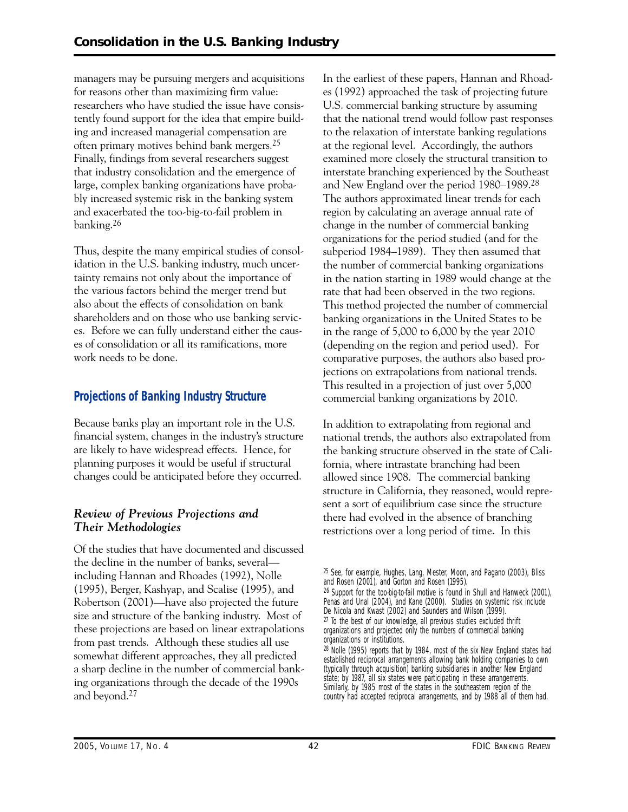managers may be pursuing mergers and acquisitions for reasons other than maximizing firm value: researchers who have studied the issue have consistently found support for the idea that empire building and increased managerial compensation are often primary motives behind bank mergers.25 Finally, findings from several researchers suggest that industry consolidation and the emergence of large, complex banking organizations have probably increased systemic risk in the banking system and exacerbated the too-big-to-fail problem in banking.26

Thus, despite the many empirical studies of consolidation in the U.S. banking industry, much uncertainty remains not only about the importance of the various factors behind the merger trend but also about the effects of consolidation on bank shareholders and on those who use banking services. Before we can fully understand either the causes of consolidation or all its ramifications, more work needs to be done.

## **Projections of Banking Industry Structure**

Because banks play an important role in the U.S. financial system, changes in the industry's structure are likely to have widespread effects. Hence, for planning purposes it would be useful if structural changes could be anticipated before they occurred.

#### *Review of Previous Projections and Their Methodologies*

Of the studies that have documented and discussed the decline in the number of banks, several including Hannan and Rhoades (1992), Nolle (1995), Berger, Kashyap, and Scalise (1995), and Robertson (2001)—have also projected the future size and structure of the banking industry. Most of these projections are based on linear extrapolations from past trends. Although these studies all use somewhat different approaches, they all predicted a sharp decline in the number of commercial banking organizations through the decade of the 1990s and beyond.27

In the earliest of these papers, Hannan and Rhoades (1992) approached the task of projecting future U.S. commercial banking structure by assuming that the national trend would follow past responses to the relaxation of interstate banking regulations at the regional level. Accordingly, the authors examined more closely the structural transition to interstate branching experienced by the Southeast and New England over the period 1980–1989.28 The authors approximated linear trends for each region by calculating an average annual rate of change in the number of commercial banking organizations for the period studied (and for the subperiod 1984–1989). They then assumed that the number of commercial banking organizations in the nation starting in 1989 would change at the rate that had been observed in the two regions. This method projected the number of commercial banking organizations in the United States to be in the range of 5,000 to 6,000 by the year 2010 (depending on the region and period used). For comparative purposes, the authors also based projections on extrapolations from national trends. This resulted in a projection of just over 5,000 commercial banking organizations by 2010.

In addition to extrapolating from regional and national trends, the authors also extrapolated from the banking structure observed in the state of California, where intrastate branching had been allowed since 1908. The commercial banking structure in California, they reasoned, would represent a sort of equilibrium case since the structure there had evolved in the absence of branching restrictions over a long period of time. In this

<sup>25</sup> See, for example, Hughes, Lang, Mester, Moon, and Pagano (2003), Bliss and Rosen (2001), and Gorton and Rosen (1995).

<sup>&</sup>lt;sup>26</sup> Support for the too-big-to-fail motive is found in Shull and Hanweck (2001), Penas and Unal (2004), and Kane (2000). Studies on systemic risk include De Nicola and Kwast (2002) and Saunders and Wilson (1999).  $27$  To the best of our knowledge, all previous studies excluded thrift organizations and projected only the numbers of commercial banking organizations or institutions.

<sup>&</sup>lt;sup>28</sup> Nolle (1995) reports that by 1984, most of the six New England states had established reciprocal arrangements allowing bank holding companies to own (typically through acquisition) banking subsidiaries in another New England state; by 1987, all six states were participating in these arrangements. Similarly, by 1985 most of the states in the southeastern region of the country had accepted reciprocal arrangements, and by 1988 all of them had.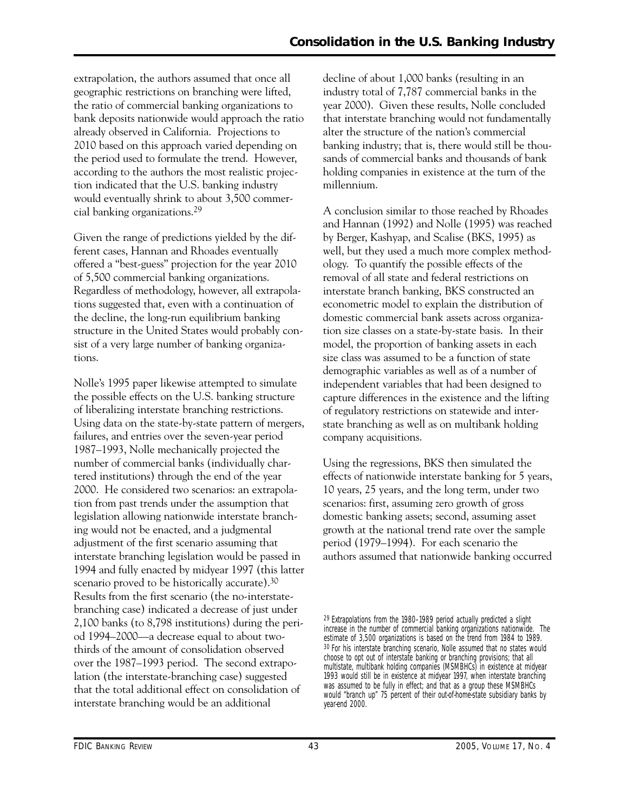extrapolation, the authors assumed that once all geographic restrictions on branching were lifted, the ratio of commercial banking organizations to bank deposits nationwide would approach the ratio already observed in California. Projections to 2010 based on this approach varied depending on the period used to formulate the trend. However, according to the authors the most realistic projection indicated that the U.S. banking industry would eventually shrink to about 3,500 commercial banking organizations.29

Given the range of predictions yielded by the different cases, Hannan and Rhoades eventually offered a "best-guess" projection for the year 2010 of 5,500 commercial banking organizations. Regardless of methodology, however, all extrapolations suggested that, even with a continuation of the decline, the long-run equilibrium banking structure in the United States would probably consist of a very large number of banking organizations.

Nolle's 1995 paper likewise attempted to simulate the possible effects on the U.S. banking structure of liberalizing interstate branching restrictions. Using data on the state-by-state pattern of mergers, failures, and entries over the seven-year period 1987–1993, Nolle mechanically projected the number of commercial banks (individually chartered institutions) through the end of the year 2000. He considered two scenarios: an extrapolation from past trends under the assumption that legislation allowing nationwide interstate branching would not be enacted, and a judgmental adjustment of the first scenario assuming that interstate branching legislation would be passed in 1994 and fully enacted by midyear 1997 (this latter scenario proved to be historically accurate).30 Results from the first scenario (the no-interstatebranching case) indicated a decrease of just under 2,100 banks (to 8,798 institutions) during the period 1994–2000—a decrease equal to about twothirds of the amount of consolidation observed over the 1987–1993 period. The second extrapolation (the interstate-branching case) suggested that the total additional effect on consolidation of interstate branching would be an additional

decline of about 1,000 banks (resulting in an industry total of 7,787 commercial banks in the year 2000). Given these results, Nolle concluded that interstate branching would not fundamentally alter the structure of the nation's commercial banking industry; that is, there would still be thousands of commercial banks and thousands of bank holding companies in existence at the turn of the millennium.

A conclusion similar to those reached by Rhoades and Hannan (1992) and Nolle (1995) was reached by Berger, Kashyap, and Scalise (BKS, 1995) as well, but they used a much more complex methodology. To quantify the possible effects of the removal of all state and federal restrictions on interstate branch banking, BKS constructed an econometric model to explain the distribution of domestic commercial bank assets across organization size classes on a state-by-state basis. In their model, the proportion of banking assets in each size class was assumed to be a function of state demographic variables as well as of a number of independent variables that had been designed to capture differences in the existence and the lifting of regulatory restrictions on statewide and interstate branching as well as on multibank holding company acquisitions.

Using the regressions, BKS then simulated the effects of nationwide interstate banking for 5 years, 10 years, 25 years, and the long term, under two scenarios: first, assuming zero growth of gross domestic banking assets; second, assuming asset growth at the national trend rate over the sample period (1979–1994). For each scenario the authors assumed that nationwide banking occurred

<sup>29</sup> Extrapolations from the 1980–1989 period actually predicted a slight increase in the number of commercial banking organizations nationwide. The estimate of 3,500 organizations is based on the trend from 1984 to 1989. <sup>30</sup> For his interstate branching scenario, Nolle assumed that no states would choose to opt out of interstate banking or branching provisions; that all multistate, multibank holding companies (MSMBHCs) in existence at midyear 1993 would still be in existence at midyear 1997, when interstate branching was assumed to be fully in effect; and that as a group these MSMBHCs would "branch up" 75 percent of their out-of-home-state subsidiary banks by year-end 2000.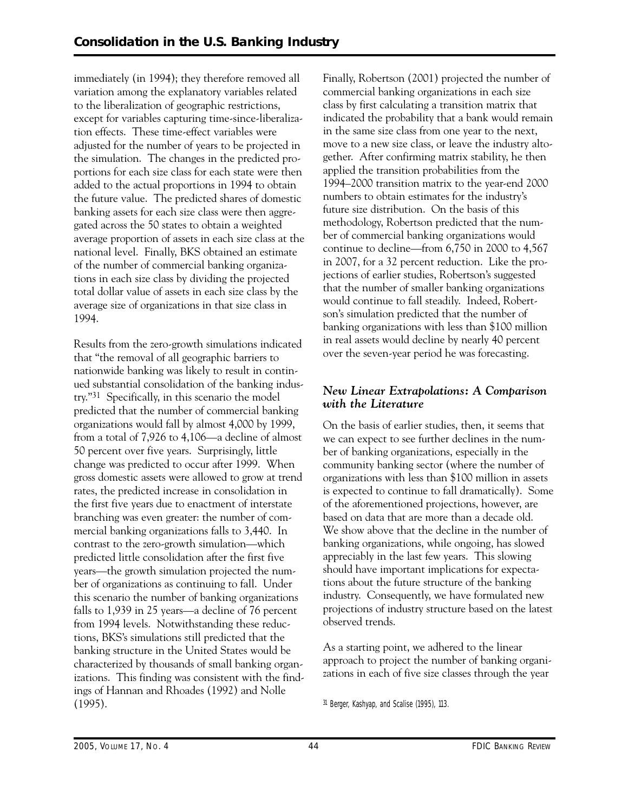immediately (in 1994); they therefore removed all variation among the explanatory variables related to the liberalization of geographic restrictions, except for variables capturing time-since-liberalization effects. These time-effect variables were adjusted for the number of years to be projected in the simulation. The changes in the predicted proportions for each size class for each state were then added to the actual proportions in 1994 to obtain the future value. The predicted shares of domestic banking assets for each size class were then aggregated across the 50 states to obtain a weighted average proportion of assets in each size class at the national level. Finally, BKS obtained an estimate of the number of commercial banking organizations in each size class by dividing the projected total dollar value of assets in each size class by the average size of organizations in that size class in 1994.

Results from the zero-growth simulations indicated that "the removal of all geographic barriers to nationwide banking was likely to result in continued substantial consolidation of the banking industry."31 Specifically, in this scenario the model predicted that the number of commercial banking organizations would fall by almost 4,000 by 1999, from a total of 7,926 to 4,106—a decline of almost 50 percent over five years. Surprisingly, little change was predicted to occur after 1999. When gross domestic assets were allowed to grow at trend rates, the predicted increase in consolidation in the first five years due to enactment of interstate branching was even greater: the number of commercial banking organizations falls to 3,440. In contrast to the zero-growth simulation—which predicted little consolidation after the first five years—the growth simulation projected the number of organizations as continuing to fall. Under this scenario the number of banking organizations falls to 1,939 in 25 years—a decline of 76 percent from 1994 levels. Notwithstanding these reductions, BKS's simulations still predicted that the banking structure in the United States would be characterized by thousands of small banking organizations. This finding was consistent with the findings of Hannan and Rhoades (1992) and Nolle (1995).

Finally, Robertson (2001) projected the number of commercial banking organizations in each size class by first calculating a transition matrix that indicated the probability that a bank would remain in the same size class from one year to the next, move to a new size class, or leave the industry altogether. After confirming matrix stability, he then applied the transition probabilities from the 1994–2000 transition matrix to the year-end 2000 numbers to obtain estimates for the industry's future size distribution. On the basis of this methodology, Robertson predicted that the number of commercial banking organizations would continue to decline—from 6,750 in 2000 to 4,567 in 2007, for a 32 percent reduction. Like the projections of earlier studies, Robertson's suggested that the number of smaller banking organizations would continue to fall steadily. Indeed, Robertson's simulation predicted that the number of banking organizations with less than \$100 million in real assets would decline by nearly 40 percent over the seven-year period he was forecasting.

### *New Linear Extrapolations: A Comparison with the Literature*

On the basis of earlier studies, then, it seems that we can expect to see further declines in the number of banking organizations, especially in the community banking sector (where the number of organizations with less than \$100 million in assets is expected to continue to fall dramatically). Some of the aforementioned projections, however, are based on data that are more than a decade old. We show above that the decline in the number of banking organizations, while ongoing, has slowed appreciably in the last few years. This slowing should have important implications for expectations about the future structure of the banking industry. Consequently, we have formulated new projections of industry structure based on the latest observed trends.

As a starting point, we adhered to the linear approach to project the number of banking organizations in each of five size classes through the year

31 Berger, Kashyap, and Scalise (1995), 113.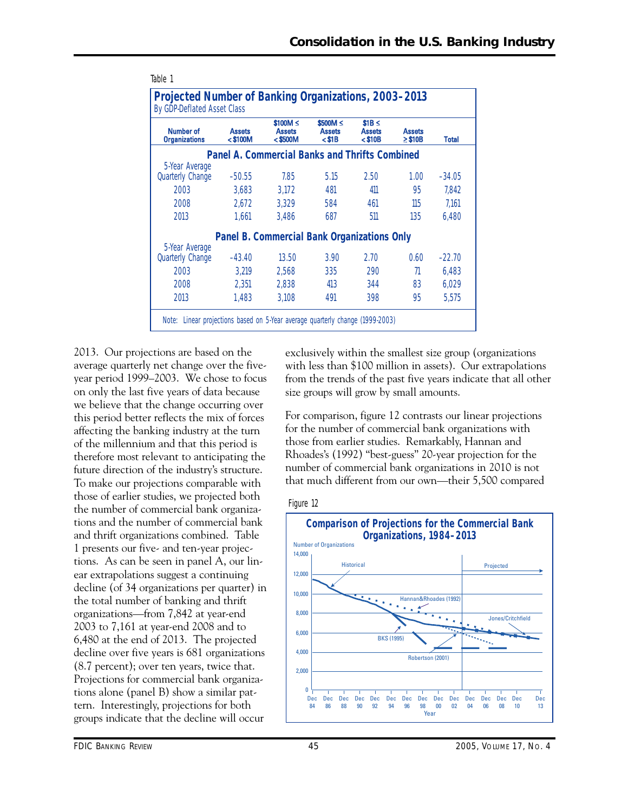| By GDP-Deflated Asset Class              |                             | $$100M \le$                                           | $$500M \leq$              | $$1B \le$                     |                               |              |
|------------------------------------------|-----------------------------|-------------------------------------------------------|---------------------------|-------------------------------|-------------------------------|--------------|
| <b>Number of</b><br><b>Organizations</b> | <b>Assets</b><br>$<$ \$100M | <b>Assets</b><br>$<$ \$500 $M$                        | <b>Assets</b><br>$<$ \$1B | <b>Assets</b><br>$<$ \$10 $B$ | <b>Assets</b><br>$\geq$ \$10B | <b>Total</b> |
|                                          |                             | <b>Panel A. Commercial Banks and Thrifts Combined</b> |                           |                               |                               |              |
| 5-Year Average                           |                             |                                                       |                           |                               |                               |              |
| Quarterly Change                         | $-50.55$                    | 7.85                                                  | 5.15                      | 2.50                          | 1.00                          | $-34.05$     |
| 2003                                     | 3,683                       | 3,172                                                 | 481                       | 411                           | 95                            | 7.842        |
| 2008                                     | 2.672                       | 3,329                                                 | 584                       | 461                           | 115                           | 7.161        |
| 2013                                     | 1.661                       | 3.486                                                 | 687                       | 511                           | 135                           | 6,480        |
|                                          |                             | Panel B. Commercial Bank Organizations Only           |                           |                               |                               |              |
| 5-Year Average<br>Quarterly Change       | $-43.40$                    | 13.50                                                 | 3.90                      | 2.70                          | 0.60                          | $-22.70$     |
| 2003                                     | 3.219                       | 2.568                                                 | 335                       | 290                           | 71                            | 6,483        |
| 2008                                     | 2.351                       | 2.838                                                 | 413                       | 344                           | 83                            | 6,029        |
| 2013                                     | 1.483                       | 3,108                                                 | 491                       | 398                           | 95                            | 5,575        |

2013. Our projections are based on the average quarterly net change over the fiveyear period 1999–2003. We chose to focus on only the last five years of data because we believe that the change occurring over this period better reflects the mix of forces affecting the banking industry at the turn of the millennium and that this period is therefore most relevant to anticipating the future direction of the industry's structure. To make our projections comparable with those of earlier studies, we projected both the number of commercial bank organizations and the number of commercial bank and thrift organizations combined. Table 1 presents our five- and ten-year projections. As can be seen in panel A, our linear extrapolations suggest a continuing decline (of 34 organizations per quarter) in the total number of banking and thrift organizations—from 7,842 at year-end 2003 to 7,161 at year-end 2008 and to 6,480 at the end of 2013. The projected decline over five years is 681 organizations (8.7 percent); over ten years, twice that. Projections for commercial bank organizations alone (panel B) show a similar pattern. Interestingly, projections for both groups indicate that the decline will occur

exclusively within the smallest size group (organizations with less than \$100 million in assets). Our extrapolations from the trends of the past five years indicate that all other size groups will grow by small amounts.

For comparison, figure 12 contrasts our linear projections for the number of commercial bank organizations with those from earlier studies. Remarkably, Hannan and Rhoades's (1992) "best-guess" 20-year projection for the number of commercial bank organizations in 2010 is not that much different from our own—their 5,500 compared



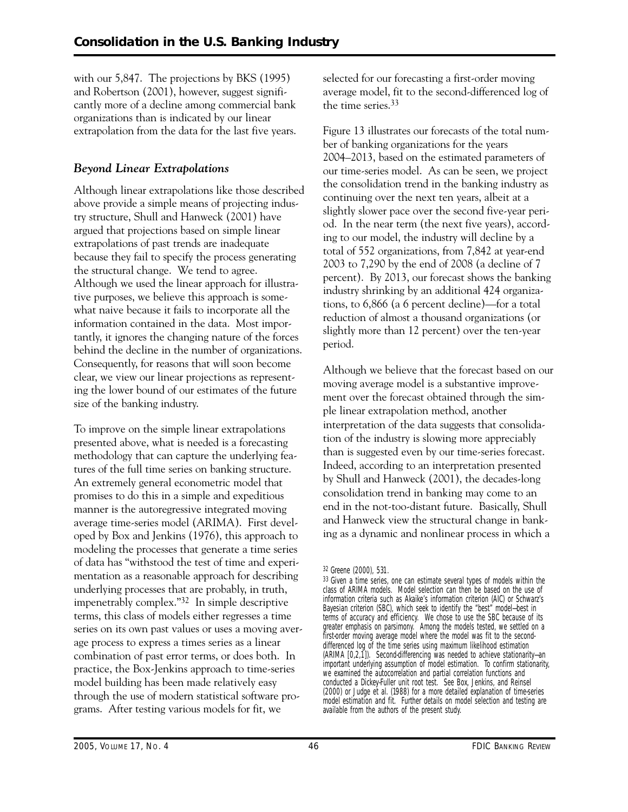with our 5,847. The projections by BKS (1995) and Robertson (2001), however, suggest significantly more of a decline among commercial bank organizations than is indicated by our linear extrapolation from the data for the last five years.

## *Beyond Linear Extrapolations*

Although linear extrapolations like those described above provide a simple means of projecting industry structure, Shull and Hanweck (2001) have argued that projections based on simple linear extrapolations of past trends are inadequate because they fail to specify the process generating the structural change. We tend to agree. Although we used the linear approach for illustrative purposes, we believe this approach is somewhat naive because it fails to incorporate all the information contained in the data. Most importantly, it ignores the changing nature of the forces behind the decline in the number of organizations. Consequently, for reasons that will soon become clear, we view our linear projections as representing the lower bound of our estimates of the future size of the banking industry.

To improve on the simple linear extrapolations presented above, what is needed is a forecasting methodology that can capture the underlying features of the full time series on banking structure. An extremely general econometric model that promises to do this in a simple and expeditious manner is the autoregressive integrated moving average time-series model (ARIMA). First developed by Box and Jenkins (1976), this approach to modeling the processes that generate a time series of data has "withstood the test of time and experimentation as a reasonable approach for describing underlying processes that are probably, in truth, impenetrably complex."32 In simple descriptive terms, this class of models either regresses a time series on its own past values or uses a moving average process to express a times series as a linear combination of past error terms, or does both. In practice, the Box-Jenkins approach to time-series model building has been made relatively easy through the use of modern statistical software programs. After testing various models for fit, we

selected for our forecasting a first-order moving average model, fit to the second-differenced log of the time series.33

Figure 13 illustrates our forecasts of the total number of banking organizations for the years 2004–2013, based on the estimated parameters of our time-series model. As can be seen, we project the consolidation trend in the banking industry as continuing over the next ten years, albeit at a slightly slower pace over the second five-year period. In the near term (the next five years), according to our model, the industry will decline by a total of 552 organizations, from 7,842 at year-end 2003 to 7,290 by the end of 2008 (a decline of 7 percent). By 2013, our forecast shows the banking industry shrinking by an additional 424 organizations, to 6,866 (a 6 percent decline)—for a total reduction of almost a thousand organizations (or slightly more than 12 percent) over the ten-year period.

Although we believe that the forecast based on our moving average model is a substantive improvement over the forecast obtained through the simple linear extrapolation method, another interpretation of the data suggests that consolidation of the industry is slowing more appreciably than is suggested even by our time-series forecast. Indeed, according to an interpretation presented by Shull and Hanweck (2001), the decades-long consolidation trend in banking may come to an end in the not-too-distant future. Basically, Shull and Hanweck view the structural change in banking as a dynamic and nonlinear process in which a

<sup>32</sup> Greene (2000), 531.

 terms of accuracy and efficiency. We chose to use the SBC because of its <sup>33</sup> Given a time series, one can estimate several types of models within the class of ARIMA models. Model selection can then be based on the use of information criteria such as Akaike's information criterion (AIC) or Schwarz's Bayesian criterion (SBC), which seek to identify the "best" model—best in greater emphasis on parsimony. Among the models tested, we settled on a first-order moving average model where the model was fit to the seconddifferenced log of the time series using maximum likelihood estimation (ARIMA [0,2,1]). Second-differencing was needed to achieve stationarity—an important underlying assumption of model estimation. To confirm stationarity, we examined the autocorrelation and partial correlation functions and conducted a Dickey-Fuller unit root test. See Box, Jenkins, and Reinsel (2000) or Judge et al. (1988) for a more detailed explanation of time-series model estimation and fit. Further details on model selection and testing are available from the authors of the present study.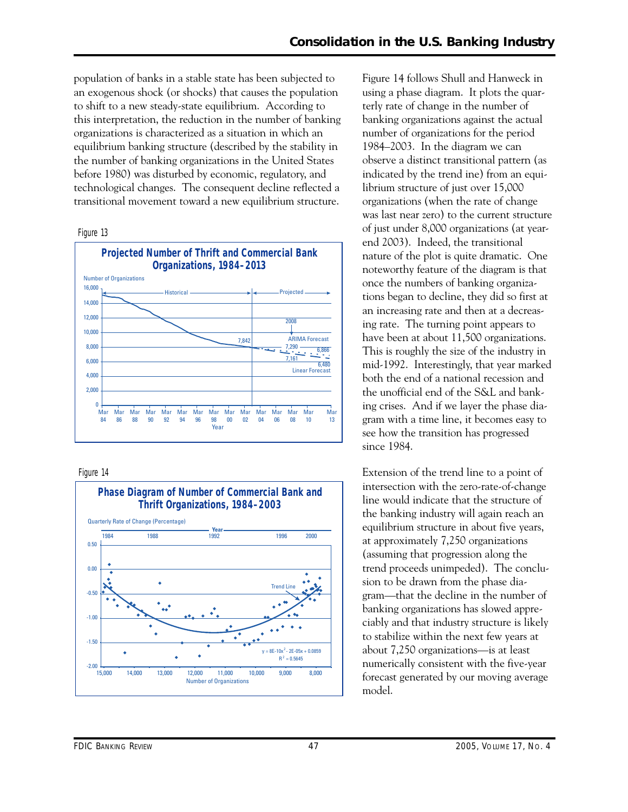population of banks in a stable state has been subjected to an exogenous shock (or shocks) that causes the population to shift to a new steady-state equilibrium. According to this interpretation, the reduction in the number of banking organizations is characterized as a situation in which an equilibrium banking structure (described by the stability in the number of banking organizations in the United States before 1980) was disturbed by economic, regulatory, and technological changes. The consequent decline reflected a transitional movement toward a new equilibrium structure.

#### Figure 13







Figure 14 follows Shull and Hanweck in using a phase diagram. It plots the quarterly rate of change in the number of banking organizations against the actual number of organizations for the period 1984–2003. In the diagram we can observe a distinct transitional pattern (as indicated by the trend ine) from an equilibrium structure of just over 15,000 organizations (when the rate of change was last near zero) to the current structure of just under 8,000 organizations (at yearend 2003). Indeed, the transitional nature of the plot is quite dramatic. One noteworthy feature of the diagram is that once the numbers of banking organizations began to decline, they did so first at an increasing rate and then at a decreasing rate. The turning point appears to have been at about 11,500 organizations. This is roughly the size of the industry in mid-1992. Interestingly, that year marked both the end of a national recession and the unofficial end of the S&L and banking crises. And if we layer the phase diagram with a time line, it becomes easy to see how the transition has progressed since 1984.

Extension of the trend line to a point of intersection with the zero-rate-of-change line would indicate that the structure of the banking industry will again reach an equilibrium structure in about five years, at approximately 7,250 organizations (assuming that progression along the trend proceeds unimpeded). The conclusion to be drawn from the phase diagram—that the decline in the number of banking organizations has slowed appreciably and that industry structure is likely to stabilize within the next few years at about 7,250 organizations—is at least numerically consistent with the five-year forecast generated by our moving average model.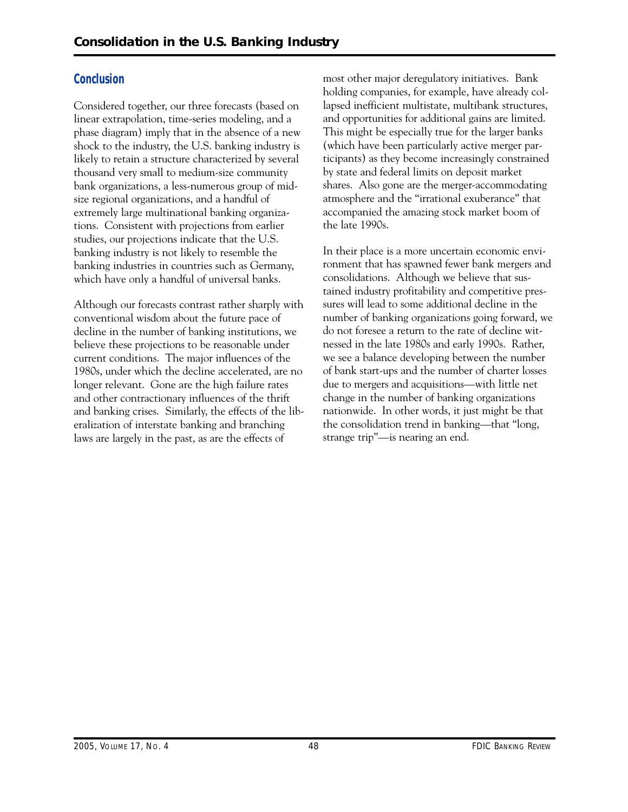## **Conclusion**

Considered together, our three forecasts (based on linear extrapolation, time-series modeling, and a phase diagram) imply that in the absence of a new shock to the industry, the U.S. banking industry is likely to retain a structure characterized by several thousand very small to medium-size community bank organizations, a less-numerous group of midsize regional organizations, and a handful of extremely large multinational banking organizations. Consistent with projections from earlier studies, our projections indicate that the U.S. banking industry is not likely to resemble the banking industries in countries such as Germany, which have only a handful of universal banks.

Although our forecasts contrast rather sharply with conventional wisdom about the future pace of decline in the number of banking institutions, we believe these projections to be reasonable under current conditions. The major influences of the 1980s, under which the decline accelerated, are no longer relevant. Gone are the high failure rates and other contractionary influences of the thrift and banking crises. Similarly, the effects of the liberalization of interstate banking and branching laws are largely in the past, as are the effects of

most other major deregulatory initiatives. Bank holding companies, for example, have already collapsed inefficient multistate, multibank structures, and opportunities for additional gains are limited. This might be especially true for the larger banks (which have been particularly active merger participants) as they become increasingly constrained by state and federal limits on deposit market shares. Also gone are the merger-accommodating atmosphere and the "irrational exuberance" that accompanied the amazing stock market boom of the late 1990s.

In their place is a more uncertain economic environment that has spawned fewer bank mergers and consolidations. Although we believe that sustained industry profitability and competitive pressures will lead to some additional decline in the number of banking organizations going forward, we do not foresee a return to the rate of decline witnessed in the late 1980s and early 1990s. Rather, we see a balance developing between the number of bank start-ups and the number of charter losses due to mergers and acquisitions—with little net change in the number of banking organizations nationwide. In other words, it just might be that the consolidation trend in banking—that "long, strange trip"—is nearing an end.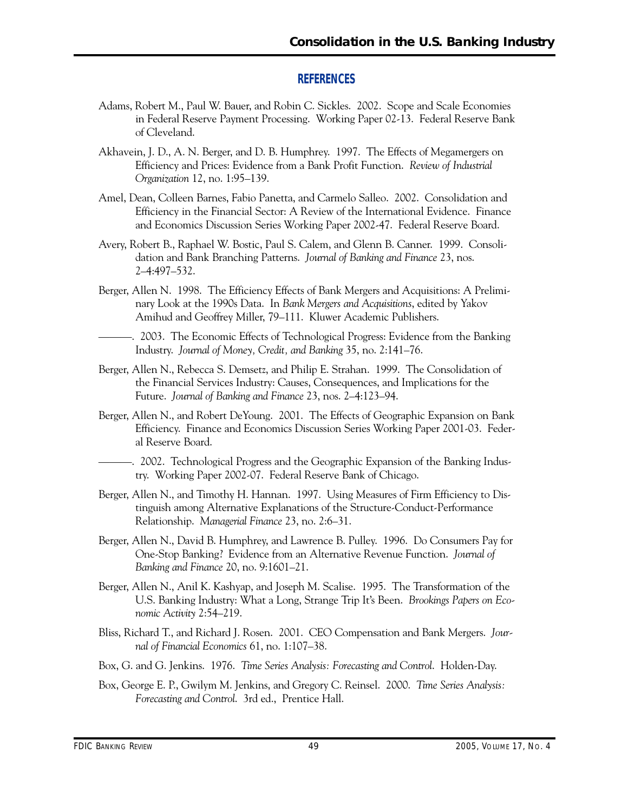## **REFERENCES**

- Adams, Robert M., Paul W. Bauer, and Robin C. Sickles. 2002. Scope and Scale Economies in Federal Reserve Payment Processing. Working Paper 02-13. Federal Reserve Bank of Cleveland.
- Akhavein, J. D., A. N. Berger, and D. B. Humphrey. 1997. The Effects of Megamergers on Efficiency and Prices: Evidence from a Bank Profit Function. *Review of Industrial Organization* 12, no. 1:95–139.
- Amel, Dean, Colleen Barnes, Fabio Panetta, and Carmelo Salleo. 2002. Consolidation and Efficiency in the Financial Sector: A Review of the International Evidence. Finance and Economics Discussion Series Working Paper 2002-47. Federal Reserve Board.
- Avery, Robert B., Raphael W. Bostic, Paul S. Calem, and Glenn B. Canner. 1999. Consolidation and Bank Branching Patterns. *Journal of Banking and Finance* 23, nos. 2–4:497–532.
- Berger, Allen N. 1998. The Efficiency Effects of Bank Mergers and Acquisitions: A Preliminary Look at the 1990s Data. In *Bank Mergers and Acquisitions*, edited by Yakov Amihud and Geoffrey Miller, 79–111. Kluwer Academic Publishers.
- ———. 2003. The Economic Effects of Technological Progress: Evidence from the Banking Industry. *Journal of Money, Credit, and Banking* 35, no. 2:141–76.
- Berger, Allen N., Rebecca S. Demsetz, and Philip E. Strahan. 1999. The Consolidation of the Financial Services Industry: Causes, Consequences, and Implications for the Future. *Journal of Banking and Finance* 23, nos. 2–4:123–94.
- Berger, Allen N., and Robert DeYoung. 2001. The Effects of Geographic Expansion on Bank Efficiency. Finance and Economics Discussion Series Working Paper 2001-03. Federal Reserve Board.
- ———. 2002. Technological Progress and the Geographic Expansion of the Banking Industry. Working Paper 2002-07. Federal Reserve Bank of Chicago.
- Berger, Allen N., and Timothy H. Hannan. 1997. Using Measures of Firm Efficiency to Distinguish among Alternative Explanations of the Structure-Conduct-Performance Relationship. *Managerial Finance* 23, no. 2:6–31.
- Berger, Allen N., David B. Humphrey, and Lawrence B. Pulley. 1996. Do Consumers Pay for One-Stop Banking? Evidence from an Alternative Revenue Function. *Journal of Banking and Finance* 20, no. 9:1601–21.
- Berger, Allen N., Anil K. Kashyap, and Joseph M. Scalise. 1995. The Transformation of the U.S. Banking Industry: What a Long, Strange Trip It's Been. *Brookings Papers on Economic Activity* 2:54–219.
- Bliss, Richard T., and Richard J. Rosen. 2001. CEO Compensation and Bank Mergers. *Journal of Financial Economics* 61, no. 1:107–38.
- Box, G. and G. Jenkins. 1976. *Time Series Analysis: Forecasting and Control*. Holden-Day.
- Box, George E. P., Gwilym M. Jenkins, and Gregory C. Reinsel. 2000. *Time Series Analysis: Forecasting and Control*. 3rd ed., Prentice Hall.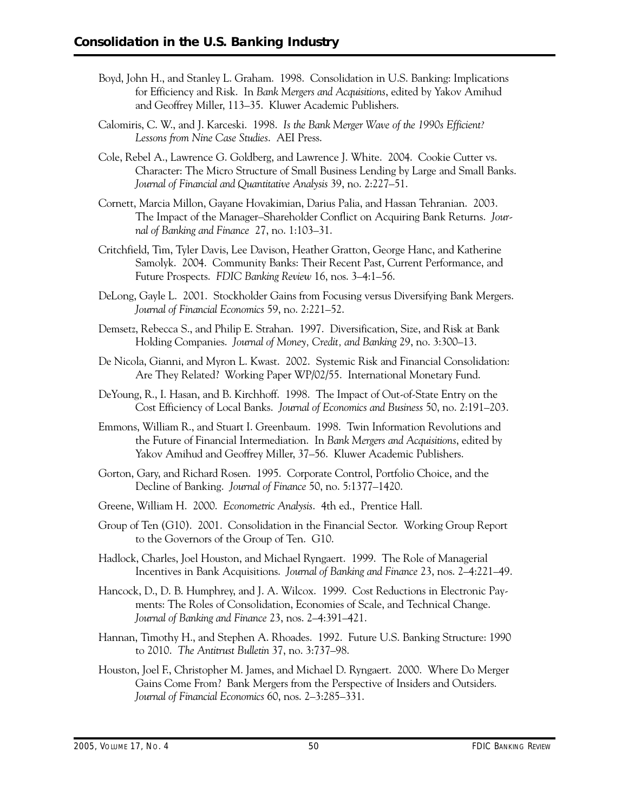- Boyd, John H., and Stanley L. Graham. 1998. Consolidation in U.S. Banking: Implications for Efficiency and Risk. In *Bank Mergers and Acquisitions*, edited by Yakov Amihud and Geoffrey Miller, 113–35. Kluwer Academic Publishers.
- Calomiris, C. W., and J. Karceski. 1998. *Is the Bank Merger Wave of the 1990s Efficient? Lessons from Nine Case Studies*. AEI Press.
- Cole, Rebel A., Lawrence G. Goldberg, and Lawrence J. White. 2004. Cookie Cutter vs. Character: The Micro Structure of Small Business Lending by Large and Small Banks. *Journal of Financial and Quantitative Analysis* 39, no. 2:227–51.
- Cornett, Marcia Millon, Gayane Hovakimian, Darius Palia, and Hassan Tehranian. 2003. The Impact of the Manager–Shareholder Conflict on Acquiring Bank Returns. *Journal of Banking and Finance* 27, no. 1:103–31.
- Samolyk. 2004. Community Banks: Their Recent Past, Current Performance, and Critchfield, Tim, Tyler Davis, Lee Davison, Heather Gratton, George Hanc, and Katherine Future Prospects. *FDIC Banking Review* 16, nos. 3–4:1–56.
- DeLong, Gayle L. 2001. Stockholder Gains from Focusing versus Diversifying Bank Mergers. *Journal of Financial Economics* 59, no. 2:221–52.
- Demsetz, Rebecca S., and Philip E. Strahan. 1997. Diversification, Size, and Risk at Bank Holding Companies. *Journal of Money, Credit, and Banking* 29, no. 3:300–13.
- De Nicola, Gianni, and Myron L. Kwast. 2002. Systemic Risk and Financial Consolidation: Are They Related? Working Paper WP/02/55. International Monetary Fund.
- DeYoung, R., I. Hasan, and B. Kirchhoff. 1998. The Impact of Out-of-State Entry on the Cost Efficiency of Local Banks. *Journal of Economics and Business* 50, no. 2:191–203.
- Emmons, William R., and Stuart I. Greenbaum. 1998. Twin Information Revolutions and the Future of Financial Intermediation. In *Bank Mergers and Acquisitions*, edited by Yakov Amihud and Geoffrey Miller, 37–56. Kluwer Academic Publishers.
- Gorton, Gary, and Richard Rosen. 1995. Corporate Control, Portfolio Choice, and the Decline of Banking. *Journal of Finance* 50, no. 5:1377–1420.
- Greene, William H. 2000. *Econometric Analysis*. 4th ed., Prentice Hall.
- Group of Ten (G10). 2001. Consolidation in the Financial Sector. Working Group Report to the Governors of the Group of Ten. G10.
- Hadlock, Charles, Joel Houston, and Michael Ryngaert. 1999. The Role of Managerial Incentives in Bank Acquisitions. *Journal of Banking and Finance* 23, nos. 2–4:221–49.
- Hancock, D., D. B. Humphrey, and J. A. Wilcox. 1999. Cost Reductions in Electronic Payments: The Roles of Consolidation, Economies of Scale, and Technical Change. *Journal of Banking and Finance* 23, nos. 2–4:391–421.
- Hannan, Timothy H., and Stephen A. Rhoades. 1992. Future U.S. Banking Structure: 1990 to 2010. *The Antitrust Bulletin* 37, no. 3:737–98.
- Houston, Joel F., Christopher M. James, and Michael D. Ryngaert. 2000. Where Do Merger Gains Come From? Bank Mergers from the Perspective of Insiders and Outsiders. *Journal of Financial Economics* 60, nos. 2–3:285–331.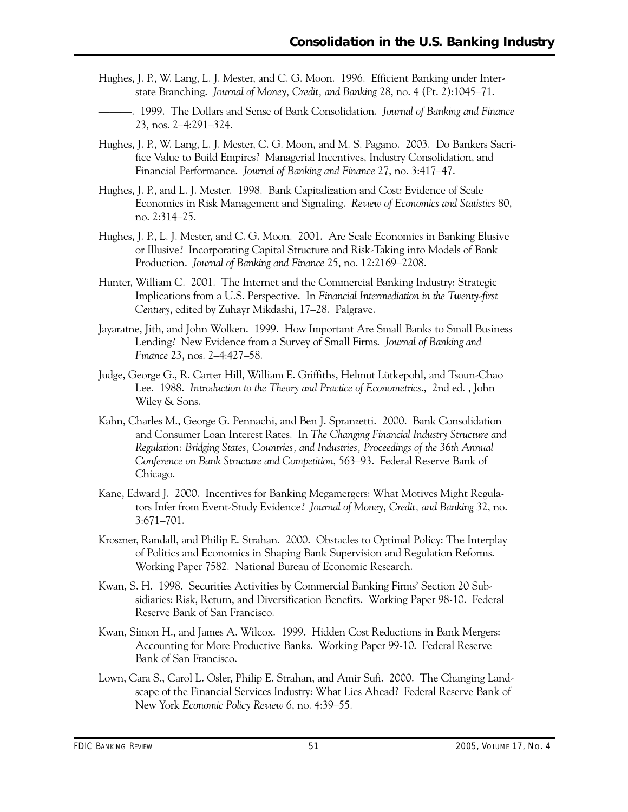- Hughes, J. P., W. Lang, L. J. Mester, and C. G. Moon. 1996. Efficient Banking under Interstate Branching. *Journal of Money, Credit, and Banking* 28, no. 4 (Pt. 2):1045–71.
- ———. 1999. The Dollars and Sense of Bank Consolidation. *Journal of Banking and Finance*  23, nos. 2–4:291–324.
- Hughes, J. P., W. Lang, L. J. Mester, C. G. Moon, and M. S. Pagano. 2003. Do Bankers Sacrifice Value to Build Empires? Managerial Incentives, Industry Consolidation, and Financial Performance. *Journal of Banking and Finance* 27, no. 3:417–47.
- Hughes, J. P., and L. J. Mester. 1998. Bank Capitalization and Cost: Evidence of Scale Economies in Risk Management and Signaling. *Review of Economics and Statistics* 80, no. 2:314–25.
- Hughes, J. P., L. J. Mester, and C. G. Moon. 2001. Are Scale Economies in Banking Elusive or Illusive? Incorporating Capital Structure and Risk-Taking into Models of Bank Production. *Journal of Banking and Finance* 25, no. 12:2169–2208.
- Hunter, William C. 2001. The Internet and the Commercial Banking Industry: Strategic Implications from a U.S. Perspective. In *Financial Intermediation in the Twenty-first Century*, edited by Zuhayr Mikdashi, 17–28. Palgrave.
- Jayaratne, Jith, and John Wolken. 1999. How Important Are Small Banks to Small Business Lending? New Evidence from a Survey of Small Firms. *Journal of Banking and Finance* 23, nos. 2–4:427–58.
- Lee. 1988. *Introduction to the Theory and Practice of Econometrics*., 2nd ed. , John Judge, George G., R. Carter Hill, William E. Griffiths, Helmut Lütkepohl, and Tsoun-Chao Wiley & Sons.
- Kahn, Charles M., George G. Pennachi, and Ben J. Spranzetti. 2000. Bank Consolidation and Consumer Loan Interest Rates. In *The Changing Financial Industry Structure and Regulation: Bridging States, Countries, and Industries, Proceedings of the 36th Annual Conference on Bank Structure and Competition*, 563–93. Federal Reserve Bank of Chicago.
- Kane, Edward J. 2000. Incentives for Banking Megamergers: What Motives Might Regulators Infer from Event-Study Evidence? *Journal of Money, Credit, and Banking* 32, no. 3:671–701.
- Kroszner, Randall, and Philip E. Strahan. 2000. Obstacles to Optimal Policy: The Interplay of Politics and Economics in Shaping Bank Supervision and Regulation Reforms. Working Paper 7582. National Bureau of Economic Research.
- Kwan, S. H. 1998. Securities Activities by Commercial Banking Firms' Section 20 Subsidiaries: Risk, Return, and Diversification Benefits. Working Paper 98-10. Federal Reserve Bank of San Francisco.
- Kwan, Simon H., and James A. Wilcox. 1999. Hidden Cost Reductions in Bank Mergers: Accounting for More Productive Banks. Working Paper 99-10. Federal Reserve Bank of San Francisco.
- Lown, Cara S., Carol L. Osler, Philip E. Strahan, and Amir Sufi. 2000. The Changing Landscape of the Financial Services Industry: What Lies Ahead? Federal Reserve Bank of New York *Economic Policy Review* 6, no. 4:39–55.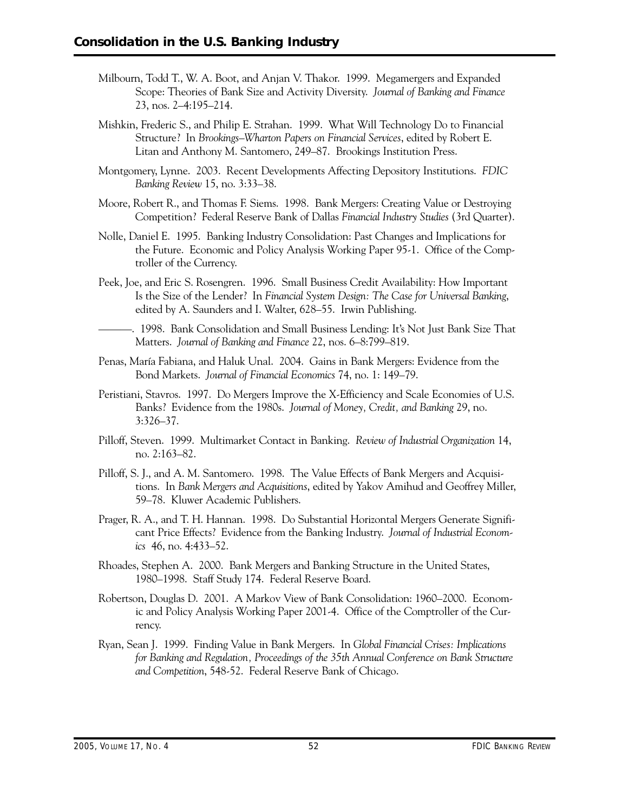- Milbourn, Todd T., W. A. Boot, and Anjan V. Thakor. 1999. Megamergers and Expanded Scope: Theories of Bank Size and Activity Diversity. *Journal of Banking and Finance*  23, nos. 2–4:195–214.
- Mishkin, Frederic S., and Philip E. Strahan. 1999. What Will Technology Do to Financial Structure? In *Brookings–Wharton Papers on Financial Services*, edited by Robert E. Litan and Anthony M. Santomero, 249–87. Brookings Institution Press.
- Montgomery, Lynne. 2003. Recent Developments Affecting Depository Institutions. *FDIC Banking Review* 15, no. 3:33–38.
- Moore, Robert R., and Thomas F. Siems. 1998. Bank Mergers: Creating Value or Destroying Competition? Federal Reserve Bank of Dallas *Financial Industry Studies* (3rd Quarter).
- Nolle, Daniel E. 1995. Banking Industry Consolidation: Past Changes and Implications for the Future. Economic and Policy Analysis Working Paper 95-1. Office of the Comptroller of the Currency.
- Peek, Joe, and Eric S. Rosengren. 1996. Small Business Credit Availability: How Important Is the Size of the Lender? In *Financial System Design: The Case for Universal Banking*, edited by A. Saunders and I. Walter, 628–55. Irwin Publishing.
- ———. 1998. Bank Consolidation and Small Business Lending: It's Not Just Bank Size That Matters. *Journal of Banking and Finance* 22, nos. 6–8:799–819.
- Penas, María Fabiana, and Haluk Unal. 2004. Gains in Bank Mergers: Evidence from the Bond Markets. *Journal of Financial Economics* 74, no. 1: 149–79.
- Peristiani, Stavros. 1997. Do Mergers Improve the X-Efficiency and Scale Economies of U.S. Banks? Evidence from the 1980s. *Journal of Money, Credit, and Banking* 29, no. 3:326–37.
- Pilloff, Steven. 1999. Multimarket Contact in Banking. *Review of Industrial Organization* 14, no. 2:163–82.
- Pilloff, S. J., and A. M. Santomero. 1998. The Value Effects of Bank Mergers and Acquisitions. In *Bank Mergers and Acquisitions*, edited by Yakov Amihud and Geoffrey Miller, 59–78. Kluwer Academic Publishers.
- Prager, R. A., and T. H. Hannan. 1998. Do Substantial Horizontal Mergers Generate Significant Price Effects? Evidence from the Banking Industry. *Journal of Industrial Economics* 46, no. 4:433–52.
- Rhoades, Stephen A. 2000. Bank Mergers and Banking Structure in the United States, 1980–1998. Staff Study 174. Federal Reserve Board.
- Robertson, Douglas D. 2001. A Markov View of Bank Consolidation: 1960–2000. Economic and Policy Analysis Working Paper 2001-4. Office of the Comptroller of the Currency.
- Ryan, Sean J. 1999. Finding Value in Bank Mergers. In *Global Financial Crises: Implications for Banking and Regulation, Proceedings of the 35th Annual Conference on Bank Structure and Competition*, 548-52. Federal Reserve Bank of Chicago.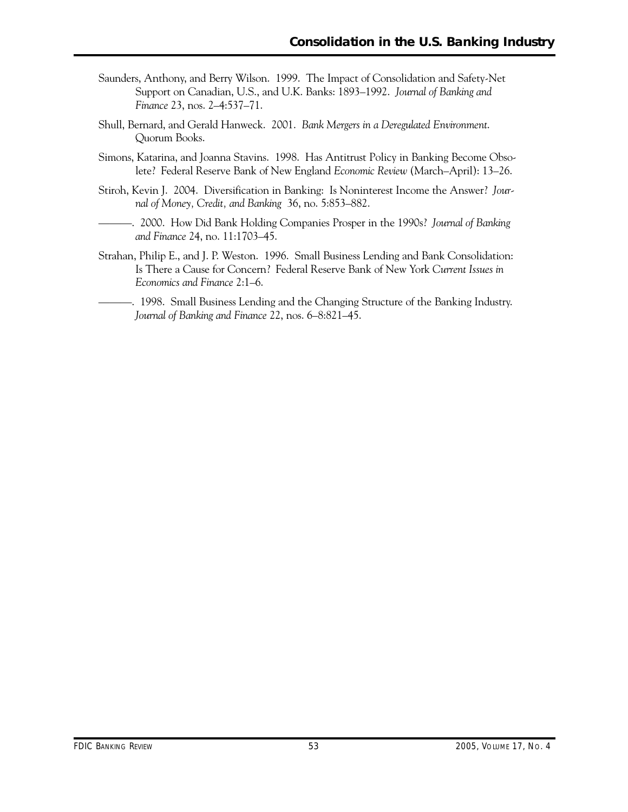- Saunders, Anthony, and Berry Wilson. 1999. The Impact of Consolidation and Safety-Net Support on Canadian, U.S., and U.K. Banks: 1893–1992. *Journal of Banking and Finance* 23, nos. 2–4:537–71.
- Shull, Bernard, and Gerald Hanweck. 2001. *Bank Mergers in a Deregulated Environment*. Quorum Books.
- Simons, Katarina, and Joanna Stavins. 1998. Has Antitrust Policy in Banking Become Obsolete? Federal Reserve Bank of New England *Economic Review* (March–April): 13–26.
- Stiroh, Kevin J. 2004. Diversification in Banking: Is Noninterest Income the Answer? *Journal of Money, Credit, and Banking* 36, no. 5:853–882.
- ———. 2000. How Did Bank Holding Companies Prosper in the 1990s? *Journal of Banking and Finance* 24, no. 11:1703–45.
- Strahan, Philip E., and J. P. Weston. 1996. Small Business Lending and Bank Consolidation: Is There a Cause for Concern? Federal Reserve Bank of New York *Current Issues in Economics and Finance* 2:1–6.
- ———. 1998. Small Business Lending and the Changing Structure of the Banking Industry. *Journal of Banking and Finance* 22, nos. 6–8:821–45.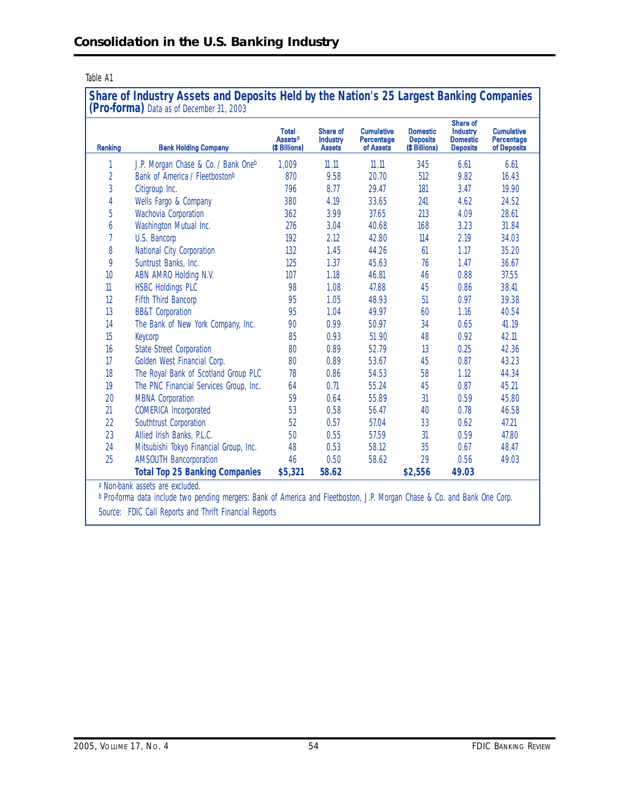Table A1

**Share of Industry Assets and Deposits Held by the Nation's 25 Largest Banking Companies (Pro-forma)** Data as of December 31, 2003

| Ranking        | <b>Bank Holding Company</b>                                                                                               | <b>Total</b><br><b>Assets</b> <sup>a</sup><br>(\$ Billions) | <b>Share of</b><br><b>Industry</b><br><b>Assets</b> | <b>Cumulative</b><br>Percentage<br>of Assets | <b>Domestic</b><br><b>Deposits</b><br>(\$ Billions) | <b>Share of</b><br>Industry<br><b>Domestic</b><br><b>Deposits</b> | <b>Cumulative</b><br>Percentage<br>of Deposits |
|----------------|---------------------------------------------------------------------------------------------------------------------------|-------------------------------------------------------------|-----------------------------------------------------|----------------------------------------------|-----------------------------------------------------|-------------------------------------------------------------------|------------------------------------------------|
|                | J.P. Morgan Chase & Co. / Bank Oneb                                                                                       | 1,009                                                       | 11.11                                               | 11.11                                        | 345                                                 | 6.61                                                              | 6.61                                           |
| $\overline{2}$ | Bank of America / Fleetbostonb                                                                                            | 870                                                         | 9.58                                                | 20.70                                        | 512                                                 | 9.82                                                              | 16.43                                          |
| $\overline{3}$ | Citigroup Inc.                                                                                                            | 796                                                         | 8.77                                                | 29.47                                        | 181                                                 | 3.47                                                              | 19.90                                          |
| $\overline{4}$ | Wells Fargo & Company                                                                                                     | 380                                                         | 4.19                                                | 33.65                                        | 241                                                 | 4.62                                                              | 24.52                                          |
| 5              | Wachovia Corporation                                                                                                      | 362                                                         | 3.99                                                | 37.65                                        | 213                                                 | 4.09                                                              | 28.61                                          |
| 6              | Washington Mutual Inc.                                                                                                    | 276                                                         | 3.04                                                | 40.68                                        | 168                                                 | 3.23                                                              | 31.84                                          |
| $\overline{7}$ | U.S. Bancorp                                                                                                              | 192                                                         | 2.12                                                | 42.80                                        | 114                                                 | 2.19                                                              | 34.03                                          |
| 8              | National City Corporation                                                                                                 | 132                                                         | 1.45                                                | 44.26                                        | 61                                                  | 1.17                                                              | 35.20                                          |
| 9              | Suntrust Banks, Inc.                                                                                                      | 125                                                         | 1.37                                                | 45.63                                        | 76                                                  | 1.47                                                              | 36.67                                          |
| 10             | ABN AMRO Holding N.V.                                                                                                     | 107                                                         | 1.18                                                | 46.81                                        | 46                                                  | 0.88                                                              | 37.55                                          |
| 11             | <b>HSBC Holdings PLC</b>                                                                                                  | 98                                                          | 1.08                                                | 47.88                                        | 45                                                  | 0.86                                                              | 38.41                                          |
| 12             | Fifth Third Bancorp                                                                                                       | 95                                                          | 1.05                                                | 48.93                                        | 51                                                  | 0.97                                                              | 39.38                                          |
| 13             | <b>BB&amp;T</b> Corporation                                                                                               | 95                                                          | 1.04                                                | 49.97                                        | 60                                                  | 1.16                                                              | 40.54                                          |
| 14             | The Bank of New York Company, Inc.                                                                                        | 90                                                          | 0.99                                                | 50.97                                        | 34                                                  | 0.65                                                              | 41.19                                          |
| 15             | Keycorp                                                                                                                   | 85                                                          | 0.93                                                | 51.90                                        | 48                                                  | 0.92                                                              | 42.11                                          |
| 16             | <b>State Street Corporation</b>                                                                                           | 80                                                          | 0.89                                                | 52.79                                        | 13                                                  | 0.25                                                              | 42.36                                          |
| 17             | Golden West Financial Corp.                                                                                               | 80                                                          | 0.89                                                | 53.67                                        | 45                                                  | 0.87                                                              | 43.23                                          |
| 18             | The Royal Bank of Scotland Group PLC                                                                                      | 78                                                          | 0.86                                                | 54.53                                        | 58                                                  | 1.12                                                              | 44.34                                          |
| 19             | The PNC Financial Services Group, Inc.                                                                                    | 64                                                          | 0.71                                                | 55.24                                        | 45                                                  | 0.87                                                              | 45.21                                          |
| 20             | <b>MBNA Corporation</b>                                                                                                   | 59                                                          | 0.64                                                | 55.89                                        | 31                                                  | 0.59                                                              | 45.80                                          |
| 21             | <b>COMERICA Incorporated</b>                                                                                              | 53                                                          | 0.58                                                | 56.47                                        | 40                                                  | 0.78                                                              | 46.58                                          |
| 22             | Southtrust Corporation                                                                                                    | 52                                                          | 0.57                                                | 57.04                                        | 33                                                  | 0.62                                                              | 47.21                                          |
| 23             | Allied Irish Banks, P.L.C.                                                                                                | 50                                                          | 0.55                                                | 57.59                                        | 31                                                  | 0.59                                                              | 47.80                                          |
| 24             | Mitsubishi Tokyo Financial Group, Inc.                                                                                    | 48                                                          | 0.53                                                | 58.12                                        | 35                                                  | 0.67                                                              | 48.47                                          |
| 25             | <b>AMSOUTH Bancorporation</b>                                                                                             | 46                                                          | 0.50                                                | 58.62                                        | 29                                                  | 0.56                                                              | 49.03                                          |
|                | <b>Total Top 25 Banking Companies</b>                                                                                     | \$5,321                                                     | 58.62                                               |                                              | \$2,556                                             | 49.03                                                             |                                                |
|                | a Non-bank assets are excluded.                                                                                           |                                                             |                                                     |                                              |                                                     |                                                                   |                                                |
|                | b Pro-forma data include two pending mergers: Bank of America and Fleetboston, J.P. Morgan Chase & Co. and Bank One Corp. |                                                             |                                                     |                                              |                                                     |                                                                   |                                                |
|                | Source: FDIC Call Reports and Thrift Financial Reports                                                                    |                                                             |                                                     |                                              |                                                     |                                                                   |                                                |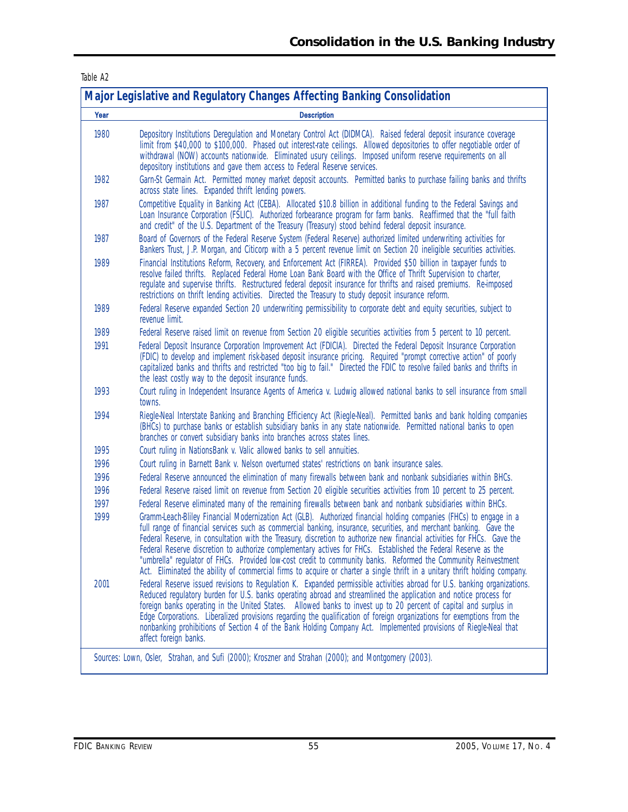| ľЖ<br>٠٣. |  |
|-----------|--|
|-----------|--|

|      | <b>Major Legislative and Regulatory Changes Affecting Banking Consolidation</b>                                                                                                                                                                                                                                                                                                                                                                                                                                                                                                                                                                                                                                                       |
|------|---------------------------------------------------------------------------------------------------------------------------------------------------------------------------------------------------------------------------------------------------------------------------------------------------------------------------------------------------------------------------------------------------------------------------------------------------------------------------------------------------------------------------------------------------------------------------------------------------------------------------------------------------------------------------------------------------------------------------------------|
| Year | <b>Description</b>                                                                                                                                                                                                                                                                                                                                                                                                                                                                                                                                                                                                                                                                                                                    |
| 1980 | Depository Institutions Deregulation and Monetary Control Act (DIDMCA). Raised federal deposit insurance coverage<br>limit from \$40,000 to \$100,000. Phased out interest rate ceilings. Allowed depositories to offer negotiable order of<br>withdrawal (NOW) accounts nationwide. Eliminated usury ceilings. Imposed uniform reserve requirements on all<br>depository institutions and gave them access to Federal Reserve services.                                                                                                                                                                                                                                                                                              |
| 1982 | Garn-St Germain Act. Permitted money market deposit accounts. Permitted banks to purchase failing banks and thrifts<br>across state lines. Expanded thrift lending powers.                                                                                                                                                                                                                                                                                                                                                                                                                                                                                                                                                            |
| 1987 | Competitive Equality in Banking Act (CEBA). Allocated \$10.8 billion in additional funding to the Federal Savings and<br>Loan Insurance Corporation (FSLIC). Authorized forbearance program for farm banks. Reaffirmed that the "full faith<br>and credit" of the U.S. Department of the Treasury (Treasury) stood behind federal deposit insurance.                                                                                                                                                                                                                                                                                                                                                                                  |
| 1987 | Board of Governors of the Federal Reserve System (Federal Reserve) authorized limited underwriting activities for<br>Bankers Trust, J.P. Morgan, and Citicorp with a 5 percent revenue limit on Section 20 ineligible securities activities.                                                                                                                                                                                                                                                                                                                                                                                                                                                                                          |
| 1989 | Financial Institutions Reform, Recovery, and Enforcement Act (FIRREA). Provided \$50 billion in taxpayer funds to<br>resolve failed thrifts. Replaced Federal Home Loan Bank Board with the Office of Thrift Supervision to charter,<br>requlate and supervise thrifts. Restructured federal deposit insurance for thrifts and raised premiums. Re-imposed<br>restrictions on thrift lending activities. Directed the Treasury to study deposit insurance reform.                                                                                                                                                                                                                                                                     |
| 1989 | Federal Reserve expanded Section 20 underwriting permissibility to corporate debt and equity securities, subject to<br>revenue limit.                                                                                                                                                                                                                                                                                                                                                                                                                                                                                                                                                                                                 |
| 1989 | Federal Reserve raised limit on revenue from Section 20 eligible securities activities from 5 percent to 10 percent.                                                                                                                                                                                                                                                                                                                                                                                                                                                                                                                                                                                                                  |
| 1991 | Federal Deposit Insurance Corporation Improvement Act (FDICIA). Directed the Federal Deposit Insurance Corporation<br>(FDIC) to develop and implement risk-based deposit insurance pricing. Required "prompt corrective action" of poorly<br>capitalized banks and thrifts and restricted "too big to fail." Directed the FDIC to resolve failed banks and thrifts in<br>the least costly way to the deposit insurance funds.                                                                                                                                                                                                                                                                                                         |
| 1993 | Court ruling in Independent Insurance Agents of America v. Ludwig allowed national banks to sell insurance from small<br>towns.                                                                                                                                                                                                                                                                                                                                                                                                                                                                                                                                                                                                       |
| 1994 | Riegle-Neal Interstate Banking and Branching Efficiency Act (Riegle-Neal). Permitted banks and bank holding companies<br>(BHCs) to purchase banks or establish subsidiary banks in any state nationwide. Permitted national banks to open<br>branches or convert subsidiary banks into branches across states lines.                                                                                                                                                                                                                                                                                                                                                                                                                  |
| 1995 | Court ruling in NationsBank v. Valic allowed banks to sell annuities.                                                                                                                                                                                                                                                                                                                                                                                                                                                                                                                                                                                                                                                                 |
| 1996 | Court ruling in Barnett Bank v. Nelson overturned states' restrictions on bank insurance sales.                                                                                                                                                                                                                                                                                                                                                                                                                                                                                                                                                                                                                                       |
| 1996 | Federal Reserve announced the elimination of many firewalls between bank and nonbank subsidiaries within BHCs.                                                                                                                                                                                                                                                                                                                                                                                                                                                                                                                                                                                                                        |
| 1996 | Federal Reserve raised limit on revenue from Section 20 eligible securities activities from 10 percent to 25 percent.                                                                                                                                                                                                                                                                                                                                                                                                                                                                                                                                                                                                                 |
| 1997 | Federal Reserve eliminated many of the remaining firewalls between bank and nonbank subsidiaries within BHCs.                                                                                                                                                                                                                                                                                                                                                                                                                                                                                                                                                                                                                         |
| 1999 | Gramm-Leach-Bliley Financial Modernization Act (GLB). Authorized financial holding companies (FHCs) to engage in a<br>full range of financial services such as commercial banking, insurance, securities, and merchant banking. Gave the<br>Federal Reserve, in consultation with the Treasury, discretion to authorize new financial activities for FHCs. Gave the<br>Federal Reserve discretion to authorize complementary actives for FHCs. Established the Federal Reserve as the<br>"umbrella" requlator of FHCs. Provided low-cost credit to community banks. Reformed the Community Reinvestment<br>Act. Eliminated the ability of commercial firms to acquire or charter a single thrift in a unitary thrift holding company. |
| 2001 | Federal Reserve issued revisions to Regulation K. Expanded permissible activities abroad for U.S. banking organizations.<br>Reduced regulatory burden for U.S. banks operating abroad and streamlined the application and notice process for<br>foreign banks operating in the United States. Allowed banks to invest up to 20 percent of capital and surplus in<br>Edge Corporations. Liberalized provisions regarding the qualification of foreign organizations for exemptions from the<br>nonbanking prohibitions of Section 4 of the Bank Holding Company Act. Implemented provisions of Riegle-Neal that<br>affect foreign banks.                                                                                               |
|      | Sources: Lown, Osler, Strahan, and Sufi (2000); Kroszner and Strahan (2000); and Montgomery (2003).                                                                                                                                                                                                                                                                                                                                                                                                                                                                                                                                                                                                                                   |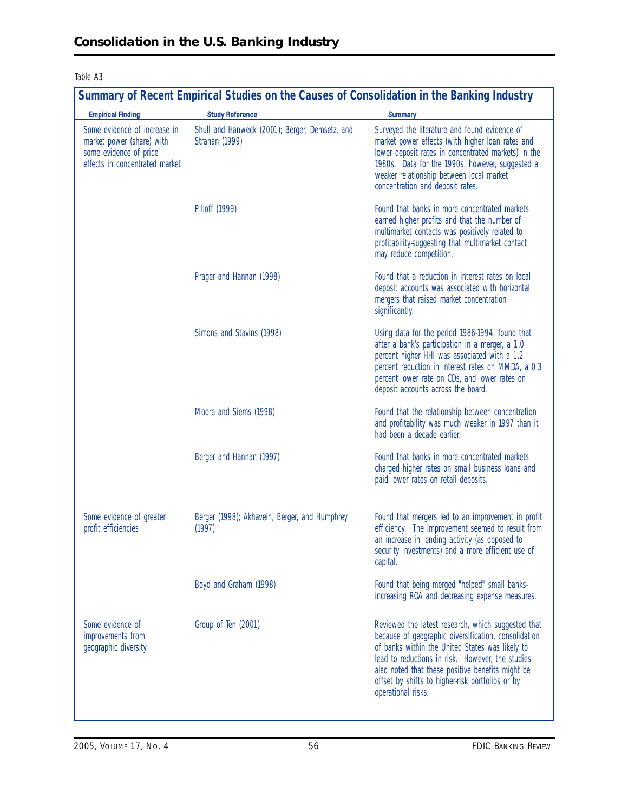#### Table A3

|                                                                                                                       | Summary of Recent Empirical Studies on the Causes of Consolidation in the Banking Industry |                                                                                                                                                                                                                                                                                                                                                 |
|-----------------------------------------------------------------------------------------------------------------------|--------------------------------------------------------------------------------------------|-------------------------------------------------------------------------------------------------------------------------------------------------------------------------------------------------------------------------------------------------------------------------------------------------------------------------------------------------|
| <b>Empirical Finding</b>                                                                                              | <b>Study Reference</b>                                                                     | <b>Summary</b>                                                                                                                                                                                                                                                                                                                                  |
| Some evidence of increase in<br>market power (share) with<br>some evidence of price<br>effects in concentrated market | Shull and Hanweck (2001); Berger, Demsetz, and<br>Strahan (1999)                           | Surveyed the literature and found evidence of<br>market power effects (with higher loan rates and<br>lower deposit rates in concentrated markets) in the<br>1980s. Data for the 1990s, however, suggested a<br>weaker relationship between local market<br>concentration and deposit rates.                                                     |
|                                                                                                                       | Pilloff (1999)                                                                             | Found that banks in more concentrated markets<br>earned higher profits and that the number of<br>multimarket contacts was positively related to<br>profitability-suggesting that multimarket contact<br>may reduce competition.                                                                                                                 |
|                                                                                                                       | Prager and Hannan (1998)                                                                   | Found that a reduction in interest rates on local<br>deposit accounts was associated with horizontal<br>mergers that raised market concentration<br>significantly.                                                                                                                                                                              |
|                                                                                                                       | Simons and Stavins (1998)                                                                  | Using data for the period 1986-1994, found that<br>after a bank's participation in a merger, a 1.0<br>percent higher HHI was associated with a 1.2<br>percent reduction in interest rates on MMDA, a 0.3<br>percent lower rate on CDs, and lower rates on<br>deposit accounts across the board.                                                 |
|                                                                                                                       | Moore and Siems (1998)                                                                     | Found that the relationship between concentration<br>and profitability was much weaker in 1997 than it<br>had been a decade earlier.                                                                                                                                                                                                            |
|                                                                                                                       | Berger and Hannan (1997)                                                                   | Found that banks in more concentrated markets<br>charged higher rates on small business loans and<br>paid lower rates on retail deposits.                                                                                                                                                                                                       |
| Some evidence of greater<br>profit efficiencies                                                                       | Berger (1998); Akhavein, Berger, and Humphrey<br>(1997)                                    | Found that mergers led to an improvement in profit<br>efficiency. The improvement seemed to result from<br>an increase in lending activity (as opposed to<br>security investments) and a more efficient use of<br>capital.                                                                                                                      |
|                                                                                                                       | Boyd and Graham (1998)                                                                     | Found that being merged "helped" small banks-<br>increasing ROA and decreasing expense measures.                                                                                                                                                                                                                                                |
| Some evidence of<br>improvements from<br>geographic diversity                                                         | Group of Ten (2001)                                                                        | Reviewed the latest research, which suggested that<br>because of geographic diversification, consolidation<br>of banks within the United States was likely to<br>lead to reductions in risk. However, the studies<br>also noted that these positive benefits might be<br>offset by shifts to higher-risk portfolios or by<br>operational risks. |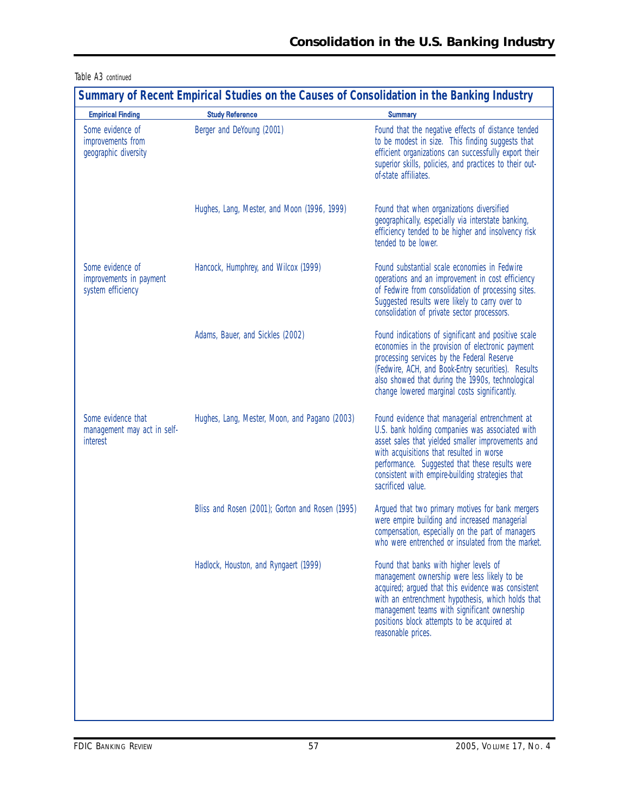| <b>Empirical Finding</b>                                         | <b>Study Reference</b>                          | <b>Summary</b>                                                                                                                                                                                                                                                                                                               |
|------------------------------------------------------------------|-------------------------------------------------|------------------------------------------------------------------------------------------------------------------------------------------------------------------------------------------------------------------------------------------------------------------------------------------------------------------------------|
| Some evidence of<br>improvements from<br>geographic diversity    | Berger and DeYoung (2001)                       | Found that the negative effects of distance tended<br>to be modest in size. This finding suggests that<br>efficient organizations can successfully export their<br>superior skills, policies, and practices to their out-<br>of-state affiliates.                                                                            |
|                                                                  | Hughes, Lang, Mester, and Moon (1996, 1999).    | Found that when organizations diversified<br>geographically, especially via interstate banking,<br>efficiency tended to be higher and insolvency risk<br>tended to be lower.                                                                                                                                                 |
| Some evidence of<br>improvements in payment<br>system efficiency | Hancock, Humphrey, and Wilcox (1999)            | Found substantial scale economies in Fedwire<br>operations and an improvement in cost efficiency<br>of Fedwire from consolidation of processing sites.<br>Suggested results were likely to carry over to<br>consolidation of private sector processors.                                                                      |
|                                                                  | Adams, Bauer, and Sickles (2002)                | Found indications of significant and positive scale<br>economies in the provision of electronic payment<br>processing services by the Federal Reserve<br>(Fedwire, ACH, and Book-Entry securities). Results<br>also showed that during the 1990s, technological<br>change lowered marginal costs significantly.              |
| Some evidence that<br>management may act in self-<br>interest    | Hughes, Lang, Mester, Moon, and Pagano (2003)   | Found evidence that managerial entrenchment at<br>U.S. bank holding companies was associated with<br>asset sales that yielded smaller improvements and<br>with acquisitions that resulted in worse<br>performance. Suggested that these results were<br>consistent with empire-building strategies that<br>sacrificed value. |
|                                                                  | Bliss and Rosen (2001); Gorton and Rosen (1995) | Arqued that two primary motives for bank mergers<br>were empire building and increased managerial<br>compensation, especially on the part of managers<br>who were entrenched or insulated from the market.                                                                                                                   |
|                                                                  | Hadlock, Houston, and Ryngaert (1999)           | Found that banks with higher levels of<br>management ownership were less likely to be<br>acquired; arqued that this evidence was consistent<br>with an entrenchment hypothesis, which holds that<br>management teams with significant ownership<br>positions block attempts to be acquired at<br>reasonable prices.          |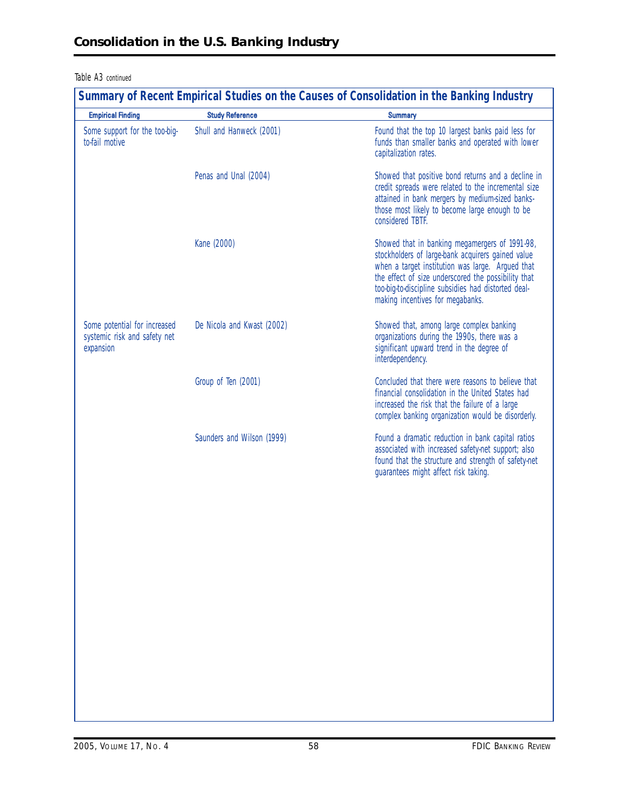|                                                                           |                            | Summary of Recent Empirical Studies on the Causes of Consolidation in the Banking Industry                                                                                                                                                                                                                |
|---------------------------------------------------------------------------|----------------------------|-----------------------------------------------------------------------------------------------------------------------------------------------------------------------------------------------------------------------------------------------------------------------------------------------------------|
| <b>Empirical Finding</b>                                                  | <b>Study Reference</b>     | <b>Summary</b>                                                                                                                                                                                                                                                                                            |
| Some support for the too-big-<br>to-fail motive                           | Shull and Hanweck (2001)   | Found that the top 10 largest banks paid less for<br>funds than smaller banks and operated with lower<br>capitalization rates.                                                                                                                                                                            |
|                                                                           | Penas and Unal (2004)      | Showed that positive bond returns and a decline in<br>credit spreads were related to the incremental size<br>attained in bank mergers by medium-sized banks-<br>those most likely to become large enough to be<br>considered TBTF.                                                                        |
|                                                                           | Kane (2000)                | Showed that in banking megamergers of 1991-98,<br>stockholders of large-bank acquirers gained value<br>when a target institution was large. Argued that<br>the effect of size underscored the possibility that<br>too-big-to-discipline subsidies had distorted deal-<br>making incentives for megabanks. |
| Some potential for increased<br>systemic risk and safety net<br>expansion | De Nicola and Kwast (2002) | Showed that, among large complex banking<br>organizations during the 1990s, there was a<br>significant upward trend in the degree of<br>interdependency.                                                                                                                                                  |
|                                                                           | Group of Ten (2001)        | Concluded that there were reasons to believe that<br>financial consolidation in the United States had<br>increased the risk that the failure of a large<br>complex banking organization would be disorderly.                                                                                              |
|                                                                           | Saunders and Wilson (1999) | Found a dramatic reduction in bank capital ratios<br>associated with increased safety-net support; also<br>found that the structure and strength of safety-net<br>guarantees might affect risk taking.                                                                                                    |
|                                                                           |                            |                                                                                                                                                                                                                                                                                                           |
|                                                                           |                            |                                                                                                                                                                                                                                                                                                           |
|                                                                           |                            |                                                                                                                                                                                                                                                                                                           |
|                                                                           |                            |                                                                                                                                                                                                                                                                                                           |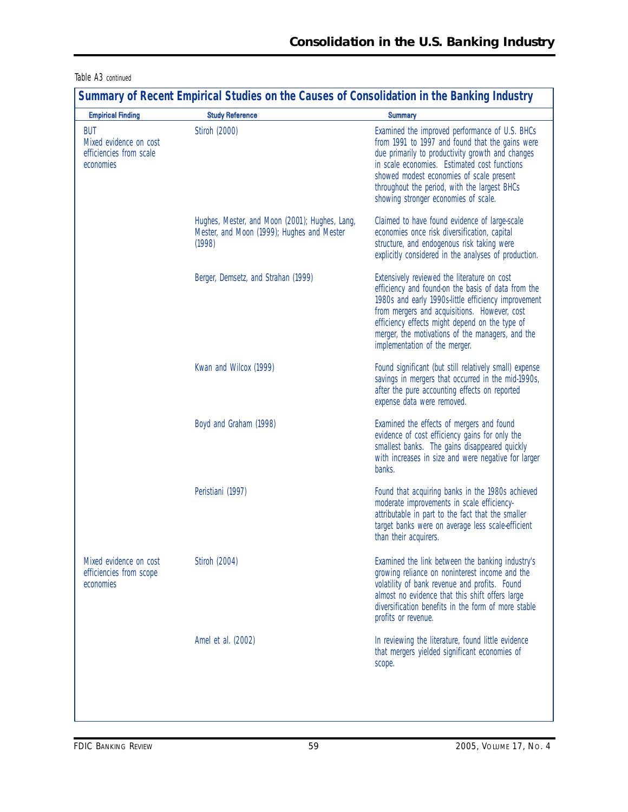| <b>Study Reference</b><br>Stiroh (2000)                                                                | <b>Summary</b>                                                                                                                                                                                                                                                                                                                                  |
|--------------------------------------------------------------------------------------------------------|-------------------------------------------------------------------------------------------------------------------------------------------------------------------------------------------------------------------------------------------------------------------------------------------------------------------------------------------------|
|                                                                                                        | Examined the improved performance of U.S. BHCs<br>from 1991 to 1997 and found that the gains were<br>due primarily to productivity growth and changes<br>in scale economies. Estimated cost functions<br>showed modest economies of scale present<br>throughout the period, with the largest BHCs<br>showing stronger economies of scale.       |
| Hughes, Mester, and Moon (2001); Hughes, Lang,<br>Mester, and Moon (1999); Hughes and Mester<br>(1998) | Claimed to have found evidence of large-scale<br>economies once risk diversification, capital<br>structure, and endogenous risk taking were<br>explicitly considered in the analyses of production.                                                                                                                                             |
| Berger, Demsetz, and Strahan (1999)                                                                    | Extensively reviewed the literature on cost<br>efficiency and found-on the basis of data from the<br>1980s and early 1990s-little efficiency improvement<br>from mergers and acquisitions. However, cost<br>efficiency effects might depend on the type of<br>merger, the motivations of the managers, and the<br>implementation of the merger. |
| Kwan and Wilcox (1999)                                                                                 | Found significant (but still relatively small) expense<br>savings in mergers that occurred in the mid-1990s,<br>after the pure accounting effects on reported<br>expense data were removed.                                                                                                                                                     |
| Boyd and Graham (1998)                                                                                 | Examined the effects of mergers and found<br>evidence of cost efficiency gains for only the<br>smallest banks. The gains disappeared quickly<br>with increases in size and were negative for larger<br>banks.                                                                                                                                   |
| Peristiani (1997)                                                                                      | Found that acquiring banks in the 1980s achieved<br>moderate improvements in scale efficiency-<br>attributable in part to the fact that the smaller<br>target banks were on average less scale-efficient<br>than their acquirers.                                                                                                               |
| Stiroh (2004)                                                                                          | Examined the link between the banking industry's<br>growing reliance on noninterest income and the<br>volatility of bank revenue and profits. Found<br>almost no evidence that this shift offers large<br>diversification benefits in the form of more stable<br>profits or revenue.                                                            |
| Amel et al. (2002)                                                                                     | In reviewing the literature, found little evidence<br>that mergers yielded significant economies of<br>scope.                                                                                                                                                                                                                                   |
|                                                                                                        |                                                                                                                                                                                                                                                                                                                                                 |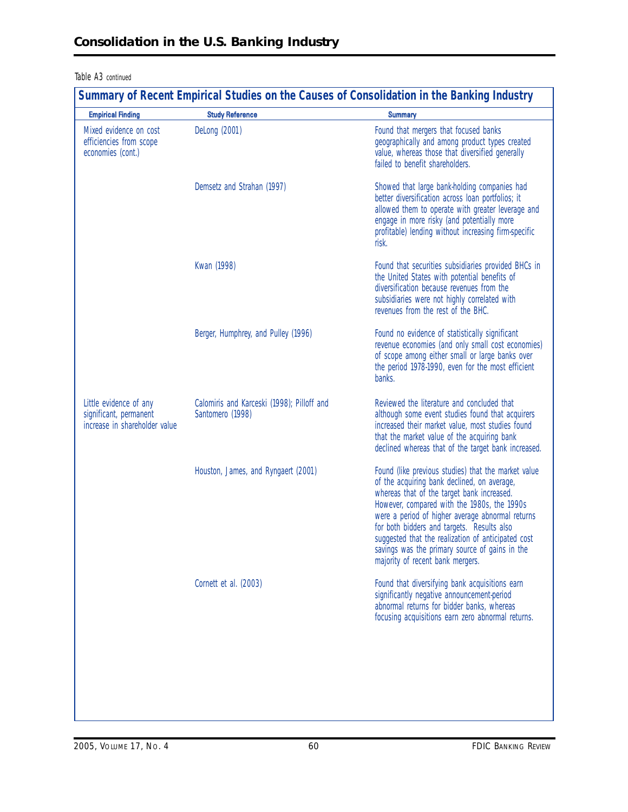|                                                                                   |                                                                | Summary of Recent Empirical Studies on the Causes of Consolidation in the Banking Industry                                                                                                                                                                                                                                                                                                                                                    |
|-----------------------------------------------------------------------------------|----------------------------------------------------------------|-----------------------------------------------------------------------------------------------------------------------------------------------------------------------------------------------------------------------------------------------------------------------------------------------------------------------------------------------------------------------------------------------------------------------------------------------|
| <b>Empirical Finding</b>                                                          | <b>Study Reference</b>                                         | <b>Summary</b>                                                                                                                                                                                                                                                                                                                                                                                                                                |
| Mixed evidence on cost<br>efficiencies from scope<br>economies (cont.)            | DeLong (2001)                                                  | Found that mergers that focused banks<br>geographically and among product types created<br>value, whereas those that diversified generally<br>failed to benefit shareholders.                                                                                                                                                                                                                                                                 |
|                                                                                   | Demsetz and Strahan (1997)                                     | Showed that large bank-holding companies had<br>better diversification across loan portfolios; it<br>allowed them to operate with greater leverage and<br>engage in more risky (and potentially more<br>profitable) lending without increasing firm-specific<br>risk.                                                                                                                                                                         |
|                                                                                   | Kwan (1998)                                                    | Found that securities subsidiaries provided BHCs in<br>the United States with potential benefits of<br>diversification because revenues from the<br>subsidiaries were not highly correlated with<br>revenues from the rest of the BHC.                                                                                                                                                                                                        |
|                                                                                   | Berger, Humphrey, and Pulley (1996)                            | Found no evidence of statistically significant<br>revenue economies (and only small cost economies)<br>of scope among either small or large banks over<br>the period 1978-1990, even for the most efficient<br>banks.                                                                                                                                                                                                                         |
| Little evidence of any<br>significant, permanent<br>increase in shareholder value | Calomiris and Karceski (1998); Pilloff and<br>Santomero (1998) | Reviewed the literature and concluded that<br>although some event studies found that acquirers<br>increased their market value, most studies found<br>that the market value of the acquiring bank<br>declined whereas that of the target bank increased.                                                                                                                                                                                      |
|                                                                                   | Houston, James, and Ryngaert (2001)                            | Found (like previous studies) that the market value<br>of the acquiring bank declined, on average,<br>whereas that of the target bank increased.<br>However, compared with the 1980s, the 1990s<br>were a period of higher average abnormal returns<br>for both bidders and targets. Results also<br>suggested that the realization of anticipated cost<br>savings was the primary source of gains in the<br>majority of recent bank mergers. |
|                                                                                   | Cornett et al. (2003)                                          | Found that diversifying bank acquisitions earn<br>significantly negative announcement-period<br>abnormal returns for bidder banks, whereas<br>focusing acquisitions earn zero abnormal returns.                                                                                                                                                                                                                                               |
|                                                                                   |                                                                |                                                                                                                                                                                                                                                                                                                                                                                                                                               |